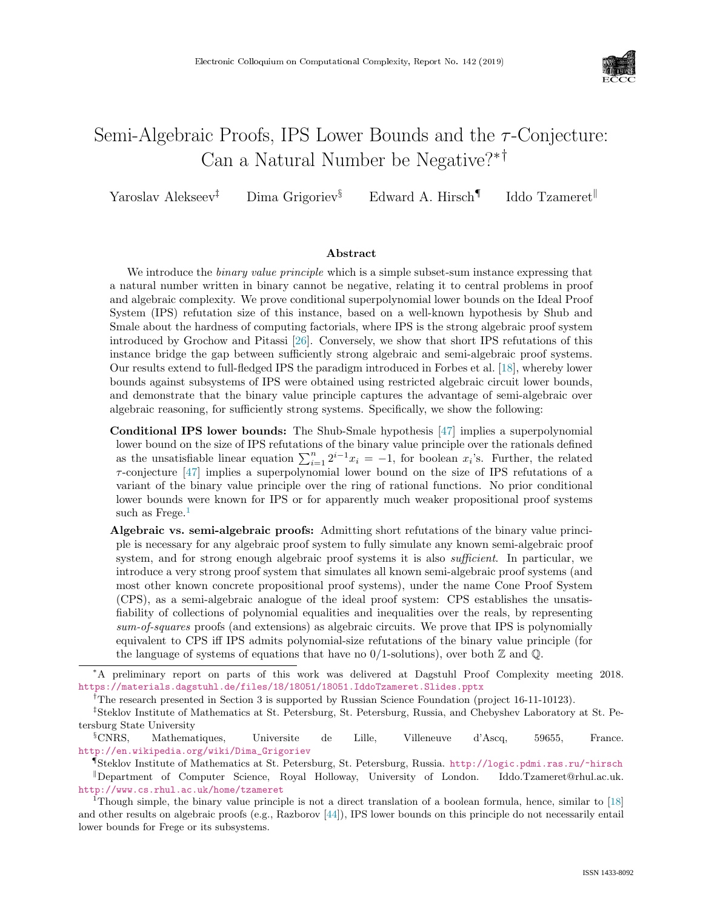

# Semi-Algebraic Proofs, IPS Lower Bounds and the  $\tau$ -Conjecture: Can a Natural Number be Negative?∗†

Yaroslav Alekseev<sup>‡</sup> Dima Grigoriev<sup>§</sup> Edward A. Hirsch<sup>¶</sup> Iddo Tzameret<sup>||</sup>

#### Abstract

We introduce the *binary value principle* which is a simple subset-sum instance expressing that a natural number written in binary cannot be negative, relating it to central problems in proof and algebraic complexity. We prove conditional superpolynomial lower bounds on the Ideal Proof System (IPS) refutation size of this instance, based on a well-known hypothesis by Shub and Smale about the hardness of computing factorials, where IPS is the strong algebraic proof system introduced by Grochow and Pitassi [\[26\]](#page--1-0). Conversely, we show that short IPS refutations of this instance bridge the gap between sufficiently strong algebraic and semi-algebraic proof systems. Our results extend to full-fledged IPS the paradigm introduced in Forbes et al. [\[18\]](#page--1-1), whereby lower bounds against subsystems of IPS were obtained using restricted algebraic circuit lower bounds, and demonstrate that the binary value principle captures the advantage of semi-algebraic over algebraic reasoning, for sufficiently strong systems. Specifically, we show the following:

Conditional IPS lower bounds: The Shub-Smale hypothesis [\[47\]](#page--1-2) implies a superpolynomial lower bound on the size of IPS refutations of the binary value principle over the rationals defined as the unsatisfiable linear equation  $\sum_{i=1}^{n} 2^{i-1}x_i = -1$ , for boolean  $x_i$ 's. Further, the related  $\tau$ -conjecture [\[47\]](#page--1-2) implies a superpolynomial lower bound on the size of IPS refutations of a variant of the binary value principle over the ring of rational functions. No prior conditional lower bounds were known for IPS or for apparently much weaker propositional proof systems such as  $Frege<sup>1</sup>$ 

Algebraic vs. semi-algebraic proofs: Admitting short refutations of the binary value principle is necessary for any algebraic proof system to fully simulate any known semi-algebraic proof system, and for strong enough algebraic proof systems it is also *sufficient*. In particular, we introduce a very strong proof system that simulates all known semi-algebraic proof systems (and most other known concrete propositional proof systems), under the name Cone Proof System (CPS), as a semi-algebraic analogue of the ideal proof system: CPS establishes the unsatisfiability of collections of polynomial equalities and inequalities over the reals, by representing sum-of-squares proofs (and extensions) as algebraic circuits. We prove that IPS is polynomially equivalent to CPS iff IPS admits polynomial-size refutations of the binary value principle (for the language of systems of equations that have no  $0/1$ -solutions), over both  $\mathbb Z$  and  $\mathbb Q$ .

<sup>∗</sup>A preliminary report on parts of this work was delivered at Dagstuhl Proof Complexity meeting 2018. <https://materials.dagstuhl.de/files/18/18051/18051.IddoTzameret.Slides.pptx>

<sup>†</sup>The research presented in Section 3 is supported by Russian Science Foundation (project 16-11-10123).

<sup>‡</sup>Steklov Institute of Mathematics at St. Petersburg, St. Petersburg, Russia, and Chebyshev Laboratory at St. Petersburg State University

<sup>§</sup>CNRS, Mathematiques, Universite de Lille, Villeneuve d'Ascq, 59655, France. [http://en.wikipedia.org/wiki/Dima\\_Grigoriev](http://en.wikipedia.org/wiki/Dima_Grigoriev)

<sup>¶</sup>Steklov Institute of Mathematics at St. Petersburg, St. Petersburg, Russia. <http://logic.pdmi.ras.ru/~hirsch> Department of Computer Science, Royal Holloway, University of London. <http://www.cs.rhul.ac.uk/home/tzameret>

<sup>1</sup>Though simple, the binary value principle is not a direct translation of a boolean formula, hence, similar to [\[18\]](#page--1-1) and other results on algebraic proofs (e.g., Razborov [\[44\]](#page--1-3)), IPS lower bounds on this principle do not necessarily entail lower bounds for Frege or its subsystems.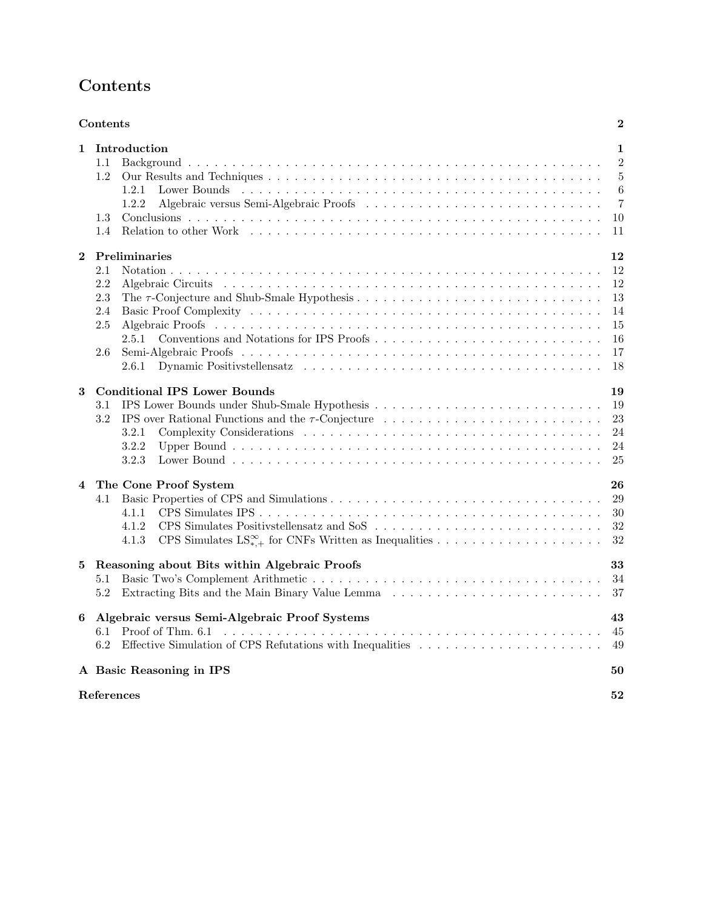# <span id="page-1-0"></span>Contents

|          | Contents                                                                                                                               | $\bf{2}$                                                        |
|----------|----------------------------------------------------------------------------------------------------------------------------------------|-----------------------------------------------------------------|
| 1        | Introduction<br>1.1<br>1.2<br>1.2.1<br>1.2.2<br>1.3<br>$1.4\,$                                                                         | 1<br>$\overline{2}$<br>$\overline{5}$<br>$\,6$<br>7<br>10<br>11 |
| $\bf{2}$ | Preliminaries<br>2.1<br>2.2<br>2.3<br>2.4<br>2.5<br>2.5.1<br>2.6<br>2.6.1                                                              | 12<br>12<br>12<br>13<br>14<br>15<br>16<br>17<br>18              |
| 3        | <b>Conditional IPS Lower Bounds</b><br>3.1<br>3.2<br>IPS over Rational Functions and the $\tau$ -Conjecture<br>3.2.1<br>3.2.2<br>3.2.3 | 19<br>19<br>23<br>24<br>24<br>25                                |
| 4        | The Cone Proof System<br>4.1<br>4.1.1<br>4.1.2<br>4.1.3                                                                                | 26<br>29<br>30<br>32<br>32                                      |
| 5        | Reasoning about Bits within Algebraic Proofs<br>5.1<br>5.2                                                                             | 33<br>34<br>37                                                  |
| 6        | Algebraic versus Semi-Algebraic Proof Systems<br>Proof of Thm. 6.1<br>6.1<br>6.2                                                       | 43<br>45<br>49                                                  |
|          | A Basic Reasoning in IPS                                                                                                               | 50                                                              |
|          | References                                                                                                                             | 52                                                              |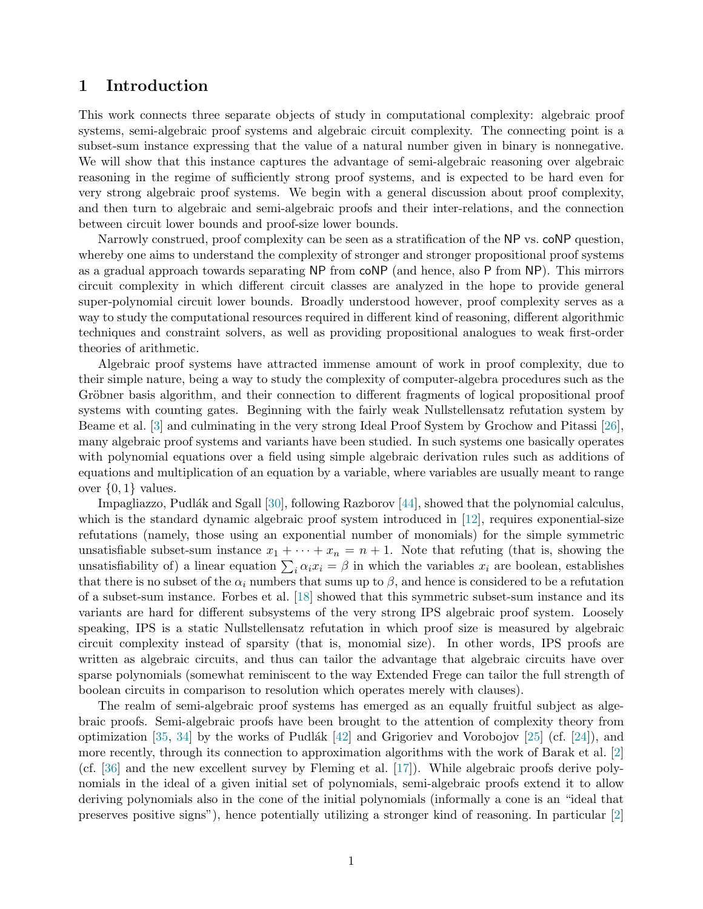## <span id="page-2-0"></span>1 Introduction

This work connects three separate objects of study in computational complexity: algebraic proof systems, semi-algebraic proof systems and algebraic circuit complexity. The connecting point is a subset-sum instance expressing that the value of a natural number given in binary is nonnegative. We will show that this instance captures the advantage of semi-algebraic reasoning over algebraic reasoning in the regime of sufficiently strong proof systems, and is expected to be hard even for very strong algebraic proof systems. We begin with a general discussion about proof complexity, and then turn to algebraic and semi-algebraic proofs and their inter-relations, and the connection between circuit lower bounds and proof-size lower bounds.

Narrowly construed, proof complexity can be seen as a stratification of the NP vs. coNP question, whereby one aims to understand the complexity of stronger and stronger propositional proof systems as a gradual approach towards separating NP from coNP (and hence, also P from NP). This mirrors circuit complexity in which different circuit classes are analyzed in the hope to provide general super-polynomial circuit lower bounds. Broadly understood however, proof complexity serves as a way to study the computational resources required in different kind of reasoning, different algorithmic techniques and constraint solvers, as well as providing propositional analogues to weak first-order theories of arithmetic.

Algebraic proof systems have attracted immense amount of work in proof complexity, due to their simple nature, being a way to study the complexity of computer-algebra procedures such as the Gröbner basis algorithm, and their connection to different fragments of logical propositional proof systems with counting gates. Beginning with the fairly weak Nullstellensatz refutation system by Beame et al. [\[3\]](#page-53-1) and culminating in the very strong Ideal Proof System by Grochow and Pitassi [\[26\]](#page-54-0), many algebraic proof systems and variants have been studied. In such systems one basically operates with polynomial equations over a field using simple algebraic derivation rules such as additions of equations and multiplication of an equation by a variable, where variables are usually meant to range over  $\{0,1\}$  values.

Impagliazzo, Pudlák and Sgall  $[30]$ , following Razborov  $[44]$ , showed that the polynomial calculus, which is the standard dynamic algebraic proof system introduced in [\[12\]](#page-54-1), requires exponential-size refutations (namely, those using an exponential number of monomials) for the simple symmetric unsatisfiable subset-sum instance  $x_1 + \cdots + x_n = n + 1$ . Note that refuting (that is, showing the unsatisfiability of) a linear equation  $\sum_i \alpha_i x_i = \beta$  in which the variables  $x_i$  are boolean, establishes that there is no subset of the  $\alpha_i$  numbers that sums up to  $\beta$ , and hence is considered to be a refutation of a subset-sum instance. Forbes et al. [\[18\]](#page-54-2) showed that this symmetric subset-sum instance and its variants are hard for different subsystems of the very strong IPS algebraic proof system. Loosely speaking, IPS is a static Nullstellensatz refutation in which proof size is measured by algebraic circuit complexity instead of sparsity (that is, monomial size). In other words, IPS proofs are written as algebraic circuits, and thus can tailor the advantage that algebraic circuits have over sparse polynomials (somewhat reminiscent to the way Extended Frege can tailor the full strength of boolean circuits in comparison to resolution which operates merely with clauses).

The realm of semi-algebraic proof systems has emerged as an equally fruitful subject as algebraic proofs. Semi-algebraic proofs have been brought to the attention of complexity theory from optimization [\[35,](#page-55-2) [34\]](#page-55-3) by the works of Pudlák  $[42]$  and Grigoriev and Vorobojov [\[25\]](#page-54-3) (cf. [\[24\]](#page-54-4)), and more recently, through its connection to approximation algorithms with the work of Barak et al. [\[2\]](#page-53-2) (cf. [\[36\]](#page-55-5) and the new excellent survey by Fleming et al. [\[17\]](#page-54-5)). While algebraic proofs derive polynomials in the ideal of a given initial set of polynomials, semi-algebraic proofs extend it to allow deriving polynomials also in the cone of the initial polynomials (informally a cone is an "ideal that preserves positive signs"), hence potentially utilizing a stronger kind of reasoning. In particular [\[2\]](#page-53-2)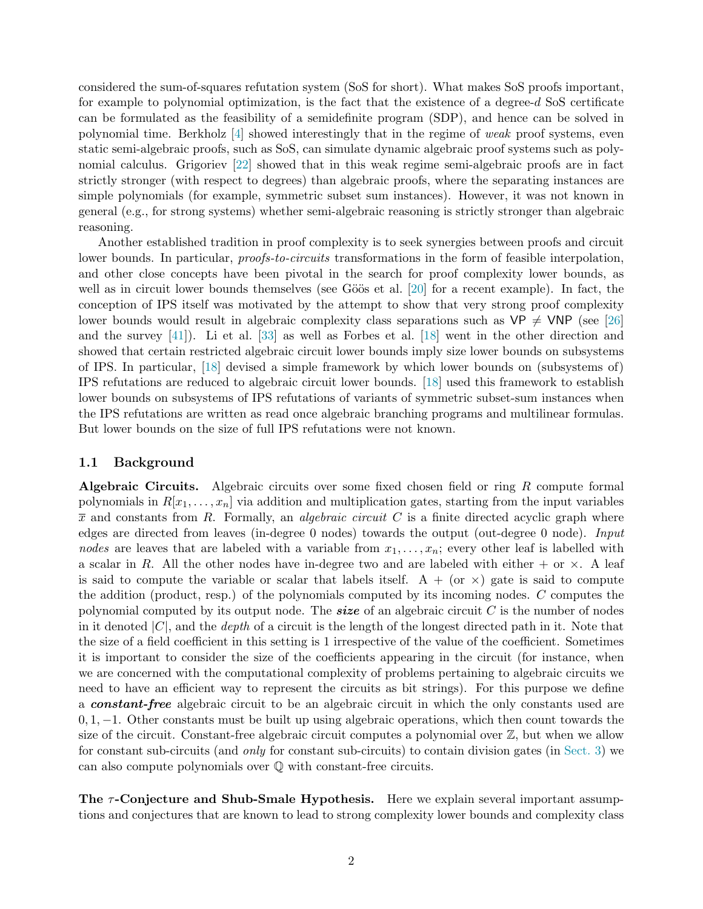considered the sum-of-squares refutation system (SoS for short). What makes SoS proofs important, for example to polynomial optimization, is the fact that the existence of a degree-d SoS certificate can be formulated as the feasibility of a semidefinite program (SDP), and hence can be solved in polynomial time. Berkholz  $[4]$  showed interestingly that in the regime of weak proof systems, even static semi-algebraic proofs, such as SoS, can simulate dynamic algebraic proof systems such as polynomial calculus. Grigoriev [\[22\]](#page-54-6) showed that in this weak regime semi-algebraic proofs are in fact strictly stronger (with respect to degrees) than algebraic proofs, where the separating instances are simple polynomials (for example, symmetric subset sum instances). However, it was not known in general (e.g., for strong systems) whether semi-algebraic reasoning is strictly stronger than algebraic reasoning.

Another established tradition in proof complexity is to seek synergies between proofs and circuit lower bounds. In particular, *proofs-to-circuits* transformations in the form of feasible interpolation, and other close concepts have been pivotal in the search for proof complexity lower bounds, as well as in circuit lower bounds themselves (see Göös et al.  $[20]$  for a recent example). In fact, the conception of IPS itself was motivated by the attempt to show that very strong proof complexity lower bounds would result in algebraic complexity class separations such as  $VP \neq VNP$  (see [\[26\]](#page-54-0) and the survey [\[41\]](#page-55-6)). Li et al. [\[33\]](#page-55-7) as well as Forbes et al. [\[18\]](#page-54-2) went in the other direction and showed that certain restricted algebraic circuit lower bounds imply size lower bounds on subsystems of IPS. In particular, [\[18\]](#page-54-2) devised a simple framework by which lower bounds on (subsystems of) IPS refutations are reduced to algebraic circuit lower bounds. [\[18\]](#page-54-2) used this framework to establish lower bounds on subsystems of IPS refutations of variants of symmetric subset-sum instances when the IPS refutations are written as read once algebraic branching programs and multilinear formulas. But lower bounds on the size of full IPS refutations were not known.

#### <span id="page-3-0"></span>1.1 Background

Algebraic Circuits. Algebraic circuits over some fixed chosen field or ring R compute formal polynomials in  $R[x_1, \ldots, x_n]$  via addition and multiplication gates, starting from the input variables  $\bar{x}$  and constants from R. Formally, an *algebraic circuit* C is a finite directed acyclic graph where edges are directed from leaves (in-degree 0 nodes) towards the output (out-degree 0 node). Input nodes are leaves that are labeled with a variable from  $x_1, \ldots, x_n$ ; every other leaf is labelled with a scalar in R. All the other nodes have in-degree two and are labeled with either  $+$  or  $\times$ . A leaf is said to compute the variable or scalar that labels itself.  $A + (or \times)$  gate is said to compute the addition (product, resp.) of the polynomials computed by its incoming nodes. C computes the polynomial computed by its output node. The **size** of an algebraic circuit  $C$  is the number of nodes in it denoted  $|C|$ , and the *depth* of a circuit is the length of the longest directed path in it. Note that the size of a field coefficient in this setting is 1 irrespective of the value of the coefficient. Sometimes it is important to consider the size of the coefficients appearing in the circuit (for instance, when we are concerned with the computational complexity of problems pertaining to algebraic circuits we need to have an efficient way to represent the circuits as bit strings). For this purpose we define a constant-free algebraic circuit to be an algebraic circuit in which the only constants used are 0, 1, −1. Other constants must be built up using algebraic operations, which then count towards the size of the circuit. Constant-free algebraic circuit computes a polynomial over  $\mathbb{Z}$ , but when we allow for constant sub-circuits (and only for constant sub-circuits) to contain division gates (in [Sect. 3\)](#page-20-0) we can also compute polynomials over Q with constant-free circuits.

<span id="page-3-1"></span>The  $\tau$ -Conjecture and Shub-Smale Hypothesis. Here we explain several important assumptions and conjectures that are known to lead to strong complexity lower bounds and complexity class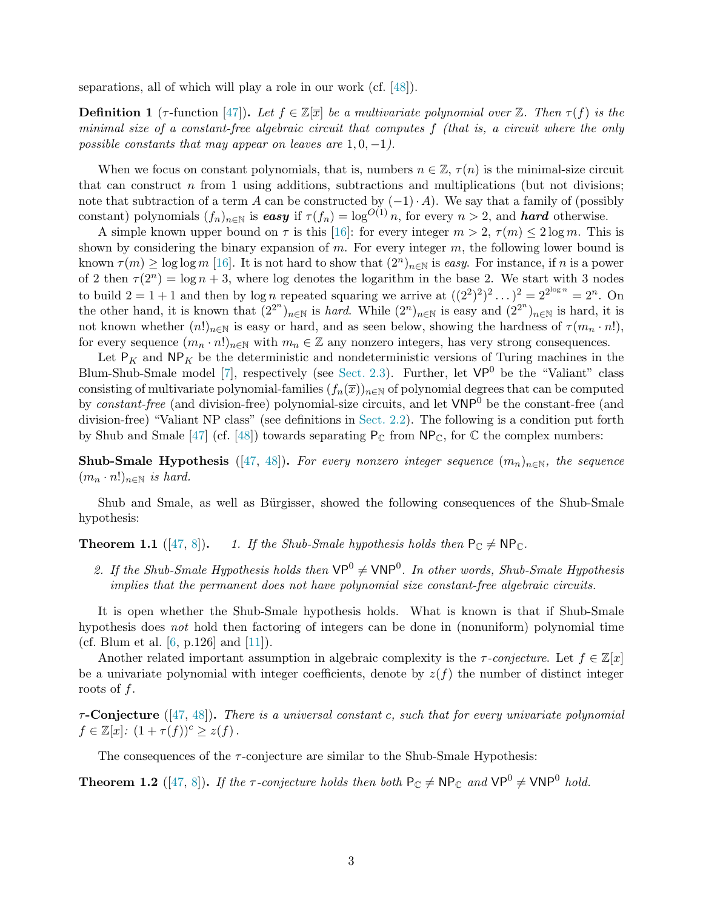separations, all of which will play a role in our work (cf. [\[48\]](#page-56-0)).

<span id="page-4-1"></span>**Definition 1** (τ-function [\[47\]](#page-56-1)). Let  $f \in \mathbb{Z}[\overline{x}]$  be a multivariate polynomial over  $\mathbb{Z}$ . Then  $\tau(f)$  is the minimal size of a constant-free algebraic circuit that computes f (that is, a circuit where the only possible constants that may appear on leaves are  $1, 0, -1$ .

When we focus on constant polynomials, that is, numbers  $n \in \mathbb{Z}$ ,  $\tau(n)$  is the minimal-size circuit that can construct  $n$  from 1 using additions, subtractions and multiplications (but not divisions; note that subtraction of a term A can be constructed by  $(-1) \cdot A$ ). We say that a family of (possibly constant) polynomials  $(f_n)_{n\in\mathbb{N}}$  is easy if  $\tau(f_n) = \log^{O(1)} n$ , for every  $n > 2$ , and **hard** otherwise.

A simple known upper bound on  $\tau$  is this [\[16\]](#page-54-8): for every integer  $m > 2$ ,  $\tau(m) \leq 2 \log m$ . This is shown by considering the binary expansion of  $m$ . For every integer  $m$ , the following lower bound is known  $\tau(m) \ge \log \log m$  [\[16\]](#page-54-8). It is not hard to show that  $(2^n)_{n \in \mathbb{N}}$  is easy. For instance, if n is a power of 2 then  $\tau(2^n) = \log n + 3$ , where log denotes the logarithm in the base 2. We start with 3 nodes to build  $2 = 1 + 1$  and then by log *n* repeated squaring we arrive at  $((2^2)^2)^2 \dots)^2 = 2^{2^{\log n}} = 2^n$ . On the other hand, it is known that  $(2^{2^n})_{n\in\mathbb{N}}$  is *hard*. While  $(2^n)_{n\in\mathbb{N}}$  is easy and  $(2^{2^n})_{n\in\mathbb{N}}$  is hard, it is not known whether  $(n!)_{n\in\mathbb{N}}$  is easy or hard, and as seen below, showing the hardness of  $\tau(m_n \cdot n!)$ , for every sequence  $(m_n \cdot n!)_{n \in \mathbb{N}}$  with  $m_n \in \mathbb{Z}$  any nonzero integers, has very strong consequences.

Let  $P_K$  and  $NP_K$  be the deterministic and nondeterministic versions of Turing machines in the Blum-Shub-Smale model [\[7\]](#page-53-4), respectively (see [Sect. 2.3\)](#page-14-0). Further, let  $VP^0$  be the "Valiant" class consisting of multivariate polynomial-families  $(f_n(\overline{x}))_{n\in\mathbb{N}}$  of polynomial degrees that can be computed by constant-free (and division-free) polynomial-size circuits, and let  $VNP<sup>0</sup>$  be the constant-free (and division-free) "Valiant NP class" (see definitions in [Sect. 2.2\)](#page-13-3). The following is a condition put forth by Shub and Smale [\[47\]](#page-56-1) (cf. [\[48\]](#page-56-0)) towards separating  $P_{\mathbb{C}}$  from  $\mathsf{NP}_{\mathbb{C}}$ , for  $\mathbb{C}$  the complex numbers:

**Shub-Smale Hypothesis** ([\[47,](#page-56-1) [48\]](#page-56-0)). For every nonzero integer sequence  $(m_n)_{n\in\mathbb{N}}$ , the sequence  $(m_n \cdot n!)_{n \in \mathbb{N}}$  is hard.

Shub and Smale, as well as Bürgisser, showed the following consequences of the Shub-Smale hypothesis:

<span id="page-4-0"></span>**Theorem 1.1** ([\[47,](#page-56-1) [8\]](#page-54-9)). 1. If the Shub-Smale hypothesis holds then  $P_{\mathbb{C}} \neq NP_{\mathbb{C}}$ .

2. If the Shub-Smale Hypothesis holds then  $VP^0 \neq \text{VNP}^0$ . In other words, Shub-Smale Hypothesis implies that the permanent does not have polynomial size constant-free algebraic circuits.

It is open whether the Shub-Smale hypothesis holds. What is known is that if Shub-Smale hypothesis does not hold then factoring of integers can be done in (nonuniform) polynomial time (cf. Blum et al.  $[6, p.126]$  and  $[11]$ ).

Another related important assumption in algebraic complexity is the  $\tau$ -conjecture. Let  $f \in \mathbb{Z}[x]$ be a univariate polynomial with integer coefficients, denote by  $z(f)$  the number of distinct integer roots of f.

 $\tau$ -Conjecture ([\[47,](#page-56-1) [48\]](#page-56-0)). There is a universal constant c, such that for every univariate polynomial  $f \in \mathbb{Z}[x] : (1 + \tau(f))^c \geq z(f)$ .

The consequences of the  $\tau$ -conjecture are similar to the Shub-Smale Hypothesis:

<span id="page-4-2"></span>**Theorem 1.2** ([\[47,](#page-56-1) [8\]](#page-54-9)). If the  $\tau$ -conjecture holds then both  $P_{\mathbb{C}} \neq NP_{\mathbb{C}}$  and  $VP^0 \neq VNP^0$  hold.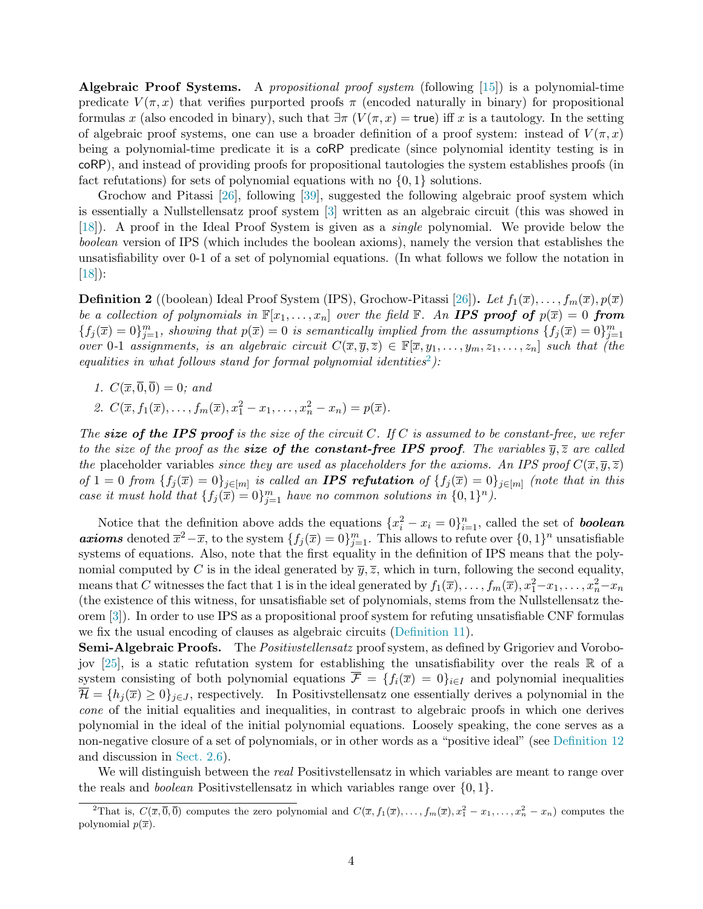<span id="page-5-0"></span>Algebraic Proof Systems. A propositional proof system (following [\[15\]](#page-54-11)) is a polynomial-time predicate  $V(\pi, x)$  that verifies purported proofs  $\pi$  (encoded naturally in binary) for propositional formulas x (also encoded in binary), such that  $\exists \pi (V(\pi, x) = \text{true})$  iff x is a tautology. In the setting of algebraic proof systems, one can use a broader definition of a proof system: instead of  $V(\pi, x)$ being a polynomial-time predicate it is a coRP predicate (since polynomial identity testing is in coRP), and instead of providing proofs for propositional tautologies the system establishes proofs (in fact refutations) for sets of polynomial equations with no  $\{0, 1\}$  solutions.

Grochow and Pitassi [\[26\]](#page-54-0), following [\[39\]](#page-55-8), suggested the following algebraic proof system which is essentially a Nullstellensatz proof system [\[3\]](#page-53-1) written as an algebraic circuit (this was showed in [\[18\]](#page-54-2)). A proof in the Ideal Proof System is given as a single polynomial. We provide below the boolean version of IPS (which includes the boolean axioms), namely the version that establishes the unsatisfiability over 0-1 of a set of polynomial equations. (In what follows we follow the notation in [\[18\]](#page-54-2)):

<span id="page-5-3"></span>**Definition 2** ((boolean) Ideal Proof System (IPS), Grochow-Pitassi [\[26\]](#page-54-0)). Let  $f_1(\overline{x}), \ldots, f_m(\overline{x}), p(\overline{x})$ be a collection of polynomials in  $\mathbb{F}[x_1,\ldots,x_n]$  over the field  $\mathbb{F}$ . An **IPS proof of**  $p(\overline{x})=0$  **from**  ${f_j(\overline{x}) = 0}_{j=1}^m$ , showing that  $p(\overline{x}) = 0$  is semantically implied from the assumptions  ${f_j(\overline{x}) = 0}_{j=1}^m$ over 0-1 assignments, is an algebraic circuit  $C(\overline{x}, \overline{y}, \overline{z}) \in \mathbb{F}[\overline{x}, y_1, \ldots, y_m, z_1, \ldots, z_n]$  such that (the equalities in what follows stand for formal polynomial identities<sup>2</sup>):

- <span id="page-5-1"></span>1.  $C(\overline{x}, \overline{0}, \overline{0}) = 0$ ; and
- 2.  $C(\overline{x}, f_1(\overline{x}), \ldots, f_m(\overline{x}), x_1^2 x_1, \ldots, x_n^2 x_n) = p(\overline{x}).$

The size of the IPS proof is the size of the circuit C. If C is assumed to be constant-free, we refer to the size of the proof as the **size of the constant-free IPS proof.** The variables  $\bar{y}, \bar{z}$  are called the placeholder variables since they are used as placeholders for the axioms. An IPS proof  $C(\overline{x}, \overline{y}, \overline{z})$ of  $1 = 0$  from  $\{f_j(\overline{x}) = 0\}_{j \in [m]}$  is called an **IPS refutation** of  $\{f_j(\overline{x}) = 0\}_{j \in [m]}$  (note that in this case it must hold that  $\{f_j(\overline{x}) = 0\}_{j=1}^m$  have no common solutions in  $\{0,1\}^n$ ).

Notice that the definition above adds the equations  $\{x_i^2 - x_i = 0\}_{i=1}^n$ , called the set of **boolean axioms** denoted  $\overline{x}^2 - \overline{x}$ , to the system  $\{f_j(\overline{x}) = 0\}_{j=1}^m$ . This allows to refute over  $\{0, 1\}^n$  unsatisfiable systems of equations. Also, note that the first equality in the definition of IPS means that the polynomial computed by C is in the ideal generated by  $\overline{y}, \overline{z}$ , which in turn, following the second equality, means that C witnesses the fact that 1 is in the ideal generated by  $f_1(\overline{x}), \ldots, f_m(\overline{x}), x_1^2-x_1, \ldots, x_n^2-x_n$ (the existence of this witness, for unsatisfiable set of polynomials, stems from the Nullstellensatz theorem [\[3\]](#page-53-1)). In order to use IPS as a propositional proof system for refuting unsatisfiable CNF formulas we fix the usual encoding of clauses as algebraic circuits [\(Definition 11\)](#page-17-1).

<span id="page-5-2"></span>**Semi-Algebraic Proofs.** The *Positivstellensatz* proof system, as defined by Grigoriev and Vorobo-jov [\[25\]](#page-54-3), is a static refutation system for establishing the unsatisfiability over the reals  $\mathbb R$  of a system consisting of both polynomial equations  $\overline{\mathcal{F}} = \{f_i(\overline{x}) = 0\}_{i \in I}$  and polynomial inequalities  $\overline{\mathcal{H}} = \{h_j(\overline{x}) \geq 0\}_{j \in J}$ , respectively. In Positivstellensatz one essentially derives a polynomial in the cone of the initial equalities and inequalities, in contrast to algebraic proofs in which one derives polynomial in the ideal of the initial polynomial equations. Loosely speaking, the cone serves as a non-negative closure of a set of polynomials, or in other words as a "positive ideal" (see [Definition 12](#page-18-1) and discussion in [Sect. 2.6\)](#page-18-0).

We will distinguish between the *real* Positivstellensatz in which variables are meant to range over the reals and *boolean* Positivstellensatz in which variables range over  $\{0, 1\}$ .

<sup>&</sup>lt;sup>2</sup>That is,  $C(\overline{x}, \overline{0}, \overline{0})$  computes the zero polynomial and  $C(\overline{x}, f_1(\overline{x}), \ldots, f_m(\overline{x}), x_1^2 - x_1, \ldots, x_n^2 - x_n)$  computes the polynomial  $p(\overline{x})$ .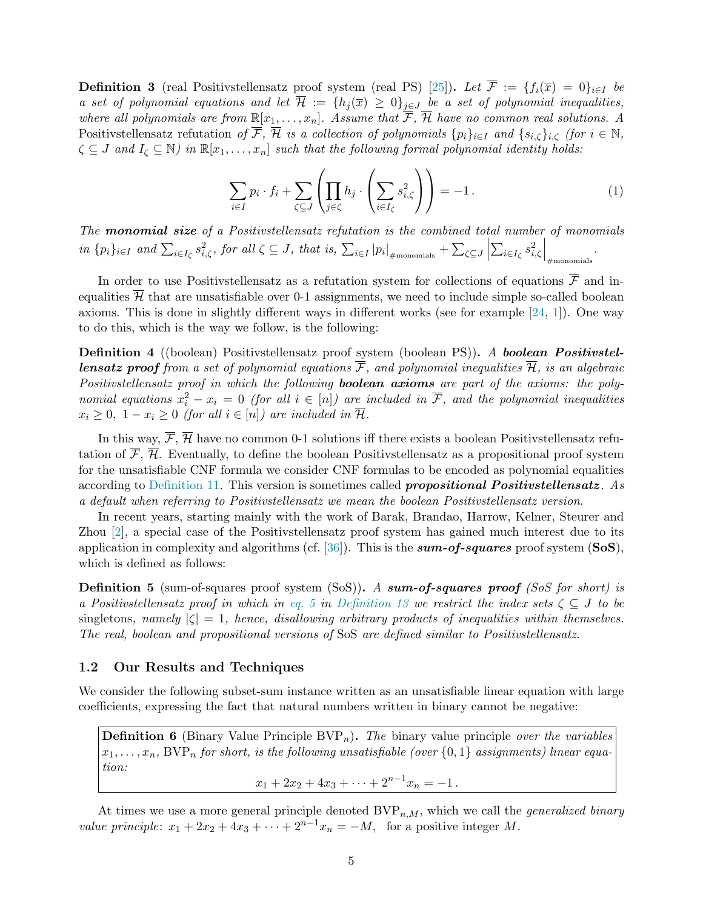<span id="page-6-3"></span>**Definition 3** (real Positivstellensatz proof system (real PS) [\[25\]](#page-54-3)). Let  $\overline{\mathcal{F}} := \{f_i(\overline{x}) = 0\}_{i\in I}$  be a set of polynomial equations and let  $\overline{\mathcal{H}} := \{h_j(\overline{x}) \geq 0\}_{j \in J}$  be a set of polynomial inequalities, where all polynomials are from  $\mathbb{R}[x_1,\ldots,x_n]$ . Assume that  $\overline{\mathcal{F}}, \overline{\mathcal{H}}$  have no common real solutions. A Positivstellensatz refutation of  $\overline{\mathcal{F}}, \overline{\mathcal{H}}$  is a collection of polynomials  $\{p_i\}_{i\in I}$  and  $\{s_{i,\zeta}\}_{i,\zeta}$  (for  $i \in \mathbb{N}$ ,  $\zeta \subseteq J$  and  $I_{\zeta} \subseteq \mathbb{N}$ ) in  $\mathbb{R}[x_1,\ldots,x_n]$  such that the following formal polynomial identity holds:

<span id="page-6-1"></span>
$$
\sum_{i \in I} p_i \cdot f_i + \sum_{\zeta \subseteq J} \left( \prod_{j \in \zeta} h_j \cdot \left( \sum_{i \in I_\zeta} s_{i,\zeta}^2 \right) \right) = -1. \tag{1}
$$

The **monomial size** of a Positivistellensatz refutation is the combined total number of monomials in  $\{p_i\}_{i\in I}$  and  $\sum_{i\in I_{\zeta}} s_{i,\zeta}^2$ , for all  $\zeta \subseteq J$ , that is,  $\sum_{i\in I} |p_i|_{\#\text{monomials}}} + \sum_{\zeta \subseteq J}$   $\sum_{i\in I_\zeta} s_{i,\zeta}^2$  $\bigg\vert_{\text{\#monomials}}$ .

In order to use Positivstellensatz as a refutation system for collections of equations  $\overline{\mathcal{F}}$  and inequalities  $\overline{\mathcal{H}}$  that are unsatisfiable over 0-1 assignments, we need to include simple so-called boolean axioms. This is done in slightly different ways in different works (see for example [\[24,](#page-54-4) [1\]](#page-53-6)). One way to do this, which is the way we follow, is the following:

<span id="page-6-2"></span>Definition 4 ((boolean) Positivstellensatz proof system (boolean PS)). A boolean Positivstel**lensatz proof** from a set of polynomial equations  $\overline{\mathcal{F}}$ , and polynomial inequalities  $\overline{\mathcal{H}}$ , is an algebraic Positivstellensatz proof in which the following **boolean axioms** are part of the axioms: the polynomial equations  $x_i^2 - x_i = 0$  (for all  $i \in [n]$ ) are included in  $\overline{\mathcal{F}}$ , and the polynomial inequalities  $x_i \geq 0$ ,  $1 - x_i \geq 0$  (for all  $i \in [n]$ ) are included in  $\overline{\mathcal{H}}$ .

In this way,  $\overline{\mathcal{F}}, \overline{\mathcal{H}}$  have no common 0-1 solutions iff there exists a boolean Positivstellensatz refutation of  $\overline{\mathcal{F}}, \overline{\mathcal{H}}$ . Eventually, to define the boolean Positivstellensatz as a propositional proof system for the unsatisfiable CNF formula we consider CNF formulas to be encoded as polynomial equalities according to [Definition 11.](#page-17-1) This version is sometimes called *propositional Positivstellensatz*. As a default when referring to Positivstellensatz we mean the boolean Positivstellensatz version.

In recent years, starting mainly with the work of Barak, Brandao, Harrow, Kelner, Steurer and Zhou [\[2\]](#page-53-2), a special case of the Positivstellensatz proof system has gained much interest due to its application in complexity and algorithms (cf.  $[36]$ ). This is the **sum-of-squares** proof system (SoS), which is defined as follows:

**Definition 5** (sum-of-squares proof system (SoS)). A sum-of-squares proof (SoS for short) is a Positivstellensatz proof in which in [eq. 5](#page-18-2) in [Definition 13](#page-18-3) we restrict the index sets  $\zeta \subseteq J$  to be singletons, namely  $|\zeta| = 1$ , hence, disallowing arbitrary products of inequalities within themselves. The real, boolean and propositional versions of SoS are defined similar to Positivstellensatz.

#### <span id="page-6-0"></span>1.2 Our Results and Techniques

We consider the following subset-sum instance written as an unsatisfiable linear equation with large coefficients, expressing the fact that natural numbers written in binary cannot be negative:

**Definition 6** (Binary Value Principle BVP<sub>n</sub>). The binary value principle over the variables  $x_1, \ldots, x_n$ , BVP<sub>n</sub> for short, is the following unsatisfiable (over  $\{0,1\}$  assignments) linear equation:

 $x_1 + 2x_2 + 4x_3 + \cdots + 2^{n-1}x_n = -1$ .

At times we use a more general principle denoted  $BVP_{n,M}$ , which we call the *generalized binary* value principle:  $x_1 + 2x_2 + 4x_3 + \cdots + 2^{n-1}x_n = -M$ , for a positive integer M.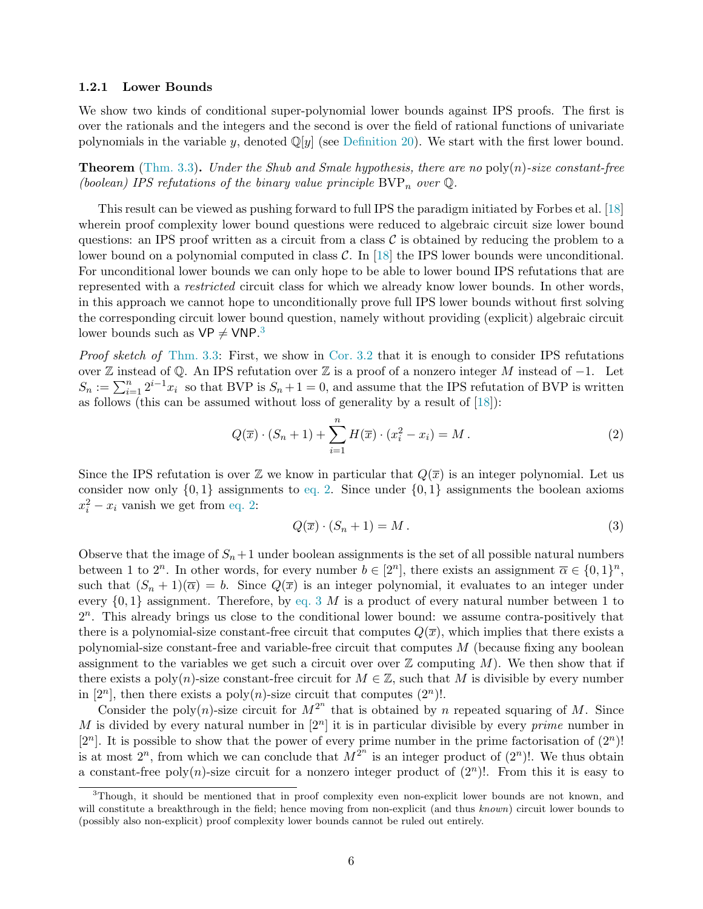#### <span id="page-7-0"></span>1.2.1 Lower Bounds

We show two kinds of conditional super-polynomial lower bounds against IPS proofs. The first is over the rationals and the integers and the second is over the field of rational functions of univariate polynomials in the variable y, denoted  $\mathbb{Q}[y]$  (see [Definition 20\)](#page-24-1). We start with the first lower bound.

<span id="page-7-3"></span>**Theorem** [\(Thm. 3.3\)](#page-22-0). Under the Shub and Smale hypothesis, there are no poly $(n)$ -size constant-free (boolean) IPS refutations of the binary value principle  $BVP_n$  over  $\mathbb Q$ .

This result can be viewed as pushing forward to full IPS the paradigm initiated by Forbes et al. [\[18\]](#page-54-2) wherein proof complexity lower bound questions were reduced to algebraic circuit size lower bound questions: an IPS proof written as a circuit from a class  $\mathcal C$  is obtained by reducing the problem to a lower bound on a polynomial computed in class  $\mathcal{C}$ . In [\[18\]](#page-54-2) the IPS lower bounds were unconditional. For unconditional lower bounds we can only hope to be able to lower bound IPS refutations that are represented with a restricted circuit class for which we already know lower bounds. In other words, in this approach we cannot hope to unconditionally prove full IPS lower bounds without first solving the corresponding circuit lower bound question, namely without providing (explicit) algebraic circuit lower bounds such as  $VP \neq VNP$ <sup>3</sup>

Proof sketch of [Thm. 3.3:](#page-22-0) First, we show in [Cor. 3.2](#page-22-1) that it is enough to consider IPS refutations over Z instead of Q. An IPS refutation over Z is a proof of a nonzero integer M instead of  $-1$ . Let  $S_n := \sum_{i=1}^n 2^{i-1}x_i$  so that BVP is  $S_n + 1 = 0$ , and assume that the IPS refutation of BVP is written as follows (this can be assumed without loss of generality by a result of [\[18\]](#page-54-2)):

<span id="page-7-1"></span>
$$
Q(\overline{x}) \cdot (S_n + 1) + \sum_{i=1}^n H(\overline{x}) \cdot (x_i^2 - x_i) = M.
$$
 (2)

Since the IPS refutation is over  $\mathbb Z$  we know in particular that  $Q(\overline x)$  is an integer polynomial. Let us consider now only  $\{0, 1\}$  assignments to [eq. 2.](#page-7-1) Since under  $\{0, 1\}$  assignments the boolean axioms  $x_i^2 - x_i$  vanish we get from [eq. 2:](#page-7-1)

<span id="page-7-2"></span>
$$
Q(\overline{x}) \cdot (S_n + 1) = M. \tag{3}
$$

Observe that the image of  $S_n+1$  under boolean assignments is the set of all possible natural numbers between 1 to  $2^n$ . In other words, for every number  $b \in [2^n]$ , there exists an assignment  $\overline{\alpha} \in \{0,1\}^n$ , such that  $(S_n + 1)(\overline{\alpha}) = b$ . Since  $Q(\overline{x})$  is an integer polynomial, it evaluates to an integer under every  $\{0,1\}$  assignment. Therefore, by [eq. 3](#page-7-2) M is a product of every natural number between 1 to  $2<sup>n</sup>$ . This already brings us close to the conditional lower bound: we assume contra-positively that there is a polynomial-size constant-free circuit that computes  $Q(\overline{x})$ , which implies that there exists a polynomial-size constant-free and variable-free circuit that computes  $M$  (because fixing any boolean assignment to the variables we get such a circuit over over  $\mathbb Z$  computing M). We then show that if there exists a poly(n)-size constant-free circuit for  $M \in \mathbb{Z}$ , such that M is divisible by every number in [2<sup>n</sup>], then there exists a poly(n)-size circuit that computes (2<sup>n</sup>)!.

Consider the poly(n)-size circuit for  $M^{2^n}$  that is obtained by n repeated squaring of M. Since M is divided by every natural number in  $[2^n]$  it is in particular divisible by every *prime* number in  $[2<sup>n</sup>]$ . It is possible to show that the power of every prime number in the prime factorisation of  $(2<sup>n</sup>)!$ is at most  $2^n$ , from which we can conclude that  $M^{2^n}$  is an integer product of  $(2^n)!$ . We thus obtain a constant-free poly(n)-size circuit for a nonzero integer product of  $(2^n)!$ . From this it is easy to

<sup>&</sup>lt;sup>3</sup>Though, it should be mentioned that in proof complexity even non-explicit lower bounds are not known, and will constitute a breakthrough in the field; hence moving from non-explicit (and thus known) circuit lower bounds to (possibly also non-explicit) proof complexity lower bounds cannot be ruled out entirely.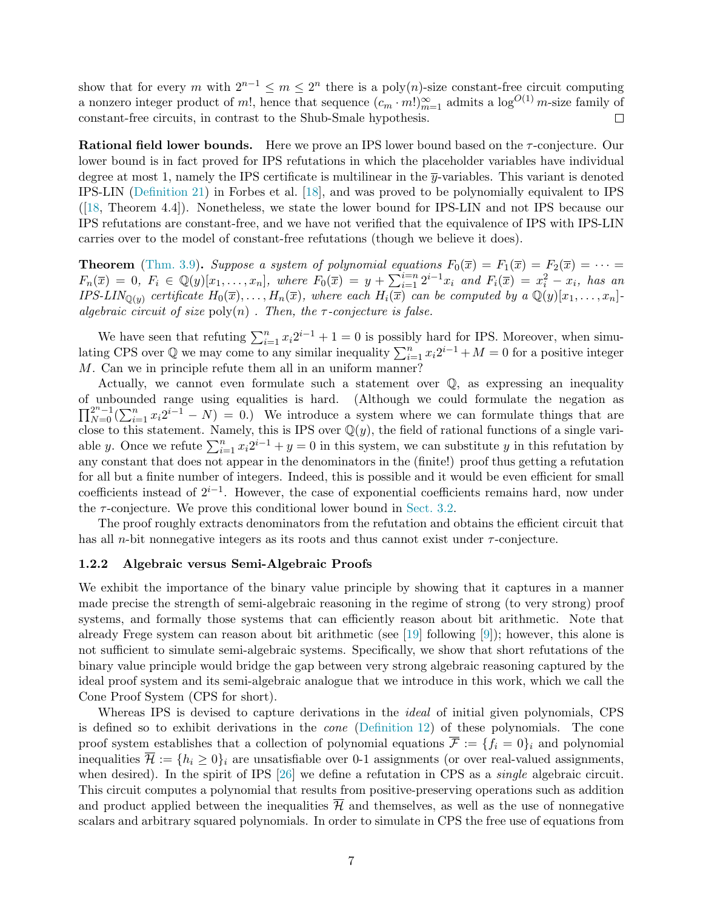show that for every m with  $2^{n-1} \le m \le 2^n$  there is a poly $(n)$ -size constant-free circuit computing a nonzero integer product of m!, hence that sequence  $(c_m \cdot m!)_{m=1}^{\infty}$  admits a  $\log^{O(1)} m$ -size family of constant-free circuits, in contrast to the Shub-Smale hypothesis.  $\Box$ 

<span id="page-8-1"></span>Rational field lower bounds. Here we prove an IPS lower bound based on the τ-conjecture. Our lower bound is in fact proved for IPS refutations in which the placeholder variables have individual degree at most 1, namely the IPS certificate is multilinear in the  $\bar{y}$ -variables. This variant is denoted IPS-LIN [\(Definition 21\)](#page-24-2) in Forbes et al. [\[18\]](#page-54-2), and was proved to be polynomially equivalent to IPS ([\[18,](#page-54-2) Theorem 4.4]). Nonetheless, we state the lower bound for IPS-LIN and not IPS because our IPS refutations are constant-free, and we have not verified that the equivalence of IPS with IPS-LIN carries over to the model of constant-free refutations (though we believe it does).

**Theorem** [\(Thm. 3.9\)](#page-26-1). Suppose a system of polynomial equations  $F_0(\overline{x}) = F_1(\overline{x}) = F_2(\overline{x}) = \cdots$  $F_n(\bar{x}) = 0, F_i \in \mathbb{Q}(y)[x_1, \ldots, x_n],$  where  $F_0(\bar{x}) = y + \sum_{i=1}^{i=n} 2^{i-1}x_i$  and  $F_i(\bar{x}) = x_i^2 - x_i$ , has an IPS-LIN<sub>Q(y)</sub> certificate  $H_0(\overline{x}), \ldots, H_n(\overline{x})$ , where each  $H_i(\overline{x})$  can be computed by a  $\mathbb{Q}(y)[x_1, \ldots, x_n]$ algebraic circuit of size  $\text{poly}(n)$ . Then, the  $\tau$ -conjecture is false.

We have seen that refuting  $\sum_{i=1}^{n} x_i 2^{i-1} + 1 = 0$  is possibly hard for IPS. Moreover, when simulating CPS over  $\mathbb Q$  we may come to any similar inequality  $\sum_{i=1}^n x_i 2^{i-1} + M = 0$  for a positive integer M. Can we in principle refute them all in an uniform manner?

Actually, we cannot even formulate such a statement over Q, as expressing an inequality of unbounded range using equalities is hard. (Although we could formulate the negation as  $\prod_{N=0}^{2^n-1}(\sum_{i=1}^n x_i2^{i-1} - N) = 0.$  We introduce a system where we can formulate things that are close to this statement. Namely, this is IPS over  $\mathbb{Q}(y)$ , the field of rational functions of a single variable y. Once we refute  $\sum_{i=1}^{n} x_i 2^{i-1} + y = 0$  in this system, we can substitute y in this refutation by any constant that does not appear in the denominators in the (finite!) proof thus getting a refutation for all but a finite number of integers. Indeed, this is possible and it would be even efficient for small coefficients instead of  $2^{i-1}$ . However, the case of exponential coefficients remains hard, now under the  $\tau$ -conjecture. We prove this conditional lower bound in [Sect. 3.2.](#page-24-0)

The proof roughly extracts denominators from the refutation and obtains the efficient circuit that has all *n*-bit nonnegative integers as its roots and thus cannot exist under  $\tau$ -conjecture.

#### <span id="page-8-0"></span>1.2.2 Algebraic versus Semi-Algebraic Proofs

We exhibit the importance of the binary value principle by showing that it captures in a manner made precise the strength of semi-algebraic reasoning in the regime of strong (to very strong) proof systems, and formally those systems that can efficiently reason about bit arithmetic. Note that already Frege system can reason about bit arithmetic (see [\[19\]](#page-54-12) following [\[9\]](#page-54-13)); however, this alone is not sufficient to simulate semi-algebraic systems. Specifically, we show that short refutations of the binary value principle would bridge the gap between very strong algebraic reasoning captured by the ideal proof system and its semi-algebraic analogue that we introduce in this work, which we call the Cone Proof System (CPS for short).

Whereas IPS is devised to capture derivations in the *ideal* of initial given polynomials, CPS is defined so to exhibit derivations in the cone [\(Definition 12\)](#page-18-1) of these polynomials. The cone proof system establishes that a collection of polynomial equations  $\overline{\mathcal{F}} := \{f_i = 0\}_i$  and polynomial inequalities  $\overline{\mathcal{H}} := \{h_i \geq 0\}$  are unsatisfiable over 0-1 assignments (or over real-valued assignments, when desired). In the spirit of IPS [\[26\]](#page-54-0) we define a refutation in CPS as a *single* algebraic circuit. This circuit computes a polynomial that results from positive-preserving operations such as addition and product applied between the inequalities  $\overline{\mathcal{H}}$  and themselves, as well as the use of nonnegative scalars and arbitrary squared polynomials. In order to simulate in CPS the free use of equations from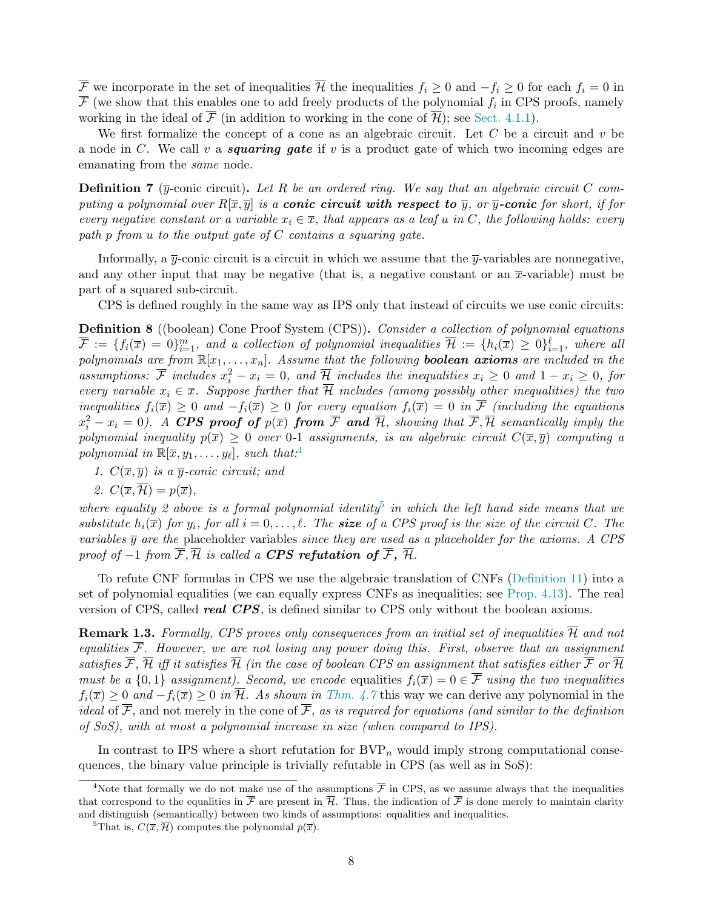$\overline{\mathcal{F}}$  we incorporate in the set of inequalities  $\overline{\mathcal{H}}$  the inequalities  $f_i \geq 0$  and  $-f_i \geq 0$  for each  $f_i = 0$  in  $\mathcal F$  (we show that this enables one to add freely products of the polynomial  $f_i$  in CPS proofs, namely working in the ideal of  $\overline{\mathcal{F}}$  (in addition to working in the cone of  $\overline{\mathcal{H}}$ ); see [Sect. 4.1.1\)](#page-31-0).

We first formalize the concept of a cone as an algebraic circuit. Let  $C$  be a circuit and  $v$  be a node in C. We call v a **squaring gate** if v is a product gate of which two incoming edges are emanating from the same node.

**Definition 7** ( $\overline{y}$ -conic circuit). Let R be an ordered ring. We say that an algebraic circuit C computing a polynomial over  $R[\overline{x}, \overline{y}]$  is a **conic circuit with respect to**  $\overline{y}$ , or  $\overline{y}$ -**conic** for short, if for every negative constant or a variable  $x_i \in \overline{x}$ , that appears as a leaf u in C, the following holds: every path p from u to the output gate of  $C$  contains a squaring gate.

Informally, a  $\overline{y}$ -conic circuit is a circuit in which we assume that the  $\overline{y}$ -variables are nonnegative, and any other input that may be negative (that is, a negative constant or an  $\bar{x}$ -variable) must be part of a squared sub-circuit.

CPS is defined roughly in the same way as IPS only that instead of circuits we use conic circuits:

Definition 8 ((boolean) Cone Proof System (CPS)). Consider a collection of polynomial equations  $\overline{\mathcal{F}}:=\{f_i(\overline{x})=0\}_{i=1}^m,$  and a collection of polynomial inequalities  $\overline{\mathcal{H}}:=\{h_i(\overline{x})\geq 0\}_{i=1}^\ell,$  where all polynomials are from  $\mathbb{R}[x_1,\ldots,x_n]$ . Assume that the following **boolean axioms** are included in the assumptions:  $\overline{\mathcal{F}}$  includes  $x_i^2 - x_i = 0$ , and  $\overline{\mathcal{H}}$  includes the inequalities  $x_i \geq 0$  and  $1 - x_i \geq 0$ , for every variable  $x_i \in \overline{x}$ . Suppose further that  $\overline{\mathcal{H}}$  includes (among possibly other inequalities) the two inequalities  $f_i(\overline{x}) \geq 0$  and  $-f_i(\overline{x}) \geq 0$  for every equation  $f_i(\overline{x}) = 0$  in  $\overline{\mathcal{F}}$  (including the equations  $x_i^2-x_i=0$ ). A CPS proof of  $p(\overline{x})$  from  $\overline{\mathcal{F}}$  and  $\overline{\mathcal{H}}$ , showing that  $\overline{\mathcal{F}}, \overline{\mathcal{H}}$  semantically imply the polynomial inequality  $p(\bar{x}) \geq 0$  over 0-1 assignments, is an algebraic circuit  $C(\bar{x}, \bar{y})$  computing a polynomial in  $\mathbb{R}[\overline{x}, y_1, \ldots, y_\ell]$ , such that:<sup>4</sup>

1.  $C(\overline{x}, \overline{y})$  is a  $\overline{y}$ -conic circuit; and

2. 
$$
C(\overline{x}, \overline{\mathcal{H}}) = p(\overline{x}),
$$

where equality 2 above is a formal polynomial identity<sup>5</sup> in which the left hand side means that we substitute  $h_i(\overline{x})$  for  $y_i$ , for all  $i = 0, \ldots, \ell$ . The **size** of a CPS proof is the size of the circuit C. The variables  $\bar{y}$  are the placeholder variables since they are used as a placeholder for the axioms. A CPS proof of  $-1$  from  $\overline{\mathcal{F}}, \overline{\mathcal{H}}$  is called a **CPS** refutation of  $\overline{\mathcal{F}}, \overline{\mathcal{H}}$ .

To refute CNF formulas in CPS we use the algebraic translation of CNFs [\(Definition 11\)](#page-17-1) into a set of polynomial equalities (we can equally express CNFs as inequalities; see [Prop. 4.13\)](#page-34-1). The real version of CPS, called **real CPS**, is defined similar to CPS only without the boolean axioms.

**Remark 1.3.** Formally, CPS proves only consequences from an initial set of inequalities  $\overline{\mathcal{H}}$  and not equalities  $\overline{\mathcal{F}}$ . However, we are not losing any power doing this. First, observe that an assignment satisfies  $\overline{\mathcal{F}}, \overline{\mathcal{H}}$  iff it satisfies  $\overline{\mathcal{H}}$  (in the case of boolean CPS an assignment that satisfies either  $\overline{\mathcal{F}}$  or  $\overline{\mathcal{H}}$ must be a  $\{0,1\}$  assignment). Second, we encode equalities  $f_i(\overline{x}) = 0 \in \overline{\mathcal{F}}$  using the two inequalities  $f_i(\overline{x}) \geq 0$  and  $-f_i(\overline{x}) \geq 0$  in  $\overline{\mathcal{H}}$ . As shown in [Thm. 4.7](#page-31-1) this way we can derive any polynomial in the ideal of  $\overline{\mathcal{F}}$ , and not merely in the cone of  $\overline{\mathcal{F}}$ , as is required for equations (and similar to the definition of SoS), with at most a polynomial increase in size (when compared to IPS).

In contrast to IPS where a short refutation for  $BVP_n$  would imply strong computational consequences, the binary value principle is trivially refutable in CPS (as well as in SoS):

<sup>&</sup>lt;sup>4</sup>Note that formally we do not make use of the assumptions  $\bar{\mathcal{F}}$  in CPS, as we assume always that the inequalities that correspond to the equalities in  $\overline{\mathcal{F}}$  are present in  $\overline{\mathcal{H}}$ . Thus, the indication of  $\overline{\mathcal{F}}$  is done merely to maintain clarity and distinguish (semantically) between two kinds of assumptions: equalities and inequalities.

<sup>&</sup>lt;sup>5</sup>That is,  $C(\overline{x}, \overline{\mathcal{H}})$  computes the polynomial  $p(\overline{x})$ .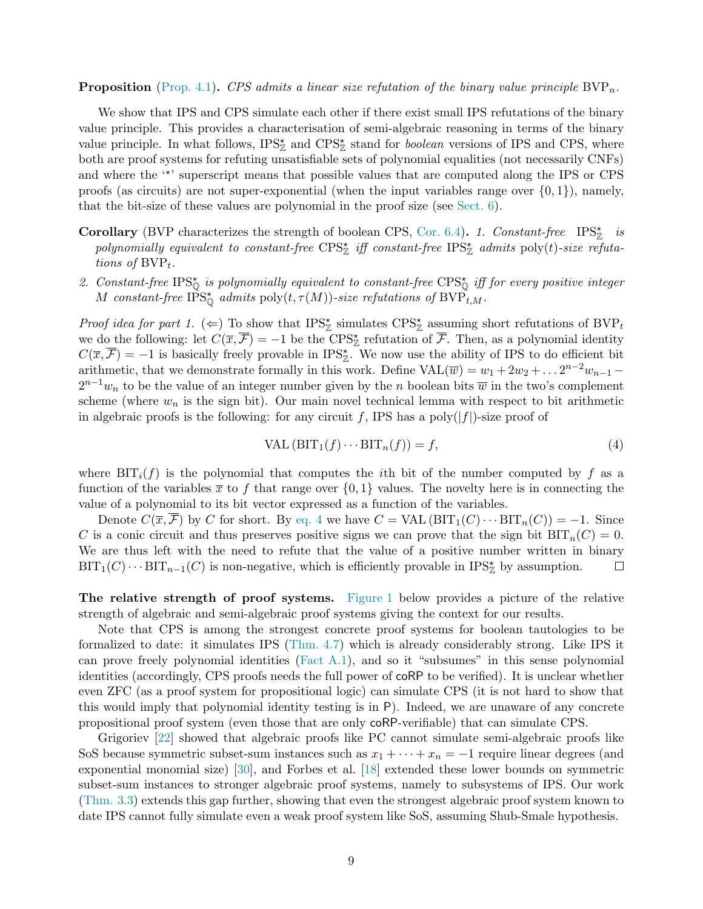#### **Proposition** [\(Prop. 4.1\)](#page-29-0). CPS admits a linear size refutation of the binary value principle  $BVP_n$ .

We show that IPS and CPS simulate each other if there exist small IPS refutations of the binary value principle. This provides a characterisation of semi-algebraic reasoning in terms of the binary value principle. In what follows,  $IPS_{\mathbb{Z}}^{\star}$  and  $CPS_{\mathbb{Z}}^{\star}$  stand for *boolean* versions of IPS and CPS, where both are proof systems for refuting unsatisfiable sets of polynomial equalities (not necessarily CNFs) and where the "\*' superscript means that possible values that are computed along the IPS or CPS proofs (as circuits) are not super-exponential (when the input variables range over  $\{0, 1\}$ ), namely, that the bit-size of these values are polynomial in the proof size (see [Sect. 6\)](#page-44-0).

- **Corollary** (BVP characterizes the strength of boolean CPS, [Cor. 6.4\)](#page-46-1). 1. Constant-free IPS<sub> $z$ </sub><sup>\*</sup> is polynomially equivalent to constant-free  $CPS^*_{\mathbb{Z}}$  iff constant-free  $IPS^*_{\mathbb{Z}}$  admits  $\text{poly}(t)$ -size refutations of  $BVP_t$ .
- 2. Constant-free IPS $_{\mathbb{Q}}^{\star}$  is polynomially equivalent to constant-free CPS $_{\mathbb{Q}}^{\star}$  iff for every positive integer M constant-free  $\tilde{\text{IPS}}_{\mathbb{Q}}^{\star}$  admits  $\text{poly}(t, \tau(M))$ -size refutations of  $\text{BVP}_{t,M}^{\star}$ .

*Proof idea for part 1.* ( $\Leftarrow$ ) To show that IPS<sub>Z</sub><sup>\*</sup> simulates CPS<sup>\*</sup><sub>Z</sub><sup>\*</sup> assuming short refutations of BVP<sub>t</sub><sup>\*</sup> we do the following: let  $C(\overline{x}, \overline{\mathcal{F}}) = -1$  be the CPS<sub> $\mathbb{Z}$ </sub> refutation of  $\overline{\mathcal{F}}$ . Then, as a polynomial identity  $C(\overline{x}, \overline{\mathcal{F}}) = -1$  is basically freely provable in IPS<sub> $\mathbb{Z}$ </sub>. We now use the ability of IPS to do efficient bit arithmetic, that we demonstrate formally in this work. Define  $\text{VAL}(\overline{w}) = w_1 + 2w_2 + ... 2^{n-2}w_{n-1}$  $2^{n-1}w_n$  to be the value of an integer number given by the n boolean bits  $\overline{w}$  in the two's complement scheme (where  $w_n$  is the sign bit). Our main novel technical lemma with respect to bit arithmetic in algebraic proofs is the following: for any circuit f, IPS has a  $poly(|f|)$ -size proof of

<span id="page-10-0"></span>
$$
VAL\left(BIT_1(f)\cdots BIT_n(f)\right) = f,\tag{4}
$$

where  $\text{BIT}_i(f)$  is the polynomial that computes the *i*th bit of the number computed by f as a function of the variables  $\bar{x}$  to f that range over  $\{0, 1\}$  values. The novelty here is in connecting the value of a polynomial to its bit vector expressed as a function of the variables.

Denote  $C(\overline{x}, \overline{\mathcal{F}})$  by C for short. By [eq. 4](#page-10-0) we have  $C = \text{VAL}(\text{BIT}_1(C) \cdots \text{BIT}_n(C)) = -1$ . Since C is a conic circuit and thus preserves positive signs we can prove that the sign bit  $BIT_n(C) = 0$ . We are thus left with the need to refute that the value of a positive number written in binary  $\mathrm{BIT}_1(C) \cdots \mathrm{BIT}_{n-1}(C)$  is non-negative, which is efficiently provable in  $\mathrm{IPS}^{\star}_{\mathbb{Z}}$  by assumption.  $\Box$ 

<span id="page-10-1"></span>The relative strength of proof systems. [Figure 1](#page-11-1) below provides a picture of the relative strength of algebraic and semi-algebraic proof systems giving the context for our results.

Note that CPS is among the strongest concrete proof systems for boolean tautologies to be formalized to date: it simulates IPS [\(Thm. 4.7\)](#page-31-1) which is already considerably strong. Like IPS it can prove freely polynomial identities [\(Fact A.1\)](#page-51-1), and so it "subsumes" in this sense polynomial identities (accordingly, CPS proofs needs the full power of coRP to be verified). It is unclear whether even ZFC (as a proof system for propositional logic) can simulate CPS (it is not hard to show that this would imply that polynomial identity testing is in P). Indeed, we are unaware of any concrete propositional proof system (even those that are only coRP-verifiable) that can simulate CPS.

Grigoriev [\[22\]](#page-54-6) showed that algebraic proofs like PC cannot simulate semi-algebraic proofs like SoS because symmetric subset-sum instances such as  $x_1 + \cdots + x_n = -1$  require linear degrees (and exponential monomial size) [\[30\]](#page-55-0), and Forbes et al. [\[18\]](#page-54-2) extended these lower bounds on symmetric subset-sum instances to stronger algebraic proof systems, namely to subsystems of IPS. Our work [\(Thm. 3.3\)](#page-22-0) extends this gap further, showing that even the strongest algebraic proof system known to date IPS cannot fully simulate even a weak proof system like SoS, assuming Shub-Smale hypothesis.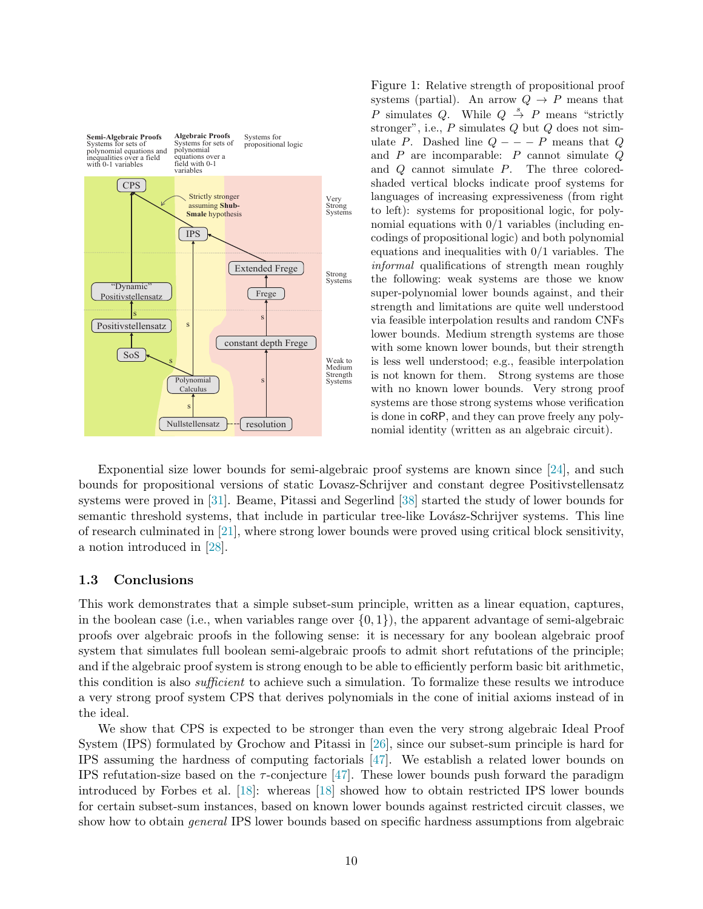<span id="page-11-1"></span>

Figure 1: Relative strength of propositional proof systems (partial). An arrow  $Q \rightarrow P$  means that P simulates Q. While  $Q \stackrel{s}{\rightarrow} P$  means "strictly stronger", i.e.,  $P$  simulates  $Q$  but  $Q$  does not simulate P. Dashed line  $Q$  – – – P means that Q and  $P$  are incomparable:  $P$  cannot simulate  $Q$ and Q cannot simulate P. The three coloredshaded vertical blocks indicate proof systems for languages of increasing expressiveness (from right to left): systems for propositional logic, for polynomial equations with 0/1 variables (including encodings of propositional logic) and both polynomial equations and inequalities with 0/1 variables. The informal qualifications of strength mean roughly the following: weak systems are those we know super-polynomial lower bounds against, and their strength and limitations are quite well understood via feasible interpolation results and random CNFs lower bounds. Medium strength systems are those with some known lower bounds, but their strength is less well understood; e.g., feasible interpolation is not known for them. Strong systems are those with no known lower bounds. Very strong proof systems are those strong systems whose verification is done in coRP, and they can prove freely any polynomial identity (written as an algebraic circuit).

Exponential size lower bounds for semi-algebraic proof systems are known since [\[24\]](#page-54-4), and such bounds for propositional versions of static Lovasz-Schrijver and constant degree Positivstellensatz systems were proved in [\[31\]](#page-55-9). Beame, Pitassi and Segerlind [\[38\]](#page-55-10) started the study of lower bounds for semantic threshold systems, that include in particular tree-like Lovász-Schrijver systems. This line of research culminated in [\[21\]](#page-54-14), where strong lower bounds were proved using critical block sensitivity, a notion introduced in [\[28\]](#page-55-11).

#### <span id="page-11-0"></span>1.3 Conclusions

This work demonstrates that a simple subset-sum principle, written as a linear equation, captures, in the boolean case (i.e., when variables range over  $\{0, 1\}$ ), the apparent advantage of semi-algebraic proofs over algebraic proofs in the following sense: it is necessary for any boolean algebraic proof system that simulates full boolean semi-algebraic proofs to admit short refutations of the principle; and if the algebraic proof system is strong enough to be able to efficiently perform basic bit arithmetic, this condition is also sufficient to achieve such a simulation. To formalize these results we introduce a very strong proof system CPS that derives polynomials in the cone of initial axioms instead of in the ideal.

We show that CPS is expected to be stronger than even the very strong algebraic Ideal Proof System (IPS) formulated by Grochow and Pitassi in [\[26\]](#page-54-0), since our subset-sum principle is hard for IPS assuming the hardness of computing factorials [\[47\]](#page-56-1). We establish a related lower bounds on IPS refutation-size based on the  $\tau$ -conjecture [\[47\]](#page-56-1). These lower bounds push forward the paradigm introduced by Forbes et al. [\[18\]](#page-54-2): whereas [\[18\]](#page-54-2) showed how to obtain restricted IPS lower bounds for certain subset-sum instances, based on known lower bounds against restricted circuit classes, we show how to obtain general IPS lower bounds based on specific hardness assumptions from algebraic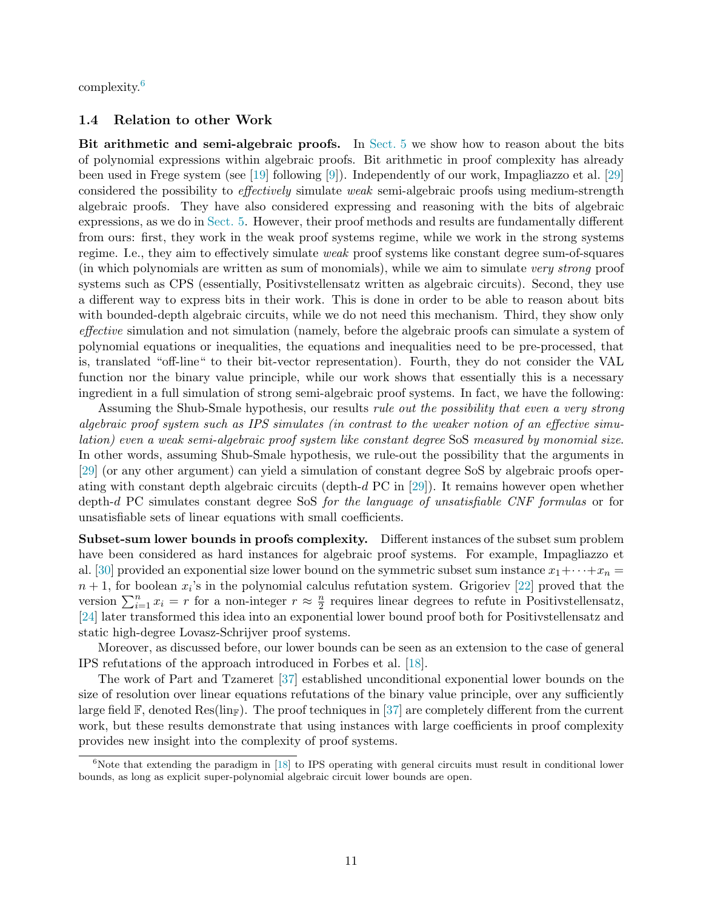<span id="page-12-0"></span>complexity.<sup>6</sup>

#### 1.4 Relation to other Work

<span id="page-12-1"></span>Bit arithmetic and semi-algebraic proofs. In [Sect. 5](#page-34-0) we show how to reason about the bits of polynomial expressions within algebraic proofs. Bit arithmetic in proof complexity has already been used in Frege system (see [\[19\]](#page-54-12) following [\[9\]](#page-54-13)). Independently of our work, Impagliazzo et al. [\[29\]](#page-55-12) considered the possibility to effectively simulate weak semi-algebraic proofs using medium-strength algebraic proofs. They have also considered expressing and reasoning with the bits of algebraic expressions, as we do in [Sect. 5.](#page-34-0) However, their proof methods and results are fundamentally different from ours: first, they work in the weak proof systems regime, while we work in the strong systems regime. I.e., they aim to effectively simulate weak proof systems like constant degree sum-of-squares (in which polynomials are written as sum of monomials), while we aim to simulate very strong proof systems such as CPS (essentially, Positivstellensatz written as algebraic circuits). Second, they use a different way to express bits in their work. This is done in order to be able to reason about bits with bounded-depth algebraic circuits, while we do not need this mechanism. Third, they show only effective simulation and not simulation (namely, before the algebraic proofs can simulate a system of polynomial equations or inequalities, the equations and inequalities need to be pre-processed, that is, translated "off-line" to their bit-vector representation). Fourth, they do not consider the VAL function nor the binary value principle, while our work shows that essentially this is a necessary ingredient in a full simulation of strong semi-algebraic proof systems. In fact, we have the following:

Assuming the Shub-Smale hypothesis, our results *rule out the possibility that even a very strong* algebraic proof system such as IPS simulates (in contrast to the weaker notion of an effective simulation) even a weak semi-algebraic proof system like constant degree SoS measured by monomial size. In other words, assuming Shub-Smale hypothesis, we rule-out the possibility that the arguments in [\[29\]](#page-55-12) (or any other argument) can yield a simulation of constant degree SoS by algebraic proofs operating with constant depth algebraic circuits (depth-d PC in [\[29\]](#page-55-12)). It remains however open whether depth-d PC simulates constant degree SoS for the language of unsatisfiable CNF formulas or for unsatisfiable sets of linear equations with small coefficients.

<span id="page-12-2"></span>Subset-sum lower bounds in proofs complexity. Different instances of the subset sum problem have been considered as hard instances for algebraic proof systems. For example, Impagliazzo et al. [\[30\]](#page-55-0) provided an exponential size lower bound on the symmetric subset sum instance  $x_1 + \cdots + x_n =$  $n+1$ , for boolean  $x_i$ 's in the polynomial calculus refutation system. Grigoriev [\[22\]](#page-54-6) proved that the version  $\sum_{i=1}^{n} x_i = r$  for a non-integer  $r \approx \frac{n}{2}$  $\frac{n}{2}$  requires linear degrees to refute in Positivstellensatz, [\[24\]](#page-54-4) later transformed this idea into an exponential lower bound proof both for Positivstellensatz and static high-degree Lovasz-Schrijver proof systems.

Moreover, as discussed before, our lower bounds can be seen as an extension to the case of general IPS refutations of the approach introduced in Forbes et al. [\[18\]](#page-54-2).

The work of Part and Tzameret [\[37\]](#page-55-13) established unconditional exponential lower bounds on the size of resolution over linear equations refutations of the binary value principle, over any sufficiently large field  $\mathbb{F}$ , denoted Res(lin<sub>F</sub>). The proof techniques in [\[37\]](#page-55-13) are completely different from the current work, but these results demonstrate that using instances with large coefficients in proof complexity provides new insight into the complexity of proof systems.

 $6$ Note that extending the paradigm in [\[18\]](#page-54-2) to IPS operating with general circuits must result in conditional lower bounds, as long as explicit super-polynomial algebraic circuit lower bounds are open.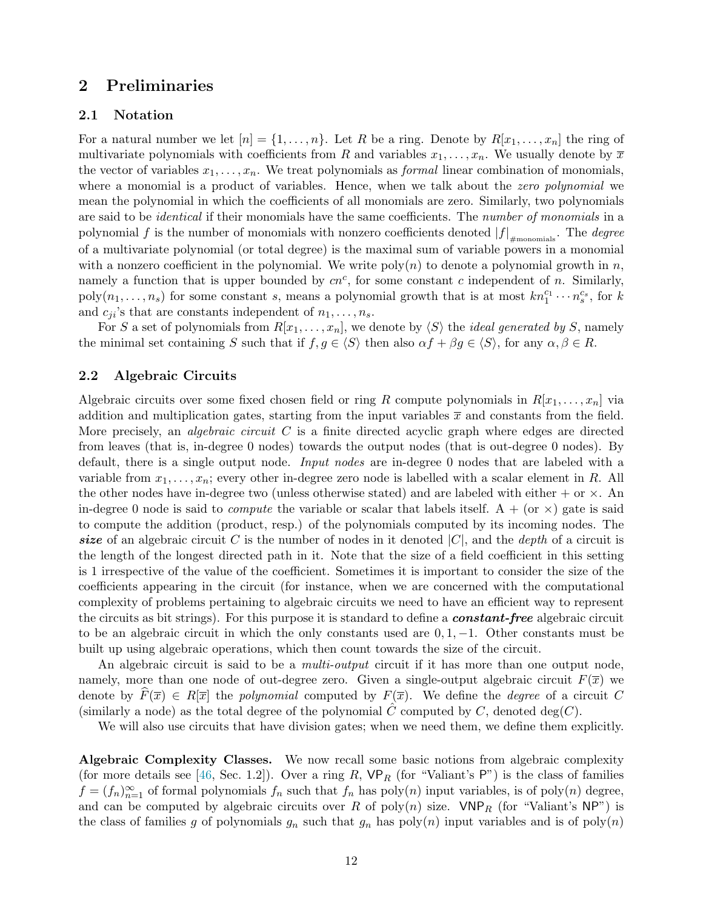## <span id="page-13-1"></span><span id="page-13-0"></span>2 Preliminaries

#### 2.1 Notation

For a natural number we let  $[n] = \{1, \ldots, n\}$ . Let R be a ring. Denote by  $R[x_1, \ldots, x_n]$  the ring of multivariate polynomials with coefficients from R and variables  $x_1, \ldots, x_n$ . We usually denote by  $\overline{x}$ the vector of variables  $x_1, \ldots, x_n$ . We treat polynomials as *formal* linear combination of monomials, where a monomial is a product of variables. Hence, when we talk about the zero polynomial we mean the polynomial in which the coefficients of all monomials are zero. Similarly, two polynomials are said to be *identical* if their monomials have the same coefficients. The *number of monomials* in a polynomial  $f$  is the number of monomials with nonzero coefficients denoted  $|f|_{\#monomials}$ . The *degree* of a multivariate polynomial (or total degree) is the maximal sum of variable powers in a monomial with a nonzero coefficient in the polynomial. We write  $poly(n)$  to denote a polynomial growth in n, namely a function that is upper bounded by  $cn^c$ , for some constant c independent of n. Similarly,  $\text{poly}(n_1,\ldots,n_s)$  for some constant s, means a polynomial growth that is at most  $kn_1^{c_1}\cdots n_s^{c_s}$ , for k and  $c_{ji}$ 's that are constants independent of  $n_1, \ldots, n_s$ .

For S a set of polynomials from  $R[x_1, \ldots, x_n]$ , we denote by  $\langle S \rangle$  the *ideal generated by S*, namely the minimal set containing S such that if  $f, g \in \langle S \rangle$  then also  $\alpha f + \beta g \in \langle S \rangle$ , for any  $\alpha, \beta \in R$ .

#### <span id="page-13-2"></span>2.2 Algebraic Circuits

Algebraic circuits over some fixed chosen field or ring R compute polynomials in  $R[x_1, \ldots, x_n]$  via addition and multiplication gates, starting from the input variables  $\bar{x}$  and constants from the field. More precisely, an *algebraic circuit* C is a finite directed acyclic graph where edges are directed from leaves (that is, in-degree 0 nodes) towards the output nodes (that is out-degree 0 nodes). By default, there is a single output node. Input nodes are in-degree 0 nodes that are labeled with a variable from  $x_1, \ldots, x_n$ ; every other in-degree zero node is labelled with a scalar element in R. All the other nodes have in-degree two (unless otherwise stated) and are labeled with either  $+$  or  $\times$ . An in-degree 0 node is said to *compute* the variable or scalar that labels itself. A + (or  $\times$ ) gate is said to compute the addition (product, resp.) of the polynomials computed by its incoming nodes. The size of an algebraic circuit C is the number of nodes in it denoted  $|C|$ , and the *depth* of a circuit is the length of the longest directed path in it. Note that the size of a field coefficient in this setting is 1 irrespective of the value of the coefficient. Sometimes it is important to consider the size of the coefficients appearing in the circuit (for instance, when we are concerned with the computational complexity of problems pertaining to algebraic circuits we need to have an efficient way to represent the circuits as bit strings). For this purpose it is standard to define a **constant-free** algebraic circuit to be an algebraic circuit in which the only constants used are  $0, 1, -1$ . Other constants must be built up using algebraic operations, which then count towards the size of the circuit.

An algebraic circuit is said to be a *multi-output* circuit if it has more than one output node, namely, more than one node of out-degree zero. Given a single-output algebraic circuit  $F(\bar{x})$  we denote by  $\widehat{F}(\overline{x}) \in R[\overline{x}]$  the polynomial computed by  $F(\overline{x})$ . We define the *degree* of a circuit C (similarly a node) as the total degree of the polynomial C computed by C, denoted deg(C).

We will also use circuits that have division gates; when we need them, we define them explicitly.

<span id="page-13-3"></span>Algebraic Complexity Classes. We now recall some basic notions from algebraic complexity (for more details see [\[46,](#page-55-14) Sec. 1.2]). Over a ring R,  $VP_R$  (for "Valiant's P") is the class of families  $f = (f_n)_{n=1}^{\infty}$  of formal polynomials  $f_n$  such that  $f_n$  has  $poly(n)$  input variables, is of  $poly(n)$  degree, and can be computed by algebraic circuits over R of poly $(n)$  size.  $VNP_R$  (for "Valiant's NP") is the class of families g of polynomials  $g_n$  such that  $g_n$  has  $poly(n)$  input variables and is of  $poly(n)$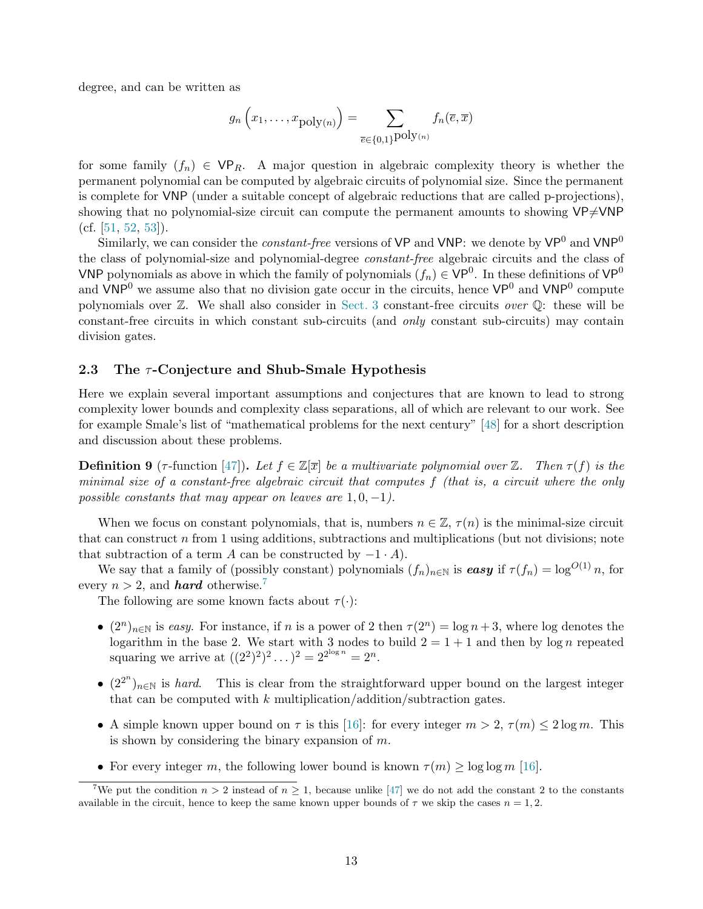degree, and can be written as

$$
g_n\left(x_1,\ldots,x_{\text{poly}(n)}\right)=\sum_{\overline{e}\in\{0,1\}^{\text{poly}(n)}}f_n(\overline{e},\overline{x})
$$

for some family  $(f_n) \in \mathsf{VP}_R$ . A major question in algebraic complexity theory is whether the permanent polynomial can be computed by algebraic circuits of polynomial size. Since the permanent is complete for VNP (under a suitable concept of algebraic reductions that are called p-projections), showing that no polynomial-size circuit can compute the permanent amounts to showing  $VP\neq VNP$ (cf.  $[51, 52, 53]$  $[51, 52, 53]$  $[51, 52, 53]$  $[51, 52, 53]$ ).

Similarly, we can consider the *constant-free* versions of  $VP$  and  $VNP$ : we denote by  $VP^0$  and  $VNP^0$ the class of polynomial-size and polynomial-degree constant-free algebraic circuits and the class of VNP polynomials as above in which the family of polynomials  $(f_n) \in VP^0$ . In these definitions of  $VP^0$ and  $VNP<sup>0</sup>$  we assume also that no division gate occur in the circuits, hence  $VP<sup>0</sup>$  and  $VNP<sup>0</sup>$  compute polynomials over  $\mathbb{Z}$ . We shall also consider in [Sect. 3](#page-20-0) constant-free circuits *over*  $\mathbb{Q}$ : these will be constant-free circuits in which constant sub-circuits (and only constant sub-circuits) may contain division gates.

#### <span id="page-14-0"></span>2.3 The  $\tau$ -Conjecture and Shub-Smale Hypothesis

Here we explain several important assumptions and conjectures that are known to lead to strong complexity lower bounds and complexity class separations, all of which are relevant to our work. See for example Smale's list of "mathematical problems for the next century" [\[48\]](#page-56-0) for a short description and discussion about these problems.

<span id="page-14-1"></span>**Definition 9** ( $\tau$ -function [\[47\]](#page-56-1)). Let  $f \in \mathbb{Z}[\bar{x}]$  be a multivariate polynomial over  $\mathbb{Z}$ . Then  $\tau(f)$  is the minimal size of a constant-free algebraic circuit that computes f (that is, a circuit where the only possible constants that may appear on leaves are  $1, 0, -1$ .

When we focus on constant polynomials, that is, numbers  $n \in \mathbb{Z}$ ,  $\tau(n)$  is the minimal-size circuit that can construct n from 1 using additions, subtractions and multiplications (but not divisions; note that subtraction of a term A can be constructed by  $-1 \cdot A$ ).

We say that a family of (possibly constant) polynomials  $(f_n)_{n\in\mathbb{N}}$  is easy if  $\tau(f_n) = \log^{O(1)} n$ , for every  $n > 2$ , and **hard** otherwise.<sup>7</sup>

The following are some known facts about  $\tau(\cdot)$ :

- $(2^n)_{n\in\mathbb{N}}$  is easy. For instance, if n is a power of 2 then  $\tau(2^n) = \log n + 3$ , where  $\log$  denotes the logarithm in the base 2. We start with 3 nodes to build  $2 = 1 + 1$  and then by log n repeated squaring we arrive at  $((2^2)^2)^2 \dots)^2 = 2^{2^{\log n}} = 2^n$ .
- $(2^{2^n})_{n\in\mathbb{N}}$  is hard. This is clear from the straightforward upper bound on the largest integer that can be computed with  $k$  multiplication/addition/subtraction gates.
- A simple known upper bound on  $\tau$  is this [\[16\]](#page-54-8): for every integer  $m > 2$ ,  $\tau(m) \leq 2 \log m$ . This is shown by considering the binary expansion of  $m$ .
- For every integer m, the following lower bound is known  $\tau(m) > \log \log m$  [\[16\]](#page-54-8).

<sup>&</sup>lt;sup>7</sup>We put the condition  $n > 2$  instead of  $n > 1$ , because unlike [\[47\]](#page-56-1) we do not add the constant 2 to the constants available in the circuit, hence to keep the same known upper bounds of  $\tau$  we skip the cases  $n = 1, 2$ .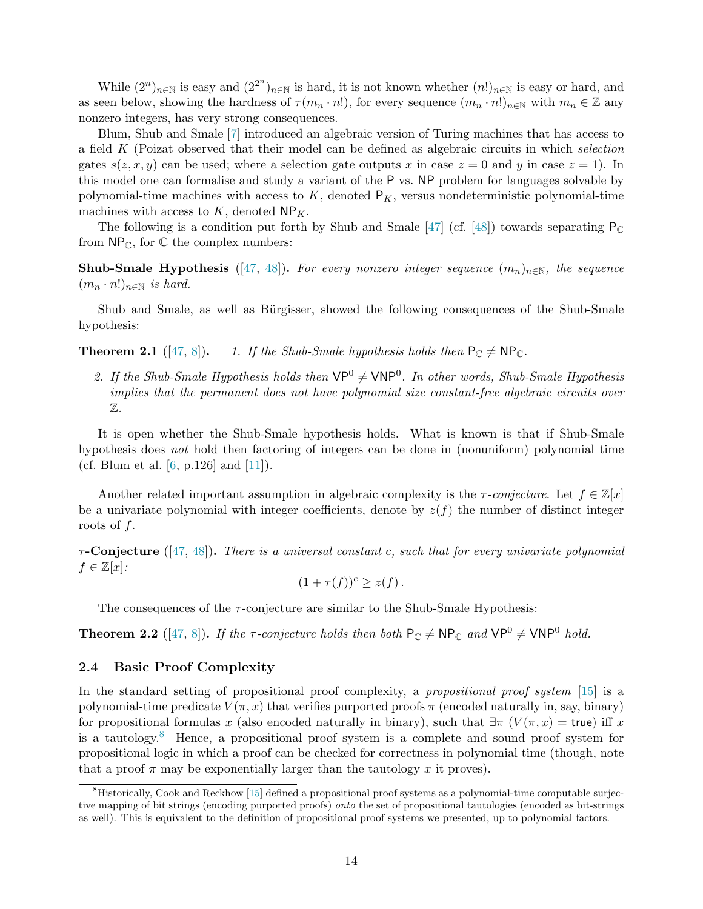While  $(2^n)_{n\in\mathbb{N}}$  is easy and  $(2^{2^n})_{n\in\mathbb{N}}$  is hard, it is not known whether  $(n!)_{n\in\mathbb{N}}$  is easy or hard, and as seen below, showing the hardness of  $\tau(m_n \cdot n!)$ , for every sequence  $(m_n \cdot n!)_{n \in \mathbb{N}}$  with  $m_n \in \mathbb{Z}$  any nonzero integers, has very strong consequences.

Blum, Shub and Smale [\[7\]](#page-53-4) introduced an algebraic version of Turing machines that has access to a field K (Poizat observed that their model can be defined as algebraic circuits in which selection gates  $s(z, x, y)$  can be used; where a selection gate outputs x in case  $z = 0$  and y in case  $z = 1$ ). In this model one can formalise and study a variant of the P vs. NP problem for languages solvable by polynomial-time machines with access to  $K$ , denoted  $P<sub>K</sub>$ , versus nondeterministic polynomial-time machines with access to  $K$ , denoted  $\mathsf{NP}_K$ .

The following is a condition put forth by Shub and Smale [\[47\]](#page-56-1) (cf. [\[48\]](#page-56-0)) towards separating  $P_C$ from  $\mathsf{NP}_{\mathbb{C}}$ , for  $\mathbb C$  the complex numbers:

Shub-Smale Hypothesis ([\[47,](#page-56-1) [48\]](#page-56-0)). For every nonzero integer sequence  $(m_n)_{n\in\mathbb{N}}$ , the sequence  $(m_n \cdot n!)_{n \in \mathbb{N}}$  is hard.

Shub and Smale, as well as Bürgisser, showed the following consequences of the Shub-Smale hypothesis:

<span id="page-15-1"></span>**Theorem 2.1** ([\[47,](#page-56-1) [8\]](#page-54-9)). 1. If the Shub-Smale hypothesis holds then  $P_{\mathbb{C}} \neq NP_{\mathbb{C}}$ .

2. If the Shub-Smale Hypothesis holds then  $VP^0 \neq VNP^0$ . In other words, Shub-Smale Hypothesis implies that the permanent does not have polynomial size constant-free algebraic circuits over Z.

It is open whether the Shub-Smale hypothesis holds. What is known is that if Shub-Smale hypothesis does not hold then factoring of integers can be done in (nonuniform) polynomial time (cf. Blum et al.  $[6, p.126]$  and  $[11]$ ).

Another related important assumption in algebraic complexity is the  $\tau$ -conjecture. Let  $f \in \mathbb{Z}[x]$ be a univariate polynomial with integer coefficients, denote by  $z(f)$  the number of distinct integer roots of f.

 $\tau$ -Conjecture ([\[47,](#page-56-1) [48\]](#page-56-0)). There is a universal constant c, such that for every univariate polynomial  $f \in \mathbb{Z}[x]$ :

$$
(1+\tau(f))^c \geq z(f).
$$

The consequences of the  $\tau$ -conjecture are similar to the Shub-Smale Hypothesis:

<span id="page-15-2"></span>**Theorem 2.2** ([\[47,](#page-56-1) [8\]](#page-54-9)). If the  $\tau$ -conjecture holds then both  $P_{\mathbb{C}} \neq NP_{\mathbb{C}}$  and  $VP^0 \neq VNP^0$  hold.

#### <span id="page-15-0"></span>2.4 Basic Proof Complexity

In the standard setting of propositional proof complexity, a propositional proof system [\[15\]](#page-54-11) is a polynomial-time predicate  $V(\pi, x)$  that verifies purported proofs  $\pi$  (encoded naturally in, say, binary) for propositional formulas x (also encoded naturally in binary), such that  $\exists \pi (V(\pi, x) = \text{true})$  iff x is a tautology.<sup>8</sup> Hence, a propositional proof system is a complete and sound proof system for propositional logic in which a proof can be checked for correctness in polynomial time (though, note that a proof  $\pi$  may be exponentially larger than the tautology x it proves).

<sup>&</sup>lt;sup>8</sup>Historically, Cook and Reckhow [\[15\]](#page-54-11) defined a propositional proof systems as a polynomial-time computable surjective mapping of bit strings (encoding purported proofs) onto the set of propositional tautologies (encoded as bit-strings as well). This is equivalent to the definition of propositional proof systems we presented, up to polynomial factors.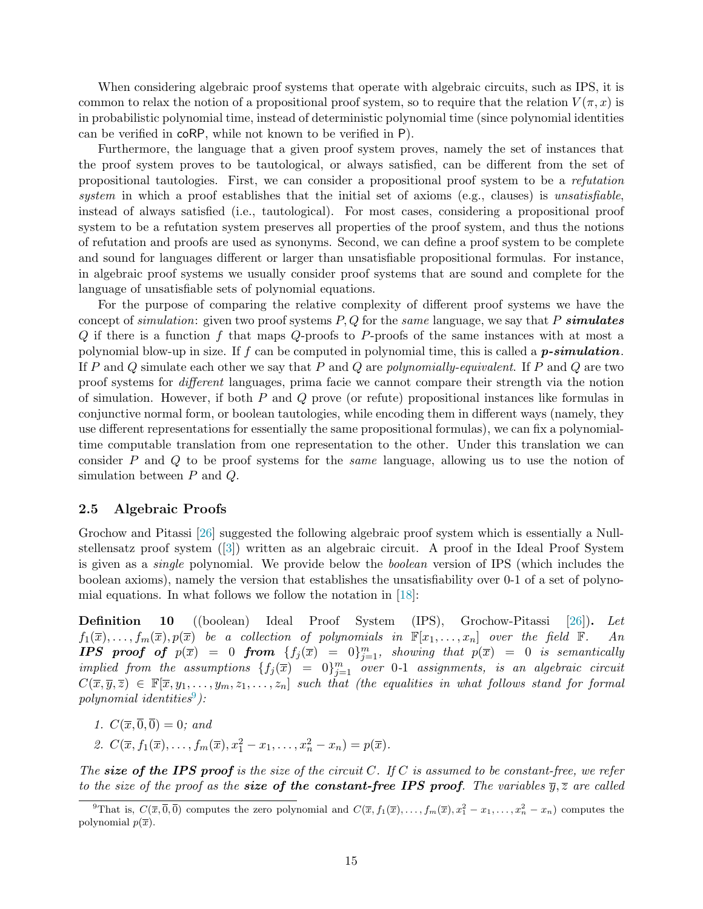When considering algebraic proof systems that operate with algebraic circuits, such as IPS, it is common to relax the notion of a propositional proof system, so to require that the relation  $V(\pi, x)$  is in probabilistic polynomial time, instead of deterministic polynomial time (since polynomial identities can be verified in coRP, while not known to be verified in P).

Furthermore, the language that a given proof system proves, namely the set of instances that the proof system proves to be tautological, or always satisfied, can be different from the set of propositional tautologies. First, we can consider a propositional proof system to be a refutation system in which a proof establishes that the initial set of axioms (e.g., clauses) is unsatisfiable, instead of always satisfied (i.e., tautological). For most cases, considering a propositional proof system to be a refutation system preserves all properties of the proof system, and thus the notions of refutation and proofs are used as synonyms. Second, we can define a proof system to be complete and sound for languages different or larger than unsatisfiable propositional formulas. For instance, in algebraic proof systems we usually consider proof systems that are sound and complete for the language of unsatisfiable sets of polynomial equations.

For the purpose of comparing the relative complexity of different proof systems we have the concept of simulation: given two proof systems  $P, Q$  for the same language, we say that P simulates  $Q$  if there is a function f that maps  $Q$ -proofs to P-proofs of the same instances with at most a polynomial blow-up in size. If f can be computed in polynomial time, this is called a  $p\text{-}simulation$ . If P and Q simulate each other we say that P and Q are polynomially-equivalent. If P and Q are two proof systems for different languages, prima facie we cannot compare their strength via the notion of simulation. However, if both  $P$  and  $Q$  prove (or refute) propositional instances like formulas in conjunctive normal form, or boolean tautologies, while encoding them in different ways (namely, they use different representations for essentially the same propositional formulas), we can fix a polynomialtime computable translation from one representation to the other. Under this translation we can consider P and Q to be proof systems for the same language, allowing us to use the notion of simulation between P and Q.

#### <span id="page-16-0"></span>2.5 Algebraic Proofs

Grochow and Pitassi [\[26\]](#page-54-0) suggested the following algebraic proof system which is essentially a Nullstellensatz proof system ([\[3\]](#page-53-1)) written as an algebraic circuit. A proof in the Ideal Proof System is given as a single polynomial. We provide below the boolean version of IPS (which includes the boolean axioms), namely the version that establishes the unsatisfiability over 0-1 of a set of polynomial equations. In what follows we follow the notation in [\[18\]](#page-54-2):

<span id="page-16-1"></span>Definition 10 ((boolean) Ideal Proof System (IPS), Grochow-Pitassi [\[26\]](#page-54-0)). Let  $f_1(\overline{x}), \ldots, f_m(\overline{x}), p(\overline{x})$  be a collection of polynomials in  $\mathbb{F}[x_1, \ldots, x_n]$  over the field  $\mathbb{F}$ . An **IPS** proof of  $p(\overline{x}) = 0$  from  $\{f_j(\overline{x}) = 0\}_{j=1}^m$ , showing that  $p(\overline{x}) = 0$  is semantically implied from the assumptions  $\{f_j(\overline{x}) = 0\}_{j=1}^m$  over 0-1 assignments, is an algebraic circuit  $C(\overline{x}, \overline{y}, \overline{z}) \in \mathbb{F}[\overline{x}, y_1, \ldots, y_m, z_1, \ldots, z_n]$  such that (the equalities in what follows stand for formal  $polynomial$  identities<sup>9</sup>):

- <span id="page-16-2"></span>1.  $C(\overline{x}, \overline{0}, \overline{0}) = 0$ ; and
- 2.  $C(\overline{x}, f_1(\overline{x}), \ldots, f_m(\overline{x}), x_1^2 x_1, \ldots, x_n^2 x_n) = p(\overline{x}).$

The size of the IPS proof is the size of the circuit C. If C is assumed to be constant-free, we refer to the size of the proof as the **size of the constant-free IPS proof.** The variables  $\overline{y}, \overline{z}$  are called

<sup>&</sup>lt;sup>9</sup>That is,  $C(\overline{x}, \overline{0}, \overline{0})$  computes the zero polynomial and  $C(\overline{x}, f_1(\overline{x}), \ldots, f_m(\overline{x}), x_1^2 - x_1, \ldots, x_n^2 - x_n)$  computes the polynomial  $p(\overline{x})$ .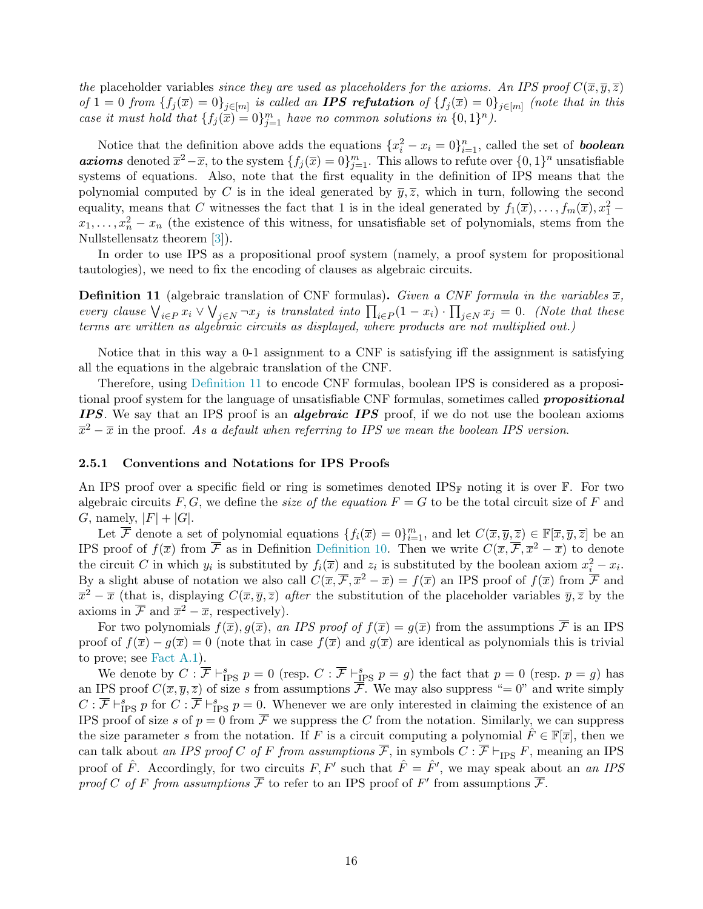the placeholder variables since they are used as placeholders for the axioms. An IPS proof  $C(\overline{x}, \overline{y}, \overline{z})$ of  $1 = 0$  from  $\{f_j(\overline{x}) = 0\}_{j \in [m]}$  is called an **IPS refutation** of  $\{f_j(\overline{x}) = 0\}_{j \in [m]}$  (note that in this case it must hold that  $\{f_j(\overline{x}) = 0\}_{j=1}^m$  have no common solutions in  $\{0,1\}^n$ ).

Notice that the definition above adds the equations  $\{x_i^2 - x_i = 0\}_{i=1}^n$ , called the set of **boolean axioms** denoted  $\overline{x}^2 - \overline{x}$ , to the system  $\{f_j(\overline{x}) = 0\}_{j=1}^m$ . This allows to refute over  $\{0, 1\}^n$  unsatisfiable systems of equations. Also, note that the first equality in the definition of IPS means that the polynomial computed by C is in the ideal generated by  $\bar{y}, \bar{z}$ , which in turn, following the second equality, means that C witnesses the fact that 1 is in the ideal generated by  $f_1(\overline{x}), \ldots, f_m(\overline{x}), x_1^2$  $x_1, \ldots, x_n^2 - x_n$  (the existence of this witness, for unsatisfiable set of polynomials, stems from the Nullstellensatz theorem [\[3\]](#page-53-1)).

In order to use IPS as a propositional proof system (namely, a proof system for propositional tautologies), we need to fix the encoding of clauses as algebraic circuits.

<span id="page-17-1"></span>**Definition 11** (algebraic translation of CNF formulas). Given a CNF formula in the variables  $\overline{x}$ , every clause  $\bigvee_{i\in P} x_i \vee \bigvee_{j\in N} \neg x_j$  is translated into  $\prod_{i\in P} (1-x_i) \cdot \prod_{j\in N} x_j = 0$ . (Note that these terms are written as algebraic circuits as displayed, where products are not multiplied out.)

Notice that in this way a 0-1 assignment to a CNF is satisfying iff the assignment is satisfying all the equations in the algebraic translation of the CNF.

Therefore, using [Definition 11](#page-17-1) to encode CNF formulas, boolean IPS is considered as a propositional proof system for the language of unsatisfiable CNF formulas, sometimes called **propositional** IPS. We say that an IPS proof is an *algebraic IPS* proof, if we do not use the boolean axioms  $\overline{x}^2 - \overline{x}$  in the proof. As a default when referring to IPS we mean the boolean IPS version.

#### <span id="page-17-0"></span>2.5.1 Conventions and Notations for IPS Proofs

An IPS proof over a specific field or ring is sometimes denoted IPS<sub>F</sub> noting it is over  $\mathbb{F}$ . For two algebraic circuits F, G, we define the *size of the equation*  $F = G$  to be the total circuit size of F and G, namely,  $|F| + |G|$ .

Let  $\overline{\mathcal{F}}$  denote a set of polynomial equations  $\{f_i(\overline{x})=0\}_{i=1}^m$ , and let  $C(\overline{x}, \overline{y}, \overline{z}) \in \mathbb{F}[\overline{x}, \overline{y}, \overline{z}]$  be an IPS proof of  $f(\overline{x})$  from  $\overline{\mathcal{F}}$  as in Definition [Definition 10.](#page-16-1) Then we write  $C(\overline{x}, \overline{\mathcal{F}}, \overline{x}^2 - \overline{x})$  to denote the circuit C in which  $y_i$  is substituted by  $f_i(\overline{x})$  and  $z_i$  is substituted by the boolean axiom  $x_i^2 - x_i$ . By a slight abuse of notation we also call  $C(\overline{x}, \overline{\mathcal{F}}, \overline{x}^2 - \overline{x}) = f(\overline{x})$  an IPS proof of  $f(\overline{x})$  from  $\overline{\mathcal{F}}$  and  $\bar{x}^2 - \bar{x}$  (that is, displaying  $C(\bar{x}, \bar{y}, \bar{z})$  after the substitution of the placeholder variables  $\bar{y}, \bar{z}$  by the axioms in  $\overline{\mathcal{F}}$  and  $\overline{x}^2 - \overline{x}$ , respectively).

For two polynomials  $f(\overline{x}), g(\overline{x})$ , an IPS proof of  $f(\overline{x}) = g(\overline{x})$  from the assumptions  $\overline{\mathcal{F}}$  is an IPS proof of  $f(\overline{x}) - g(\overline{x}) = 0$  (note that in case  $f(\overline{x})$  and  $g(\overline{x})$  are identical as polynomials this is trivial to prove; see [Fact A.1\)](#page-51-1).

We denote by  $C: \overline{\mathcal{F}} \vdash_{\text{IPS}}^s p = 0$  (resp.  $C: \overline{\mathcal{F}} \vdash_{\text{IPS}}^s p = g$ ) the fact that  $p = 0$  (resp.  $p = g$ ) has an IPS proof  $C(\overline{x}, \overline{y}, \overline{z})$  of size s from assumptions  $\overline{\overline{\mathcal{F}}}$ . We may also suppress "= 0" and write simply  $C: \overline{\mathcal{F}} \vdash_{\text{IPS }}^s p \text{ for } C: \overline{\mathcal{F}} \vdash_{\text{IPS }}^s p = 0.$  Whenever we are only interested in claiming the existence of an IPS proof of size s of  $p = 0$  from  $\overline{F}$  we suppress the C from the notation. Similarly, we can suppress the size parameter s from the notation. If F is a circuit computing a polynomial  $\hat{F} \in \mathbb{F}[\bar{x}]$ , then we can talk about an IPS proof C of F from assumptions  $\overline{\mathcal{F}}$ , in symbols  $C : \overline{\mathcal{F}} \vdash_{\text{IPS}} F$ , meaning an IPS proof of  $\hat{F}$ . Accordingly, for two circuits  $F, F'$  such that  $\hat{F} = \hat{F}'$ , we may speak about an an IPS proof C of F from assumptions  $\overline{\mathcal{F}}$  to refer to an IPS proof of F' from assumptions  $\overline{\mathcal{F}}$ .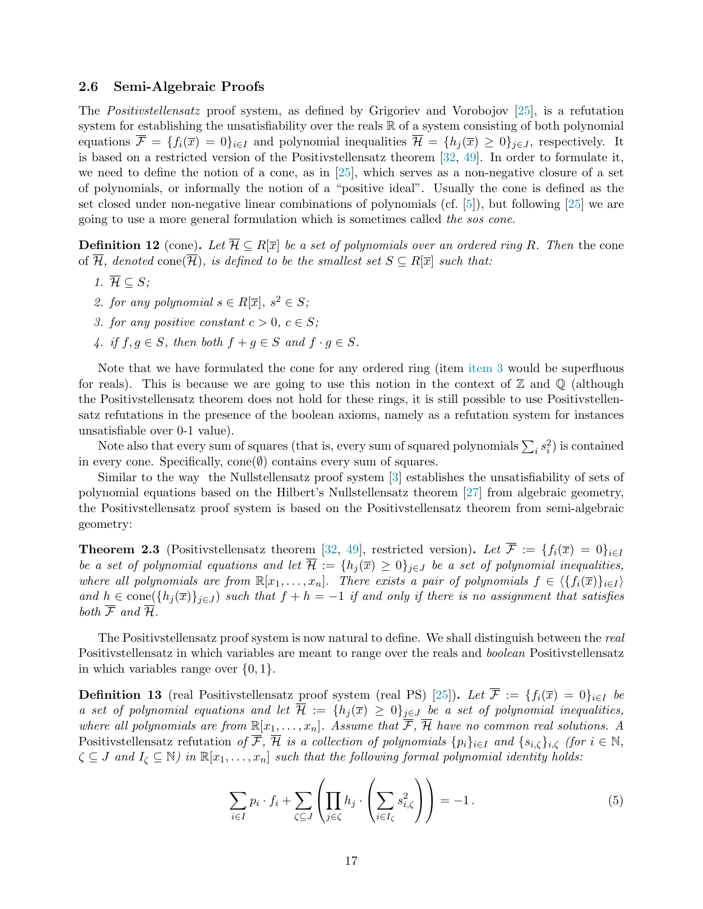#### <span id="page-18-0"></span>2.6 Semi-Algebraic Proofs

The Positivstellensatz proof system, as defined by Grigoriev and Vorobojov [\[25\]](#page-54-3), is a refutation system for establishing the unsatisfiability over the reals  $\mathbb R$  of a system consisting of both polynomial equations  $\overline{\mathcal{F}} = \{f_i(\overline{x}) = 0\}_{i \in I}$  and polynomial inequalities  $\overline{\mathcal{H}} = \{h_j(\overline{x}) \geq 0\}_{j \in J}$ , respectively. It is based on a restricted version of the Positivstellensatz theorem [\[32,](#page-55-15) [49\]](#page-56-5). In order to formulate it, we need to define the notion of a cone, as in [\[25\]](#page-54-3), which serves as a non-negative closure of a set of polynomials, or informally the notion of a "positive ideal". Usually the cone is defined as the set closed under non-negative linear combinations of polynomials (cf. [\[5\]](#page-53-7)), but following [\[25\]](#page-54-3) we are going to use a more general formulation which is sometimes called the sos cone.

<span id="page-18-1"></span>**Definition 12** (cone). Let  $\overline{\mathcal{H}} \subseteq R[\overline{x}]$  be a set of polynomials over an ordered ring R. Then the cone of  $\overline{\mathcal{H}}$ , denoted cone( $\overline{\mathcal{H}}$ ), is defined to be the smallest set  $S \subseteq R[\overline{x}]$  such that:

- 1.  $\overline{\mathcal{H}} \subseteq S$ ;
- <span id="page-18-4"></span>2. for any polynomial  $s \in R[\overline{x}]$ ,  $s^2 \in S$ ;
- <span id="page-18-5"></span>3. for any positive constant  $c > 0$ ,  $c \in S$ ;
- 4. if  $f, g \in S$ , then both  $f + g \in S$  and  $f \cdot g \in S$ .

Note that we have formulated the cone for any ordered ring (item [item 3](#page-18-4) would be superfluous for reals). This is because we are going to use this notion in the context of  $\mathbb Z$  and  $\mathbb Q$  (although the Positivstellensatz theorem does not hold for these rings, it is still possible to use Positivstellensatz refutations in the presence of the boolean axioms, namely as a refutation system for instances unsatisfiable over 0-1 value).

Note also that every sum of squares (that is, every sum of squared polynomials  $\sum_i s_i^2$ ) is contained in every cone. Specifically,  $cone(\emptyset)$  contains every sum of squares.

Similar to the way the Nullstellensatz proof system [\[3\]](#page-53-1) establishes the unsatisfiability of sets of polynomial equations based on the Hilbert's Nullstellensatz theorem [\[27\]](#page-55-16) from algebraic geometry, the Positivstellensatz proof system is based on the Positivstellensatz theorem from semi-algebraic geometry:

<span id="page-18-6"></span>**Theorem 2.3** (Positivstellensatz theorem [\[32,](#page-55-15) [49\]](#page-56-5), restricted version). Let  $\overline{\mathcal{F}} := \{f_i(\overline{x}) = 0\}_{i\in I}$ be a set of polynomial equations and let  $\overline{\mathcal{H}} := \{h_j(\overline{x}) \geq 0\}_{j \in J}$  be a set of polynomial inequalities, where all polynomials are from  $\mathbb{R}[x_1,\ldots,x_n]$ . There exists a pair of polynomials  $f \in \langle \{f_i(\overline{x})\}_{i\in I} \rangle$ and  $h \in \text{cone}(\{h_j(\overline{x})\}_{j\in J})$  such that  $f + h = -1$  if and only if there is no assignment that satisfies both  $\overline{\mathcal{F}}$  and  $\overline{\mathcal{H}}$ .

The Positivstellensatz proof system is now natural to define. We shall distinguish between the real Positivstellensatz in which variables are meant to range over the reals and boolean Positivstellensatz in which variables range over  $\{0, 1\}.$ 

<span id="page-18-3"></span>**Definition 13** (real Positivstellensatz proof system (real PS) [\[25\]](#page-54-3)). Let  $\overline{\mathcal{F}} := \{f_i(\overline{x}) = 0\}_{i\in I}$  be a set of polynomial equations and let  $\overline{\mathcal{H}} := \{h_j(\overline{x}) \geq 0\}_{j \in J}$  be a set of polynomial inequalities, where all polynomials are from  $\mathbb{R}[x_1,\ldots,x_n]$ . Assume that  $\overline{\mathcal{F}}, \overline{\mathcal{H}}$  have no common real solutions. A Positivstellensatz refutation of  $\overline{\mathcal{F}}, \overline{\mathcal{H}}$  is a collection of polynomials  $\{p_i\}_{i\in I}$  and  $\{s_{i,\zeta}\}_{i,\zeta}$  (for  $i \in \mathbb{N}$ ,  $\zeta \subseteq J$  and  $I_{\zeta} \subseteq \mathbb{N}$ ) in  $\mathbb{R}[x_1,\ldots,x_n]$  such that the following formal polynomial identity holds:

<span id="page-18-2"></span>
$$
\sum_{i \in I} p_i \cdot f_i + \sum_{\zeta \subseteq J} \left( \prod_{j \in \zeta} h_j \cdot \left( \sum_{i \in I_\zeta} s_{i,\zeta}^2 \right) \right) = -1. \tag{5}
$$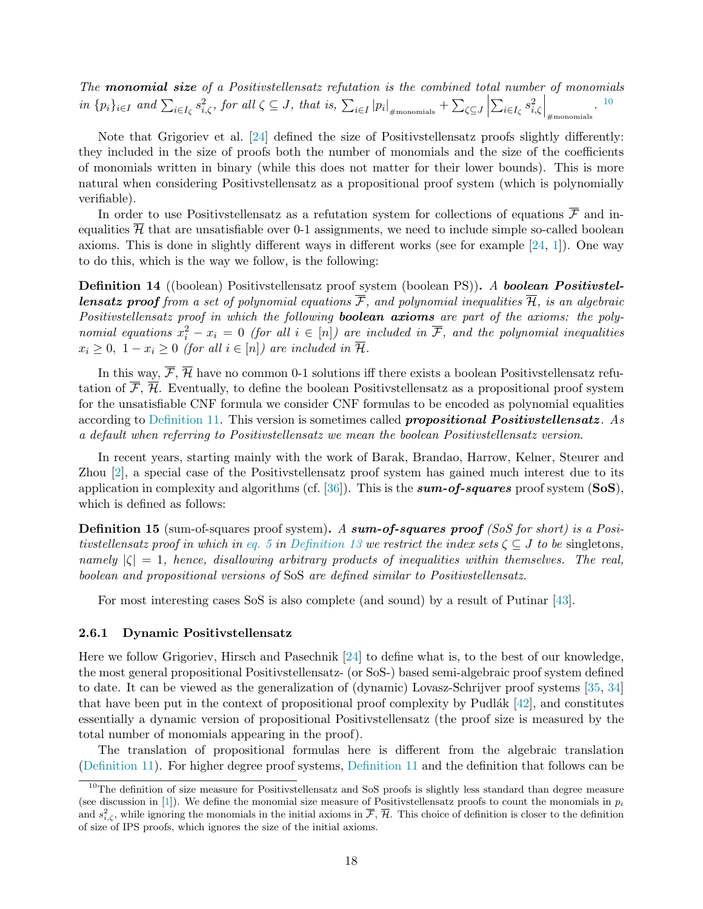The **monomial size** of a Positivistellensatz refutation is the combined total number of monomials in  $\{p_i\}_{i\in I}$  and  $\sum_{i\in I_{\zeta}} s_{i,\zeta}^2$ , for all  $\zeta \subseteq J$ , that is,  $\sum_{i\in I} |p_i|_{\#\text{monomials}}} + \sum_{\zeta \subseteq J}$   $\sum_{i\in I_\zeta} s_{i,\zeta}^2$  $\Big|_{\text{\#monomials}}^{\bullet}$ . 10

Note that Grigoriev et al. [\[24\]](#page-54-4) defined the size of Positivstellensatz proofs slightly differently: they included in the size of proofs both the number of monomials and the size of the coefficients of monomials written in binary (while this does not matter for their lower bounds). This is more natural when considering Positivstellensatz as a propositional proof system (which is polynomially verifiable).

In order to use Positivstellensatz as a refutation system for collections of equations  $\overline{\mathcal{F}}$  and inequalities  $\overline{\mathcal{H}}$  that are unsatisfiable over 0-1 assignments, we need to include simple so-called boolean axioms. This is done in slightly different ways in different works (see for example [\[24,](#page-54-4) [1\]](#page-53-6)). One way to do this, which is the way we follow, is the following:

<span id="page-19-1"></span>Definition 14 ((boolean) Positivstellensatz proof system (boolean PS)). A boolean Positivstel**lensatz proof** from a set of polynomial equations  $\overline{\mathcal{F}}$ , and polynomial inequalities  $\overline{\mathcal{H}}$ , is an algebraic Positivstellensatz proof in which the following **boolean axioms** are part of the axioms: the polynomial equations  $x_i^2 - x_i = 0$  (for all  $i \in [n]$ ) are included in  $\overline{\mathcal{F}}$ , and the polynomial inequalities  $x_i \geq 0$ ,  $1 - x_i \geq 0$  (for all  $i \in [n]$ ) are included in  $\overline{\mathcal{H}}$ .

In this way,  $\overline{\mathcal{F}}, \overline{\mathcal{H}}$  have no common 0-1 solutions iff there exists a boolean Positivstellensatz refutation of  $\overline{\mathcal{F}}, \overline{\mathcal{H}}$ . Eventually, to define the boolean Positivstellensatz as a propositional proof system for the unsatisfiable CNF formula we consider CNF formulas to be encoded as polynomial equalities according to [Definition 11.](#page-17-1) This version is sometimes called **propositional Positivitellensatz**. As a default when referring to Positivstellensatz we mean the boolean Positivstellensatz version.

In recent years, starting mainly with the work of Barak, Brandao, Harrow, Kelner, Steurer and Zhou [\[2\]](#page-53-2), a special case of the Positivstellensatz proof system has gained much interest due to its application in complexity and algorithms (cf.  $[36]$ ). This is the **sum-of-squares** proof system (SoS), which is defined as follows:

<span id="page-19-2"></span>**Definition 15** (sum-of-squares proof system). A sum-of-squares proof (SoS for short) is a Positivstellensatz proof in which in [eq. 5](#page-18-2) in [Definition 13](#page-18-3) we restrict the index sets  $\zeta \subset J$  to be singletons, namely  $|\zeta| = 1$ , hence, disallowing arbitrary products of inequalities within themselves. The real, boolean and propositional versions of SoS are defined similar to Positivstellensatz.

For most interesting cases SoS is also complete (and sound) by a result of Putinar [\[43\]](#page-55-17).

#### <span id="page-19-0"></span>2.6.1 Dynamic Positivstellensatz

Here we follow Grigoriev, Hirsch and Pasechnik [\[24\]](#page-54-4) to define what is, to the best of our knowledge, the most general propositional Positivstellensatz- (or SoS-) based semi-algebraic proof system defined to date. It can be viewed as the generalization of (dynamic) Lovasz-Schrijver proof systems [\[35,](#page-55-2) [34\]](#page-55-3) that have been put in the context of propositional proof complexity by Pudlák  $[42]$ , and constitutes essentially a dynamic version of propositional Positivstellensatz (the proof size is measured by the total number of monomials appearing in the proof).

The translation of propositional formulas here is different from the algebraic translation [\(Definition 11\)](#page-17-1). For higher degree proof systems, [Definition 11](#page-17-1) and the definition that follows can be

 $10$ The definition of size measure for Positivstellensatz and SoS proofs is slightly less standard than degree measure (see discussion in [\[1\]](#page-53-6)). We define the monomial size measure of Positivstellensatz proofs to count the monomials in  $p_i$ and  $s_{i,\zeta}^2$ , while ignoring the monomials in the initial axioms in  $\overline{\mathcal{F}}, \overline{\mathcal{H}}$ . This choice of definition is closer to the definition of size of IPS proofs, which ignores the size of the initial axioms.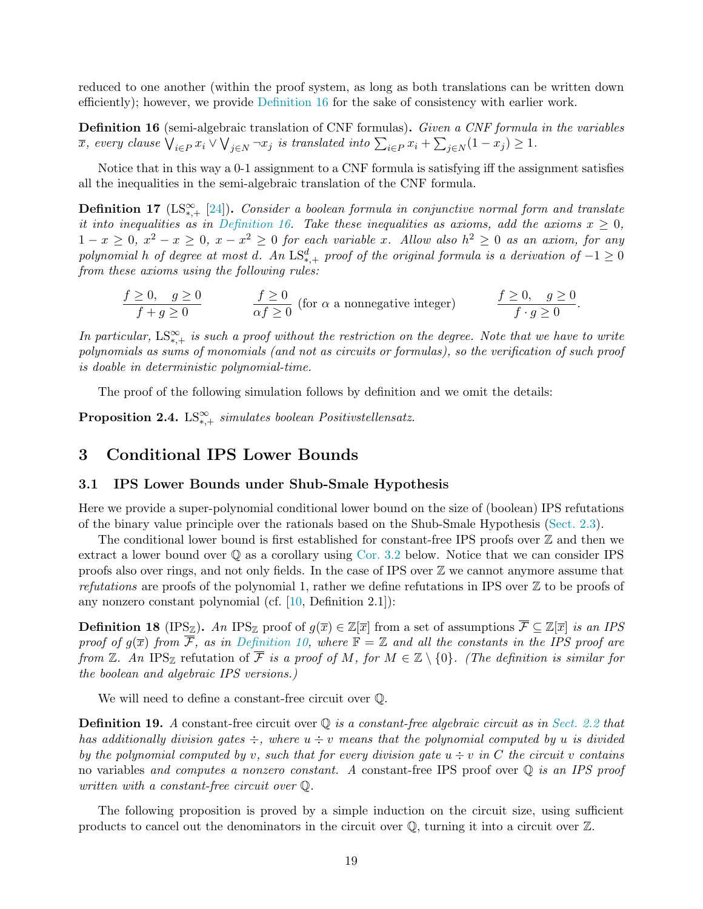reduced to one another (within the proof system, as long as both translations can be written down efficiently); however, we provide [Definition 16](#page-20-2) for the sake of consistency with earlier work.

<span id="page-20-2"></span>Definition 16 (semi-algebraic translation of CNF formulas). Given a CNF formula in the variables  $\overline{x}$ , every clause  $\bigvee_{i \in P} x_i \vee \bigvee_{j \in N} \neg x_j$  is translated into  $\sum_{i \in P} x_i + \sum_{j \in N} (1 - x_j) \geq 1$ .

Notice that in this way a 0-1 assignment to a CNF formula is satisfying iff the assignment satisfies all the inequalities in the semi-algebraic translation of the CNF formula.

<span id="page-20-4"></span>**Definition 17** (LS<sup>∞</sup>, [\[24\]](#page-54-4)). Consider a boolean formula in conjunctive normal form and translate it into inequalities as in [Definition 16.](#page-20-2) Take these inequalities as axioms, add the axioms  $x \geq 0$ ,  $1-x \geq 0, x^2-x \geq 0, x-x^2 \geq 0$  for each variable x. Allow also  $h^2 \geq 0$  as an axiom, for any polynomial h of degree at most d. An  $\mathrm{LS}_{*,+}^d$  proof of the original formula is a derivation of  $-1\geq 0$ from these axioms using the following rules:

$$
\frac{f \ge 0, \quad g \ge 0}{f + g \ge 0} \qquad \qquad \frac{f \ge 0}{\alpha f \ge 0} \text{ (for } \alpha \text{ a nonnegative integer)} \qquad \qquad \frac{f \ge 0, \quad g \ge 0}{f \cdot g \ge 0}.
$$

In particular,  $LS_{*,+}^{\infty}$  is such a proof without the restriction on the degree. Note that we have to write polynomials as sums of monomials (and not as circuits or formulas), so the verification of such proof is doable in deterministic polynomial-time.

The proof of the following simulation follows by definition and we omit the details:

**Proposition 2.4.** LS<sup>∞</sup><sub>\*,+</sub> simulates boolean Positivstellensatz.

## <span id="page-20-1"></span><span id="page-20-0"></span>3 Conditional IPS Lower Bounds

#### 3.1 IPS Lower Bounds under Shub-Smale Hypothesis

Here we provide a super-polynomial conditional lower bound on the size of (boolean) IPS refutations of the binary value principle over the rationals based on the Shub-Smale Hypothesis [\(Sect. 2.3\)](#page-14-0).

The conditional lower bound is first established for constant-free IPS proofs over Z and then we extract a lower bound over Q as a corollary using [Cor. 3.2](#page-22-1) below. Notice that we can consider IPS proofs also over rings, and not only fields. In the case of IPS over Z we cannot anymore assume that refutations are proofs of the polynomial 1, rather we define refutations in IPS over  $\mathbb Z$  to be proofs of any nonzero constant polynomial (cf. [\[10,](#page-54-15) Definition 2.1]):

**Definition 18** (IPS<sub>Z</sub>). An IPS<sub>Z</sub> proof of  $g(\overline{x}) \in \mathbb{Z}[\overline{x}]$  from a set of assumptions  $\overline{\mathcal{F}} \subseteq \mathbb{Z}[\overline{x}]$  is an IPS proof of  $g(\overline{x})$  from  $\overline{\mathcal{F}}$ , as in [Definition 10,](#page-16-1) where  $\mathbb{F} = \mathbb{Z}$  and all the constants in the IPS proof are from Z. An IPS<sub>Z</sub> refutation of  $\overline{\mathcal{F}}$  is a proof of M, for  $M \in \mathbb{Z} \setminus \{0\}$ . (The definition is similar for the boolean and algebraic IPS versions.)

We will need to define a constant-free circuit over Q.

<span id="page-20-3"></span>**Definition 19.** A constant-free circuit over  $\mathbb{O}$  is a constant-free algebraic circuit as in [Sect. 2.2](#page-13-2) that has additionally division gates  $\div$ , where  $u \div v$  means that the polynomial computed by u is divided by the polynomial computed by v, such that for every division gate  $u \div v$  in C the circuit v contains no variables and computes a nonzero constant. A constant-free IPS proof over  $\mathbb Q$  is an IPS proof written with a constant-free circuit over Q.

The following proposition is proved by a simple induction on the circuit size, using sufficient products to cancel out the denominators in the circuit over  $\mathbb{Q}$ , turning it into a circuit over  $\mathbb{Z}$ .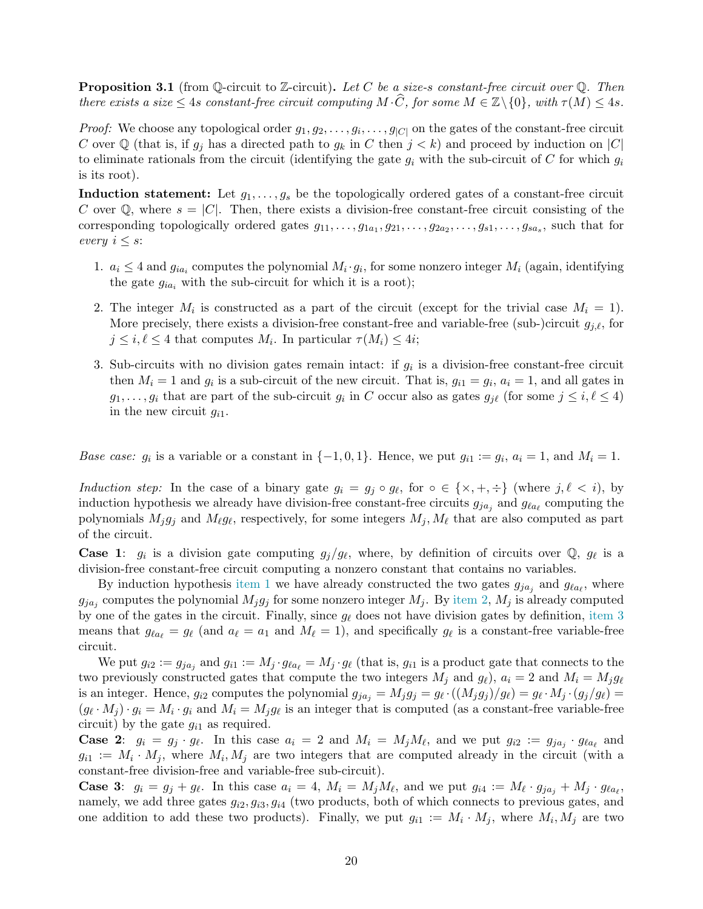<span id="page-21-3"></span>**Proposition 3.1** (from Q-circuit to Z-circuit). Let C be a size-s constant-free circuit over  $\mathbb{Q}$ . Then there exists a size  $\leq 4s$  constant-free circuit computing  $M \cdot \widehat{C}$ , for some  $M \in \mathbb{Z}\backslash\{0\}$ , with  $\tau(M) \leq 4s$ .

*Proof:* We choose any topological order  $g_1, g_2, \ldots, g_i, \ldots, g_{|C|}$  on the gates of the constant-free circuit C over Q (that is, if  $g_j$  has a directed path to  $g_k$  in C then  $j < k$ ) and proceed by induction on |C| to eliminate rationals from the circuit (identifying the gate  $g_i$  with the sub-circuit of C for which  $g_i$ is its root).

**Induction statement:** Let  $g_1, \ldots, g_s$  be the topologically ordered gates of a constant-free circuit C over  $\mathbb Q$ , where  $s = |C|$ . Then, there exists a division-free constant-free circuit consisting of the corresponding topologically ordered gates  $g_{11}, \ldots, g_{1a_1}, g_{21}, \ldots, g_{2a_2}, \ldots, g_{s1}, \ldots, g_{sa_s}$ , such that for every  $i \leq s$ :

- <span id="page-21-0"></span>1.  $a_i \leq 4$  and  $g_{ia_i}$  computes the polynomial  $M_i \cdot g_i$ , for some nonzero integer  $M_i$  (again, identifying the gate  $g_{ia_i}$  with the sub-circuit for which it is a root);
- <span id="page-21-1"></span>2. The integer  $M_i$  is constructed as a part of the circuit (except for the trivial case  $M_i = 1$ ). More precisely, there exists a division-free constant-free and variable-free (sub-)circuit  $g_{i,\ell}$ , for  $j \leq i, \ell \leq 4$  that computes  $M_i$ . In particular  $\tau(M_i) \leq 4i$ ;
- <span id="page-21-2"></span>3. Sub-circuits with no division gates remain intact: if  $g_i$  is a division-free constant-free circuit then  $M_i = 1$  and  $g_i$  is a sub-circuit of the new circuit. That is,  $g_{i1} = g_i$ ,  $a_i = 1$ , and all gates in  $g_1, \ldots, g_i$  that are part of the sub-circuit  $g_i$  in C occur also as gates  $g_{j\ell}$  (for some  $j \leq i, \ell \leq 4$ ) in the new circuit  $g_{i1}$ .

Base case:  $g_i$  is a variable or a constant in  $\{-1,0,1\}$ . Hence, we put  $g_{i1} := g_i$ ,  $a_i = 1$ , and  $M_i = 1$ .

Induction step: In the case of a binary gate  $g_i = g_j \circ g_\ell$ , for  $\circ \in \{\times, +, \div\}$  (where  $j, \ell < i$ ), by induction hypothesis we already have division-free constant-free circuits  $g_{ja_j}$  and  $g_{\ell a_\ell}$  computing the polynomials  $M_j g_j$  and  $M_\ell g_\ell$ , respectively, for some integers  $M_j, M_\ell$  that are also computed as part of the circuit.

**Case 1:**  $g_i$  is a division gate computing  $g_j/g_\ell$ , where, by definition of circuits over  $\mathbb{Q}$ ,  $g_\ell$  is a division-free constant-free circuit computing a nonzero constant that contains no variables.

By induction hypothesis [item 1](#page-21-0) we have already constructed the two gates  $g_{ja_j}$  and  $g_{la_\ell}$ , where  $g_{ja_j}$  computes the polynomial  $M_jg_j$  for some nonzero integer  $M_j$ . By [item 2,](#page-21-1)  $M_j$  is already computed by one of the gates in the circuit. Finally, since  $g_{\ell}$  does not have division gates by definition, [item 3](#page-21-2) means that  $g_{\ell a_{\ell}} = g_{\ell}$  (and  $a_{\ell} = a_1$  and  $M_{\ell} = 1$ ), and specifically  $g_{\ell}$  is a constant-free variable-free circuit.

We put  $g_{i2} := g_{ja_j}$  and  $g_{i1} := M_j \cdot g_{\ell a_\ell} = M_j \cdot g_\ell$  (that is,  $g_{i1}$  is a product gate that connects to the two previously constructed gates that compute the two integers  $M_i$  and  $g_\ell$ ),  $a_i = 2$  and  $M_i = M_j g_\ell$ is an integer. Hence,  $g_{i2}$  computes the polynomial  $g_{ja_j} = M_j g_j = g_{\ell} \cdot ((M_j g_j)/g_{\ell}) = g_{\ell} \cdot M_j \cdot (g_j/g_{\ell}) =$  $(g_{\ell} \cdot M_j) \cdot g_i = M_i \cdot g_i$  and  $M_i = M_j g_{\ell}$  is an integer that is computed (as a constant-free variable-free circuit) by the gate  $g_{i1}$  as required.

**Case 2:**  $g_i = g_j \cdot g_\ell$ . In this case  $a_i = 2$  and  $M_i = M_j M_\ell$ , and we put  $g_{i2} := g_{j a_j} \cdot g_{\ell a_\ell}$  and  $g_{i1} := M_i \cdot M_j$ , where  $M_i, M_j$  are two integers that are computed already in the circuit (with a constant-free division-free and variable-free sub-circuit).

**Case 3:**  $g_i = g_j + g_\ell$ . In this case  $a_i = 4$ ,  $M_i = M_j M_\ell$ , and we put  $g_{i4} := M_\ell \cdot g_{ja_j} + M_j \cdot g_{\ell a_\ell}$ , namely, we add three gates  $g_{i2}, g_{i3}, g_{i4}$  (two products, both of which connects to previous gates, and one addition to add these two products). Finally, we put  $g_{i1} := M_i \cdot M_j$ , where  $M_i, M_j$  are two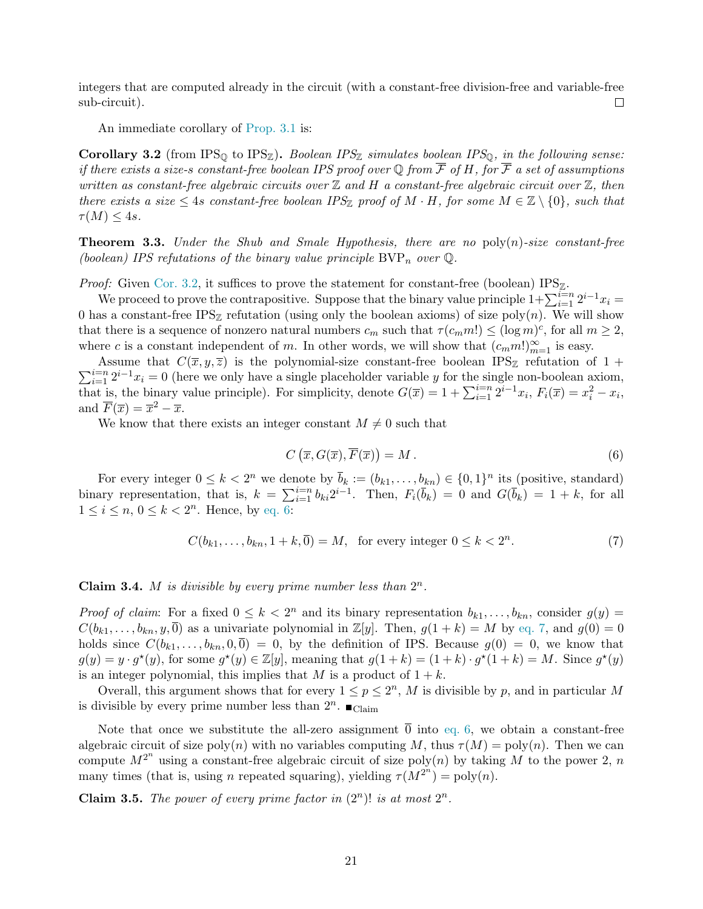integers that are computed already in the circuit (with a constant-free division-free and variable-free sub-circuit).  $\Box$ 

An immediate corollary of [Prop. 3.1](#page-21-3) is:

<span id="page-22-1"></span>Corollary 3.2 (from IPS<sub>Q</sub> to IPS<sub>Z</sub>). Boolean IPS<sub>Z</sub> simulates boolean IPS<sub>Q</sub>, in the following sense: if there exists a size-s constant-free boolean IPS proof over Q from  $\overline{\mathcal{F}}$  of H, for  $\overline{\mathcal{F}}$  a set of assumptions written as constant-free algebraic circuits over  $\mathbb Z$  and  $H$  a constant-free algebraic circuit over  $\mathbb Z$ , then there exists a size  $\leq 4$ s constant-free boolean IPS<sub>Z</sub> proof of M · H, for some  $M \in \mathbb{Z} \setminus \{0\}$ , such that  $\tau(M) \leq 4s$ .

<span id="page-22-0"></span>**Theorem 3.3.** Under the Shub and Smale Hypothesis, there are no  $poly(n)$ -size constant-free (boolean) IPS refutations of the binary value principle  $BVP_n$  over  $\mathbb{Q}$ .

*Proof:* Given [Cor. 3.2,](#page-22-1) it suffices to prove the statement for constant-free (boolean)  $IPS_{\mathbb{Z}}$ .

We proceed to prove the contrapositive. Suppose that the binary value principle  $1+\sum_{i=1}^{i=n} 2^{i-1}x_i$ 0 has a constant-free IPS<sub>Z</sub> refutation (using only the boolean axioms) of size poly $(n)$ . We will show that there is a sequence of nonzero natural numbers  $c_m$  such that  $\tau(c_m m!) \leq (\log m)^c$ , for all  $m \geq 2$ , where c is a constant independent of m. In other words, we will show that  $(c_m m!)_{m=1}^{\infty}$  is easy.

 $\sum_{i=1}^{i=n} 2^{i-1}x_i = 0$  (here we only have a single placeholder variable y for the single non-boolean axiom, Assume that  $C(\overline{x}, y, \overline{z})$  is the polynomial-size constant-free boolean IPS<sub>Z</sub> refutation of 1 + that is, the binary value principle). For simplicity, denote  $G(\overline{x}) = 1 + \sum_{i=1}^{i=n} 2^{i-1}x_i$ ,  $F_i(\overline{x}) = x_i^2 - x_i$ , and  $\overline{F}(\overline{x}) = \overline{x}^2 - \overline{x}$ .

We know that there exists an integer constant  $M \neq 0$  such that

<span id="page-22-2"></span>
$$
C\left(\overline{x}, G(\overline{x}), \overline{F}(\overline{x})\right) = M.
$$
\n(6)

For every integer  $0 \leq k < 2^n$  we denote by  $\bar{b}_k := (b_{k1}, \ldots, b_{kn}) \in \{0, 1\}^n$  its (positive, standard) binary representation, that is,  $k = \sum_{i=1}^{i=n} b_{ki} 2^{i-1}$ . Then,  $F_i(\bar{b}_k) = 0$  and  $G(\bar{b}_k) = 1 + k$ , for all  $1 \leq i \leq n, 0 \leq k < 2<sup>n</sup>$ . Hence, by [eq. 6:](#page-22-2)

<span id="page-22-3"></span>
$$
C(b_{k1},\ldots,b_{kn},1+k,\overline{0})=M,\ \text{ for every integer }0\leq k<2^n. \tag{7}
$$

Claim 3.4. M is divisible by every prime number less than  $2^n$ .

*Proof of claim:* For a fixed  $0 \leq k < 2^n$  and its binary representation  $b_{k1}, \ldots, b_{kn}$ , consider  $g(y)$  $C(b_{k1},\ldots,b_{kn},y,\overline{0})$  as a univariate polynomial in  $\mathbb{Z}[y]$ . Then,  $g(1+k)=M$  by [eq. 7,](#page-22-3) and  $g(0)=0$ holds since  $C(b_{k1},\ldots,b_{kn},0,\overline{0})=0$ , by the definition of IPS. Because  $g(0)=0$ , we know that  $g(y) = y \cdot g^*(y)$ , for some  $g^*(y) \in \mathbb{Z}[y]$ , meaning that  $g(1+k) = (1+k) \cdot g^*(1+k) = M$ . Since  $g^*(y)$ is an integer polynomial, this implies that M is a product of  $1 + k$ .

Overall, this argument shows that for every  $1 \leq p \leq 2<sup>n</sup>$ , M is divisible by p, and in particular M is divisible by every prime number less than  $2^n$ .  $\blacksquare$ <sub>Claim</sub>

Note that once we substitute the all-zero assignment  $\overline{0}$  into [eq. 6,](#page-22-2) we obtain a constant-free algebraic circuit of size poly(n) with no variables computing M, thus  $\tau(M) = \text{poly}(n)$ . Then we can compute  $M^{2^n}$  using a constant-free algebraic circuit of size poly $(n)$  by taking M to the power 2, n many times (that is, using n repeated squaring), yielding  $\tau(M^{2^n}) = \text{poly}(n)$ .

<span id="page-22-4"></span>**Claim 3.5.** The power of every prime factor in  $(2^n)!$  is at most  $2^n$ .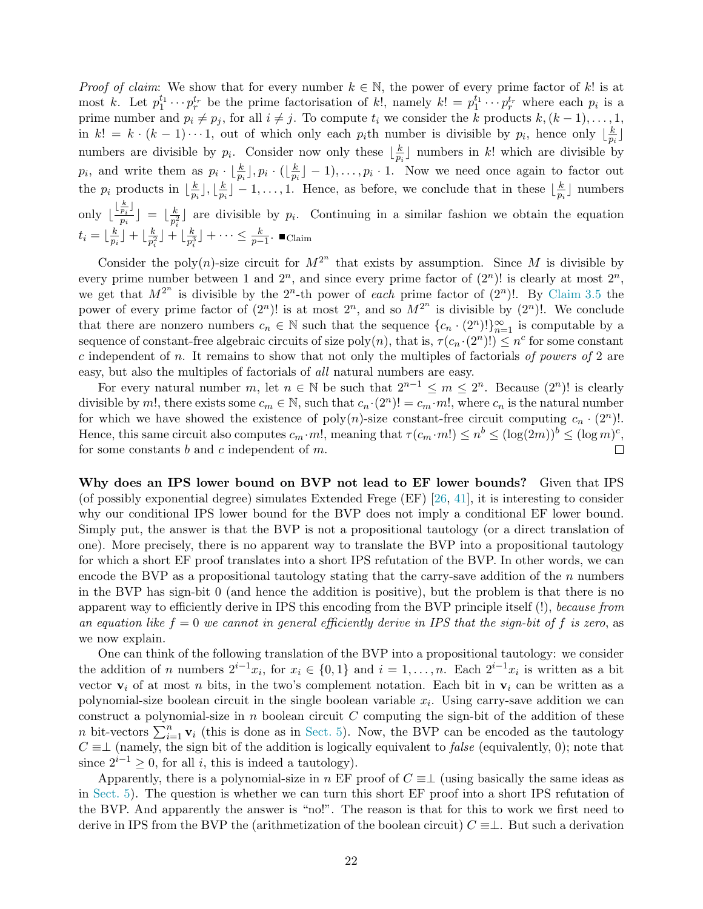*Proof of claim:* We show that for every number  $k \in \mathbb{N}$ , the power of every prime factor of k! is at most k. Let  $p_1^{t_1} \cdots p_r^{t_r}$  be the prime factorisation of k!, namely  $k! = p_1^{t_1} \cdots p_r^{t_r}$  where each  $p_i$  is a prime number and  $p_i \neq p_j$ , for all  $i \neq j$ . To compute  $t_i$  we consider the k products  $k, (k - 1), \ldots, 1$ , in  $k! = k \cdot (k-1) \cdots 1$ , out of which only each  $p_i$ th number is divisible by  $p_i$ , hence only  $\lfloor \frac{k}{n} \rfloor$  $\frac{k}{p_i}$ numbers are divisible by  $p_i$ . Consider now only these  $\lfloor \frac{k}{n} \rfloor$  $\frac{k}{p_i}$  numbers in k! which are divisible by  $p_i$ , and write them as  $p_i \cdot \lfloor \frac{k}{p_i} \rfloor, p_i \cdot (\lfloor \frac{k}{p_i} \rfloor$  $\frac{k}{p_i}$  | - 1, ...,  $p_i \cdot 1$ . Now we need once again to factor out the  $p_i$  products in  $\lfloor \frac{k}{p_i} \rfloor$  $\frac{k}{p_i}$   $\rfloor, \lfloor \frac{k}{p_i}$  $\frac{k}{p_i}$  – 1,..., 1. Hence, as before, we conclude that in these  $\lfloor \frac{k}{p_i} \rfloor$  $\frac{k}{p_i}$  mumbers only  $\lfloor \frac{\lfloor \frac{k}{p_i} \rfloor}{n_i} \rfloor$  $\left[\frac{\overline{p_i}\, \mathsf{J}}{p_i} \right] \;=\; \big\lfloor \frac{k}{p_i^2} \big\rfloor$  $\frac{k}{p_i^2}$  are divisible by  $p_i$ . Continuing in a similar fashion we obtain the equation  $t_i = \lfloor \frac{k}{n} \rfloor$  $\frac{k}{p_i}$ ] +  $\lfloor \frac{k}{p_i^2}$  $\frac{k}{p_i^2}\rfloor+\lfloor\frac{k}{p_i^3}\rfloor$  $\frac{k}{p_i^3}$   $\rfloor + \cdots \leq \frac{k}{p-1}$ .  $\blacksquare$  Claim

Consider the poly(n)-size circuit for  $M^{2^n}$  that exists by assumption. Since M is divisible by every prime number between 1 and  $2^n$ , and since every prime factor of  $(2^n)!$  is clearly at most  $2^n$ , we get that  $M^{2^n}$  is divisible by the  $2^n$ -th power of each prime factor of  $(2^n)!$ . By [Claim 3.5](#page-22-4) the power of every prime factor of  $(2^n)!$  is at most  $2^n$ , and so  $M^{2^n}$  is divisible by  $(2^n)!$ . We conclude that there are nonzero numbers  $c_n \in \mathbb{N}$  such that the sequence  $\{c_n \cdot (2^n)!\}_{n=1}^{\infty}$  is computable by a sequence of constant-free algebraic circuits of size  $poly(n)$ , that is,  $\tau(c_n \cdot (2^n)!) \leq n^c$  for some constant c independent of n. It remains to show that not only the multiples of factorials of powers of 2 are easy, but also the multiples of factorials of all natural numbers are easy.

For every natural number m, let  $n \in \mathbb{N}$  be such that  $2^{n-1} \le m \le 2^n$ . Because  $(2^n)!$  is clearly divisible by m!, there exists some  $c_m \in \mathbb{N}$ , such that  $c_n \cdot (2^n)! = c_m \cdot m!$ , where  $c_n$  is the natural number for which we have showed the existence of  $poly(n)$ -size constant-free circuit computing  $c_n \cdot (2^n)!$ . Hence, this same circuit also computes  $c_m \cdot m!$ , meaning that  $\tau(c_m \cdot m!) \leq n^b \leq (\log(2m))^b \leq (\log m)^c$ , for some constants b and c independent of  $m$ .  $\Box$ 

<span id="page-23-0"></span>Why does an IPS lower bound on BVP not lead to EF lower bounds? Given that IPS (of possibly exponential degree) simulates Extended Frege (EF) [\[26,](#page-54-0) [41\]](#page-55-6), it is interesting to consider why our conditional IPS lower bound for the BVP does not imply a conditional EF lower bound. Simply put, the answer is that the BVP is not a propositional tautology (or a direct translation of one). More precisely, there is no apparent way to translate the BVP into a propositional tautology for which a short EF proof translates into a short IPS refutation of the BVP. In other words, we can encode the BVP as a propositional tautology stating that the carry-save addition of the  $n$  numbers in the BVP has sign-bit 0 (and hence the addition is positive), but the problem is that there is no apparent way to efficiently derive in IPS this encoding from the BVP principle itself (!), because from an equation like  $f = 0$  we cannot in general efficiently derive in IPS that the sign-bit of f is zero, as we now explain.

One can think of the following translation of the BVP into a propositional tautology: we consider the addition of n numbers  $2^{i-1}x_i$ , for  $x_i \in \{0,1\}$  and  $i=1,\ldots,n$ . Each  $2^{i-1}x_i$  is written as a bit vector  $v_i$  of at most n bits, in the two's complement notation. Each bit in  $v_i$  can be written as a polynomial-size boolean circuit in the single boolean variable  $x_i$ . Using carry-save addition we can construct a polynomial-size in  $n$  boolean circuit  $C$  computing the sign-bit of the addition of these n bit-vectors  $\sum_{i=1}^{n} \mathbf{v}_i$  (this is done as in [Sect. 5\)](#page-34-0). Now, the BVP can be encoded as the tautology  $C \equiv \perp$  (namely, the sign bit of the addition is logically equivalent to *false* (equivalently, 0); note that since  $2^{i-1} \geq 0$ , for all *i*, this is indeed a tautology).

Apparently, there is a polynomial-size in n EF proof of  $C \equiv \perp$  (using basically the same ideas as in [Sect. 5\)](#page-34-0). The question is whether we can turn this short EF proof into a short IPS refutation of the BVP. And apparently the answer is "no!". The reason is that for this to work we first need to derive in IPS from the BVP the (arithmetization of the boolean circuit)  $C \equiv \perp$ . But such a derivation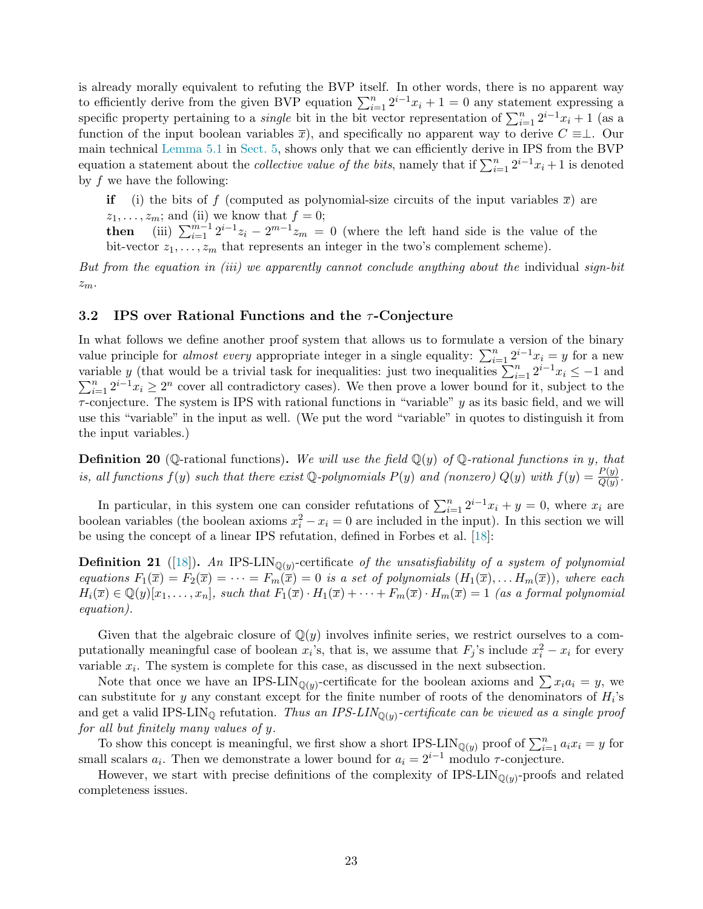is already morally equivalent to refuting the BVP itself. In other words, there is no apparent way to efficiently derive from the given BVP equation  $\sum_{i=1}^{n} 2^{i-1}x_i + 1 = 0$  any statement expressing a specific property pertaining to a *single* bit in the bit vector representation of  $\sum_{i=1}^{n} 2^{i-1}x_i + 1$  (as a function of the input boolean variables  $\overline{x}$ ), and specifically no apparent way to derive  $C \equiv \perp$ . Our main technical [Lemma 5.1](#page-38-1) in [Sect. 5,](#page-34-0) shows only that we can efficiently derive in IPS from the BVP equation a statement about the *collective value of the bits*, namely that if  $\sum_{i=1}^{n} 2^{i-1}x_i + 1$  is denoted by  $f$  we have the following:

if (i) the bits of f (computed as polynomial-size circuits of the input variables  $\bar{x}$ ) are  $z_1, \ldots, z_m$ ; and (ii) we know that  $f = 0$ ; then (iii)  $\sum_{i=1}^{m-1} 2^{i-1}z_i - 2^{m-1}z_m = 0$  (where the left hand side is the value of the bit-vector  $z_1, \ldots, z_m$  that represents an integer in the two's complement scheme).

But from the equation in (iii) we apparently cannot conclude anything about the individual sign-bit  $z_m$ .

### <span id="page-24-0"></span>3.2 IPS over Rational Functions and the  $\tau$ -Conjecture

In what follows we define another proof system that allows us to formulate a version of the binary value principle for *almost every* appropriate integer in a single equality:  $\sum_{i=1}^{n} 2^{i-1}x_i = y$  for a new variable y (that would be a trivial task for inequalities: just two inequalities  $\sum_{i=1}^{n} 2^{i-1} x_i \leq -1$  and  $\sum_{i=1}^{n} 2^{i-1}x_i \geq 2^n$  cover all contradictory cases). We then prove a lower bound for it, subject to the  $\tau$ -conjecture. The system is IPS with rational functions in "variable" y as its basic field, and we will use this "variable" in the input as well. (We put the word "variable" in quotes to distinguish it from the input variables.)

<span id="page-24-1"></span>**Definition 20** (Q-rational functions). We will use the field  $\mathbb{Q}(y)$  of Q-rational functions in y, that is, all functions  $f(y)$  such that there exist Q-polynomials  $P(y)$  and (nonzero)  $Q(y)$  with  $f(y) = \frac{P(y)}{Q(y)}$ .

In particular, in this system one can consider refutations of  $\sum_{i=1}^{n} 2^{i-1}x_i + y = 0$ , where  $x_i$  are boolean variables (the boolean axioms  $x_i^2 - x_i = 0$  are included in the input). In this section we will be using the concept of a linear IPS refutation, defined in Forbes et al. [\[18\]](#page-54-2):

<span id="page-24-2"></span>**Definition 21** ([\[18\]](#page-54-2)). An IPS-LIN<sub>Q(y)</sub>-certificate of the unsatisfiability of a system of polynomial equations  $F_1(\overline{x}) = F_2(\overline{x}) = \cdots = F_m(\overline{x}) = 0$  is a set of polynomials  $(H_1(\overline{x}), \ldots H_m(\overline{x}))$ , where each  $H_i(\overline{x}) \in \mathbb{Q}(y)[x_1,\ldots,x_n]$ , such that  $F_1(\overline{x}) \cdot H_1(\overline{x}) + \cdots + F_m(\overline{x}) \cdot H_m(\overline{x}) = 1$  (as a formal polynomial equation).

Given that the algebraic closure of  $\mathbb{Q}(y)$  involves infinite series, we restrict ourselves to a computationally meaningful case of boolean  $x_i$ 's, that is, we assume that  $F_j$ 's include  $x_i^2 - x_i$  for every variable  $x_i$ . The system is complete for this case, as discussed in the next subsection.

Note that once we have an IPS-LIN<sub>Q(y)</sub>-certificate for the boolean axioms and  $\sum x_i a_i = y$ , we can substitute for y any constant except for the finite number of roots of the denominators of  $H_i$ 's and get a valid IPS-LIN<sub>Q</sub> refutation. *Thus an IPS-LIN*<sub>Q(y)</sub>-certificate can be viewed as a single proof for all but finitely many values of y.

To show this concept is meaningful, we first show a short IPS-LIN<sub>Q(y)</sub> proof of  $\sum_{i=1}^{n} a_i x_i = y$  for small scalars  $a_i$ . Then we demonstrate a lower bound for  $a_i = 2^{i-1}$  modulo  $\tau$ -conjecture.

However, we start with precise definitions of the complexity of  $IPS-LIN_{\mathbb{Q}(y)}$ -proofs and related completeness issues.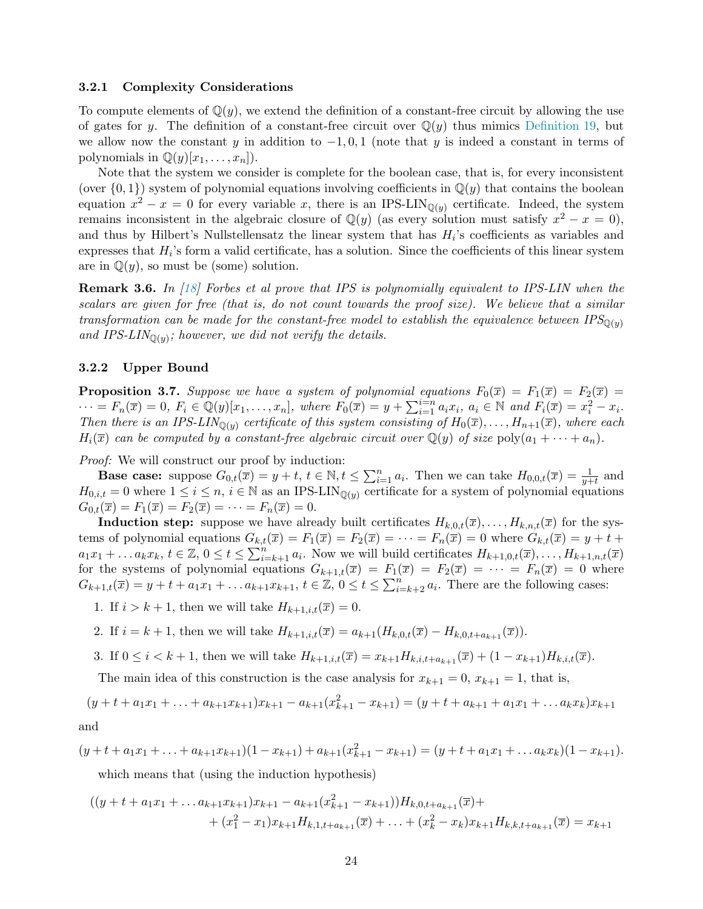#### <span id="page-25-0"></span>3.2.1 Complexity Considerations

To compute elements of  $\mathbb{Q}(y)$ , we extend the definition of a constant-free circuit by allowing the use of gates for y. The definition of a constant-free circuit over  $\mathbb{Q}(y)$  thus mimics [Definition 19,](#page-20-3) but we allow now the constant y in addition to  $-1, 0, 1$  (note that y is indeed a constant in terms of polynomials in  $\mathbb{Q}(y)[x_1, \ldots, x_n]$ .

Note that the system we consider is complete for the boolean case, that is, for every inconsistent (over  $\{0,1\}$ ) system of polynomial equations involving coefficients in  $\mathbb{Q}(y)$  that contains the boolean equation  $x^2 - x = 0$  for every variable x, there is an IPS-LIN<sub>Q(y)</sub> certificate. Indeed, the system remains inconsistent in the algebraic closure of  $\mathbb{Q}(y)$  (as every solution must satisfy  $x^2 - x = 0$ ), and thus by Hilbert's Nullstellensatz the linear system that has  $H_i$ 's coefficients as variables and expresses that  $H_i$ 's form a valid certificate, has a solution. Since the coefficients of this linear system are in  $\mathbb{Q}(y)$ , so must be (some) solution.

<span id="page-25-2"></span>Remark 3.6. In [\[18\]](#page-54-2) Forbes et al prove that IPS is polynomially equivalent to IPS-LIN when the scalars are given for free (that is, do not count towards the proof size). We believe that a similar transformation can be made for the constant-free model to establish the equivalence between  $IPS_{\mathbb{O}(y)}$ and IPS-LIN<sub>Q(y)</sub>; however, we did not verify the details.

#### <span id="page-25-1"></span>3.2.2 Upper Bound

**Proposition 3.7.** Suppose we have a system of polynomial equations  $F_0(\overline{x}) = F_1(\overline{x}) = F_2(\overline{x}) =$  $\cdots = F_n(\overline{x}) = 0, F_i \in \mathbb{Q}(y)[x_1, \ldots, x_n],$  where  $F_0(\overline{x}) = y + \sum_{i=1}^{i=n} a_i x_i, a_i \in \mathbb{N}$  and  $F_i(\overline{x}) = x_i^2 - x_i$ . Then there is an IPS-LIN<sub>Q(y)</sub> certificate of this system consisting of  $H_0(\overline{x}), \ldots, H_{n+1}(\overline{x})$ , where each  $H_i(\overline{x})$  can be computed by a constant-free algebraic circuit over  $\mathbb{Q}(y)$  of size  $\text{poly}(a_1 + \cdots + a_n)$ .

*Proof:* We will construct our proof by induction:

**Base case:** suppose  $G_{0,t}(\overline{x}) = y + t$ ,  $t \in \mathbb{N}$ ,  $t \le \sum_{i=1}^n a_i$ . Then we can take  $H_{0,0,t}(\overline{x}) = \frac{1}{y+t}$  and  $H_{0,i,t} = 0$  where  $1 \leq i \leq n, i \in \mathbb{N}$  as an IPS-LIN<sub> $\mathbb{O}(y)$ </sub> certificate for a system of polynomial equations  $G_{0,t}(\overline{x}) = F_1(\overline{x}) = F_2(\overline{x}) = \cdots = F_n(\overline{x}) = 0.$ 

**Induction step:** suppose we have already built certificates  $H_{k,0,t}(\overline{x}), \ldots, H_{k,n,t}(\overline{x})$  for the systems of polynomial equations  $G_{k,t}(\overline{x}) = F_1(\overline{x}) = F_2(\overline{x}) = \cdots = F_n(\overline{x}) = 0$  where  $G_{k,t}(\overline{x}) = y + t +$  $a_1x_1 + \ldots a_kx_k, t \in \mathbb{Z}, 0 \le t \le \sum_{i=k+1}^n a_i$ . Now we will build certificates  $H_{k+1,0,t}(\overline{x}), \ldots, H_{k+1,n,t}(\overline{x})$ for the systems of polynomial equations  $G_{k+1,t}(\overline{x}) = F_1(\overline{x}) = F_2(\overline{x}) = \cdots = F_n(\overline{x}) = 0$  where  $G_{k+1,t}(\overline{x}) = y+t + a_1x_1 + \ldots + a_{k+1}x_{k+1}, t \in \mathbb{Z}, 0 \leq t \leq \sum_{i=k+2}^{n} a_i$ . There are the following cases:

1. If  $i > k+1$ , then we will take  $H_{k+1,i,t}(\overline{x}) = 0$ .

- 2. If  $i = k + 1$ , then we will take  $H_{k+1,i,t}(\overline{x}) = a_{k+1}(H_{k,0,t}(\overline{x}) H_{k,0,t+a_{k+1}}(\overline{x})).$
- 3. If  $0 \leq i < k+1$ , then we will take  $H_{k+1,i,t}(\overline{x}) = x_{k+1}H_{k,i,t+a_{k+1}}(\overline{x}) + (1-x_{k+1})H_{k,i,t}(\overline{x})$ .

The main idea of this construction is the case analysis for  $x_{k+1} = 0$ ,  $x_{k+1} = 1$ , that is,

$$
(y+t+a_1x_1+\ldots+a_{k+1}x_{k+1})x_{k+1}-a_{k+1}(x_{k+1}^2-x_{k+1})=(y+t+a_{k+1}+a_1x_1+\ldots+a_kx_k)x_{k+1}
$$

and

$$
(y+t+a_1x_1+\ldots+a_{k+1}x_{k+1})(1-x_{k+1})+a_{k+1}(x_{k+1}^2-x_{k+1})=(y+t+a_1x_1+\ldots+a_kx_k)(1-x_{k+1}).
$$

which means that (using the induction hypothesis)

$$
((y+t+a_1x_1+\ldots a_{k+1}x_{k+1})x_{k+1}-a_{k+1}(x_{k+1}^2-x_{k+1}))H_{k,0,t+a_{k+1}}(\overline{x})+ +(x_1^2-x_1)x_{k+1}H_{k,1,t+a_{k+1}}(\overline{x})+\ldots+(x_k^2-x_k)x_{k+1}H_{k,k,t+a_{k+1}}(\overline{x})=x_{k+1}
$$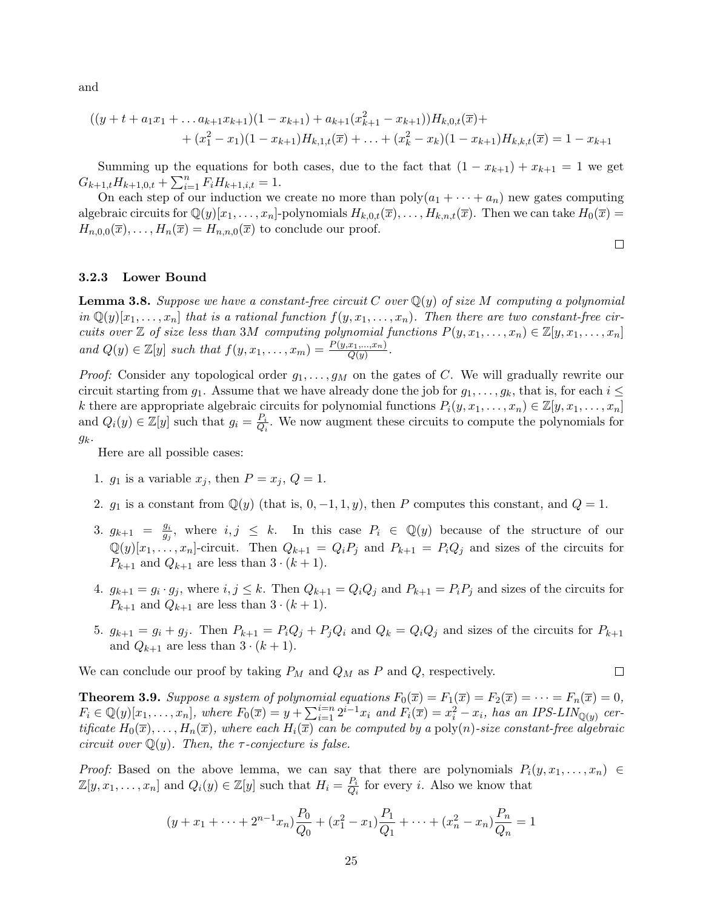and

$$
((y+t+a_1x_1+\ldots a_{k+1}x_{k+1})(1-x_{k+1})+a_{k+1}(x_{k+1}^2-x_{k+1}))H_{k,0,t}(\overline{x})+ +(x_1^2-x_1)(1-x_{k+1})H_{k,1,t}(\overline{x})+\ldots+(x_k^2-x_k)(1-x_{k+1})H_{k,k,t}(\overline{x})=1-x_{k+1}
$$

Summing up the equations for both cases, due to the fact that  $(1 - x_{k+1}) + x_{k+1} = 1$  we get  $G_{k+1,t}H_{k+1,0,t} + \sum_{i=1}^{n} F_i H_{k+1,i,t} = 1.$ 

On each step of our induction we create no more than  $\text{poly}(a_1 + \cdots + a_n)$  new gates computing algebraic circuits for  $\mathbb{Q}(y)[x_1,\ldots,x_n]$ -polynomials  $H_{k,0,t}(\overline{x}),\ldots,H_{k,n,t}(\overline{x})$ . Then we can take  $H_0(\overline{x})$  =  $H_{n,0,0}(\overline{x}), \ldots, H_n(\overline{x}) = H_{n,n,0}(\overline{x})$  to conclude our proof.

## <span id="page-26-0"></span>3.2.3 Lower Bound

**Lemma 3.8.** Suppose we have a constant-free circuit C over  $\mathbb{Q}(y)$  of size M computing a polynomial in  $\mathbb{Q}(y)[x_1,\ldots,x_n]$  that is a rational function  $f(y,x_1,\ldots,x_n)$ . Then there are two constant-free circuits over  $\mathbb Z$  of size less than 3M computing polynomial functions  $P(y, x_1, \ldots, x_n) \in \mathbb Z[y, x_1, \ldots, x_n]$ and  $Q(y) \in \mathbb{Z}[y]$  such that  $f(y, x_1, \ldots, x_m) = \frac{P(y, x_1, \ldots, x_n)}{Q(y)}$ .

*Proof:* Consider any topological order  $g_1, \ldots, g_M$  on the gates of C. We will gradually rewrite our circuit starting from  $g_1$ . Assume that we have already done the job for  $g_1, \ldots, g_k$ , that is, for each  $i \leq$ k there are appropriate algebraic circuits for polynomial functions  $P_i(y, x_1, \ldots, x_n) \in \mathbb{Z}[y, x_1, \ldots, x_n]$ and  $Q_i(y) \in \mathbb{Z}[y]$  such that  $g_i = \frac{P_i}{Q_i}$  $\frac{P_i}{Q_i}$ . We now augment these circuits to compute the polynomials for  $g_k$ .

Here are all possible cases:

- 1.  $g_1$  is a variable  $x_j$ , then  $P = x_j$ ,  $Q = 1$ .
- 2.  $g_1$  is a constant from  $\mathbb{Q}(y)$  (that is,  $0, -1, 1, y$ ), then P computes this constant, and  $Q = 1$ .
- 3.  $g_{k+1} = \frac{g_i}{g_i}$  $\frac{g_i}{g_j}$ , where  $i, j \leq k$ . In this case  $P_i \in \mathbb{Q}(y)$  because of the structure of our  $\mathbb{Q}(y)[x_1,\ldots,x_n]$ -circuit. Then  $Q_{k+1} = Q_i P_j$  and  $P_{k+1} = P_i Q_j$  and sizes of the circuits for  $P_{k+1}$  and  $Q_{k+1}$  are less than  $3 \cdot (k+1)$ .
- 4.  $g_{k+1} = g_i \cdot g_j$ , where  $i, j \leq k$ . Then  $Q_{k+1} = Q_i Q_j$  and  $P_{k+1} = P_i P_j$  and sizes of the circuits for  $P_{k+1}$  and  $Q_{k+1}$  are less than  $3 \cdot (k+1)$ .
- 5.  $g_{k+1} = g_i + g_j$ . Then  $P_{k+1} = P_i Q_j + P_j Q_i$  and  $Q_k = Q_i Q_j$  and sizes of the circuits for  $P_{k+1}$ and  $Q_{k+1}$  are less than  $3 \cdot (k+1)$ .

We can conclude our proof by taking  $P_M$  and  $Q_M$  as P and Q, respectively.

$$
\Box
$$

 $\Box$ 

<span id="page-26-1"></span>**Theorem 3.9.** Suppose a system of polynomial equations  $F_0(\overline{x}) = F_1(\overline{x}) = F_2(\overline{x}) = \cdots = F_n(\overline{x}) = 0$ ,  $F_i \in \mathbb{Q}(y)[x_1,\ldots,x_n],$  where  $F_0(\overline{x}) = y + \sum_{i=1}^{i=n} 2^{i-1}x_i$  and  $F_i(\overline{x}) = x_i^2 - x_i$ , has an IPS-LIN<sub>Q(y)</sub> certificate  $H_0(\overline{x}), \ldots, H_n(\overline{x})$ , where each  $H_i(\overline{x})$  can be computed by a poly(n)-size constant-free algebraic circuit over  $\mathbb{Q}(y)$ . Then, the  $\tau$ -conjecture is false.

*Proof:* Based on the above lemma, we can say that there are polynomials  $P_i(y, x_1, \ldots, x_n) \in$  $\mathbb{Z}[y, x_1, \ldots, x_n]$  and  $Q_i(y) \in \mathbb{Z}[y]$  such that  $H_i = \frac{P_i}{Q_i}$  $\frac{P_i}{Q_i}$  for every *i*. Also we know that

$$
(y+x_1+\cdots+2^{n-1}x_n)\frac{P_0}{Q_0}+(x_1^2-x_1)\frac{P_1}{Q_1}+\cdots+(x_n^2-x_n)\frac{P_n}{Q_n}=1
$$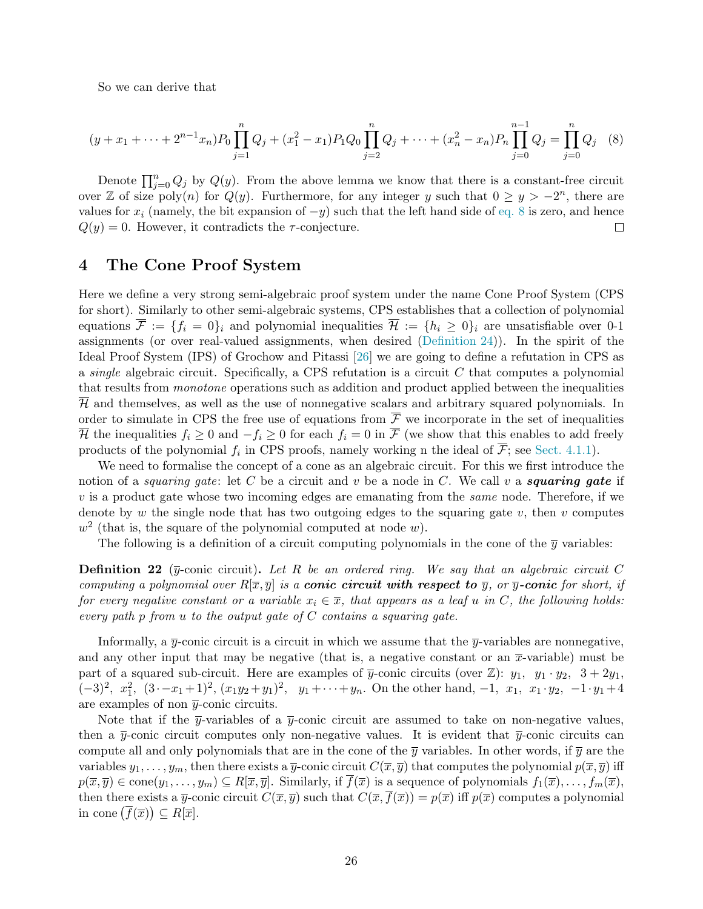So we can derive that

<span id="page-27-1"></span>
$$
(y+x_1+\cdots+2^{n-1}x_n)P_0\prod_{j=1}^n Q_j + (x_1^2-x_1)P_1Q_0\prod_{j=2}^n Q_j + \cdots + (x_n^2-x_n)P_n\prod_{j=0}^{n-1} Q_j = \prod_{j=0}^n Q_j
$$
 (8)

Denote  $\prod_{j=0}^n Q_j$  by  $Q(y)$ . From the above lemma we know that there is a constant-free circuit over Z of size poly(n) for  $Q(y)$ . Furthermore, for any integer y such that  $0 \ge y > -2^n$ , there are values for  $x_i$  (namely, the bit expansion of  $-y$ ) such that the left hand side of [eq. 8](#page-27-1) is zero, and hence  $Q(y) = 0$ . However, it contradicts the  $\tau$ -conjecture.  $\Box$ 

## <span id="page-27-0"></span>4 The Cone Proof System

Here we define a very strong semi-algebraic proof system under the name Cone Proof System (CPS for short). Similarly to other semi-algebraic systems, CPS establishes that a collection of polynomial equations  $\overline{\mathcal{F}} := \{f_i = 0\}_i$  and polynomial inequalities  $\overline{\mathcal{H}} := \{h_i \geq 0\}_i$  are unsatisfiable over 0-1 assignments (or over real-valued assignments, when desired [\(Definition 24\)](#page-28-0)). In the spirit of the Ideal Proof System (IPS) of Grochow and Pitassi [\[26\]](#page-54-0) we are going to define a refutation in CPS as a single algebraic circuit. Specifically, a CPS refutation is a circuit  $C$  that computes a polynomial that results from monotone operations such as addition and product applied between the inequalities  $\overline{\mathcal{H}}$  and themselves, as well as the use of nonnegative scalars and arbitrary squared polynomials. In order to simulate in CPS the free use of equations from  $\bar{\mathcal{F}}$  we incorporate in the set of inequalities  $\overline{\mathcal{H}}$  the inequalities  $f_i \geq 0$  and  $-f_i \geq 0$  for each  $f_i = 0$  in  $\overline{\mathcal{F}}$  (we show that this enables to add freely products of the polynomial  $f_i$  in CPS proofs, namely working n the ideal of  $\mathcal{F}$ ; see [Sect. 4.1.1\)](#page-31-0).

We need to formalise the concept of a cone as an algebraic circuit. For this we first introduce the notion of a *squaring gate*: let C be a circuit and v be a node in C. We call v a *squaring gate* if  $v$  is a product gate whose two incoming edges are emanating from the *same* node. Therefore, if we denote by w the single node that has two outgoing edges to the squaring gate  $v$ , then  $v$  computes  $w^2$  (that is, the square of the polynomial computed at node w).

The following is a definition of a circuit computing polynomials in the cone of the  $\overline{y}$  variables:

**Definition 22** ( $\overline{y}$ -conic circuit). Let R be an ordered ring. We say that an algebraic circuit C computing a polynomial over  $R[\overline{x}, \overline{y}]$  is a **conic circuit with respect to**  $\overline{y}$ , or  $\overline{y}$ -**conic** for short, if for every negative constant or a variable  $x_i \in \overline{x}$ , that appears as a leaf u in C, the following holds: every path  $p$  from  $u$  to the output gate of  $C$  contains a squaring gate.

Informally, a  $\overline{\eta}$ -conic circuit is a circuit in which we assume that the  $\overline{\eta}$ -variables are nonnegative, and any other input that may be negative (that is, a negative constant or an  $\bar{x}$ -variable) must be part of a squared sub-circuit. Here are examples of  $\overline{y}$ -conic circuits (over Z):  $y_1$ ,  $y_1 \cdot y_2$ ,  $3 + 2y_1$ ,  $(-3)^2$ ,  $x_1^2$ ,  $(3 \cdot -x_1+1)^2$ ,  $(x_1y_2+y_1)^2$ ,  $y_1+\cdots+y_n$ . On the other hand,  $-1$ ,  $x_1$ ,  $x_1 \cdot y_2$ ,  $-1 \cdot y_1+4$ are examples of non  $\bar{y}$ -conic circuits.

Note that if the  $\bar{y}$ -variables of a  $\bar{y}$ -conic circuit are assumed to take on non-negative values, then a  $\bar{y}$ -conic circuit computes only non-negative values. It is evident that  $\bar{y}$ -conic circuits can compute all and only polynomials that are in the cone of the  $\bar{y}$  variables. In other words, if  $\bar{y}$  are the variables  $y_1, \ldots, y_m$ , then there exists a  $\overline{y}$ -conic circuit  $C(\overline{x}, \overline{y})$  that computes the polynomial  $p(\overline{x}, \overline{y})$  iff  $p(\overline{x}, \overline{y}) \in \text{cone}(y_1, \ldots, y_m) \subseteq R[\overline{x}, \overline{y}]$ . Similarly, if  $\overline{f}(\overline{x})$  is a sequence of polynomials  $f_1(\overline{x}), \ldots, f_m(\overline{x})$ , then there exists a  $\overline{y}$ -conic circuit  $C(\overline{x}, \overline{y})$  such that  $C(\overline{x}, f(\overline{x})) = p(\overline{x})$  iff  $p(\overline{x})$  computes a polynomial in cone  $(\overline{f}(\overline{x})) \subseteq R[\overline{x}].$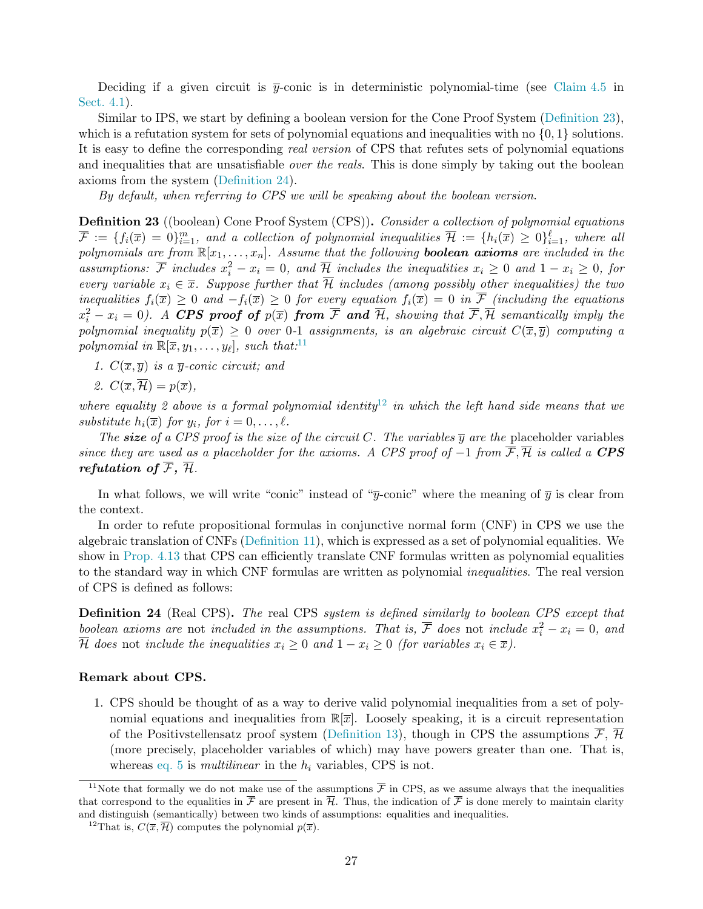Deciding if a given circuit is  $\bar{y}$ -conic is in deterministic polynomial-time (see [Claim 4.5](#page-30-1) in [Sect. 4.1\)](#page-30-0).

Similar to IPS, we start by defining a boolean version for the Cone Proof System [\(Definition 23\)](#page-28-1), which is a refutation system for sets of polynomial equations and inequalities with no  $\{0, 1\}$  solutions. It is easy to define the corresponding real version of CPS that refutes sets of polynomial equations and inequalities that are unsatisfiable *over the reals*. This is done simply by taking out the boolean axioms from the system [\(Definition 24\)](#page-28-0).

By default, when referring to CPS we will be speaking about the boolean version.

<span id="page-28-1"></span>Definition 23 ((boolean) Cone Proof System (CPS)). Consider a collection of polynomial equations  $\overline{\mathcal{F}}:=\{f_i(\overline{x})=0\}_{i=1}^m,$  and a collection of polynomial inequalities  $\overline{\mathcal{H}}:=\{h_i(\overline{x})\geq 0\}_{i=1}^\ell,$  where all polynomials are from  $\mathbb{R}[x_1,\ldots,x_n]$ . Assume that the following **boolean axioms** are included in the assumptions:  $\overline{\mathcal{F}}$  includes  $x_i^2 - x_i = 0$ , and  $\overline{\mathcal{H}}$  includes the inequalities  $x_i \geq 0$  and  $1 - x_i \geq 0$ , for every variable  $x_i \in \overline{x}$ . Suppose further that  $\overline{\mathcal{H}}$  includes (among possibly other inequalities) the two inequalities  $f_i(\overline{x}) \geq 0$  and  $-f_i(\overline{x}) \geq 0$  for every equation  $f_i(\overline{x}) = 0$  in  $\overline{F}$  (including the equations  $x_i^2-x_i=0$ ). A CPS proof of  $p(\overline{x})$  from  $\overline{\mathcal{F}}$  and  $\overline{\mathcal{H}}$ , showing that  $\overline{\mathcal{F}}, \overline{\mathcal{H}}$  semantically imply the polynomial inequality  $p(\overline{x}) \geq 0$  over 0-1 assignments, is an algebraic circuit  $C(\overline{x}, \overline{y})$  computing a polynomial in  $\mathbb{R}[\overline{x}, y_1, \ldots, y_\ell]$ , such that:<sup>11</sup>

- 1.  $C(\overline{x}, \overline{y})$  is a  $\overline{y}$ -conic circuit; and
- 2.  $C(\overline{x}, \overline{\mathcal{H}}) = p(\overline{x})$ ,

where equality 2 above is a formal polynomial identity<sup>12</sup> in which the left hand side means that we substitute  $h_i(\overline{x})$  for  $y_i$ , for  $i = 0, \ldots, \ell$ .

The size of a CPS proof is the size of the circuit C. The variables  $\overline{y}$  are the placeholder variables since they are used as a placeholder for the axioms. A CPS proof of  $-1$  from  $\overline{\mathcal{F}}, \overline{\mathcal{H}}$  is called a CPS refutation of  $\overline{\mathcal{F}}$ ,  $\overline{\mathcal{H}}$ .

In what follows, we will write "conic" instead of " $\overline{y}$ -conic" where the meaning of  $\overline{y}$  is clear from the context.

In order to refute propositional formulas in conjunctive normal form (CNF) in CPS we use the algebraic translation of CNFs [\(Definition 11\)](#page-17-1), which is expressed as a set of polynomial equalities. We show in [Prop. 4.13](#page-34-1) that CPS can efficiently translate CNF formulas written as polynomial equalities to the standard way in which CNF formulas are written as polynomial inequalities. The real version of CPS is defined as follows:

<span id="page-28-0"></span>**Definition 24** (Real CPS). The real CPS system is defined similarly to boolean CPS except that boolean axioms are not included in the assumptions. That is,  $\overline{\mathcal{F}}$  does not include  $x_i^2 - x_i = 0$ , and  $\overline{\mathcal{H}}$  does not include the inequalities  $x_i \geq 0$  and  $1 - x_i \geq 0$  (for variables  $x_i \in \overline{x}$ ).

#### Remark about CPS.

1. CPS should be thought of as a way to derive valid polynomial inequalities from a set of polynomial equations and inequalities from  $\mathbb{R}[\overline{x}]$ . Loosely speaking, it is a circuit representation of the Positivstellensatz proof system [\(Definition 13\)](#page-18-3), though in CPS the assumptions  $\overline{\mathcal{F}}, \overline{\mathcal{H}}$ (more precisely, placeholder variables of which) may have powers greater than one. That is, whereas [eq. 5](#page-18-2) is *multilinear* in the  $h_i$  variables, CPS is not.

<sup>&</sup>lt;sup>11</sup>Note that formally we do not make use of the assumptions  $\bar{\mathcal{F}}$  in CPS, as we assume always that the inequalities that correspond to the equalities in  $\overline{\mathcal{F}}$  are present in  $\overline{\mathcal{H}}$ . Thus, the indication of  $\overline{\mathcal{F}}$  is done merely to maintain clarity and distinguish (semantically) between two kinds of assumptions: equalities and inequalities.

<sup>&</sup>lt;sup>12</sup>That is,  $C(\overline{x}, \overline{\mathcal{H}})$  computes the polynomial  $p(\overline{x})$ .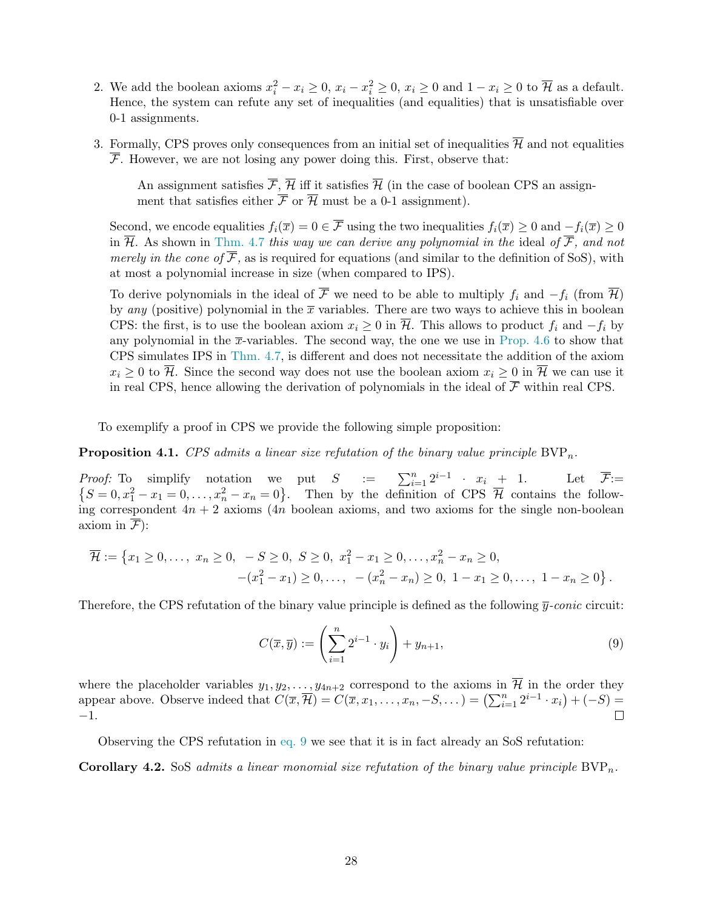- 2. We add the boolean axioms  $x_i^2 x_i \ge 0$ ,  $x_i x_i^2 \ge 0$ ,  $x_i \ge 0$  and  $1 x_i \ge 0$  to  $\overline{\mathcal{H}}$  as a default. Hence, the system can refute any set of inequalities (and equalities) that is unsatisfiable over 0-1 assignments.
- 3. Formally, CPS proves only consequences from an initial set of inequalities  $\overline{\mathcal{H}}$  and not equalities  $\overline{\mathcal{F}}$ . However, we are not losing any power doing this. First, observe that:

An assignment satisfies  $\overline{\mathcal{F}}, \overline{\mathcal{H}}$  iff it satisfies  $\overline{\mathcal{H}}$  (in the case of boolean CPS an assignment that satisfies either  $\overline{\mathcal{F}}$  or  $\overline{\mathcal{H}}$  must be a 0-1 assignment).

Second, we encode equalities  $f_i(\overline{x}) = 0 \in \overline{\mathcal{F}}$  using the two inequalities  $f_i(\overline{x}) \ge 0$  and  $-f_i(\overline{x}) \ge 0$ in  $\overline{\mathcal{H}}$ . As shown in [Thm. 4.7](#page-31-1) this way we can derive any polynomial in the ideal of  $\overline{\mathcal{F}}$ , and not merely in the cone of  $\overline{\mathcal{F}}$ , as is required for equations (and similar to the definition of SoS), with at most a polynomial increase in size (when compared to IPS).

To derive polynomials in the ideal of F we need to be able to multiply  $f_i$  and  $-f_i$  (from H) by any (positive) polynomial in the  $\bar{x}$  variables. There are two ways to achieve this in boolean CPS: the first, is to use the boolean axiom  $x_i \geq 0$  in  $\overline{\mathcal{H}}$ . This allows to product  $f_i$  and  $-f_i$  by any polynomial in the  $\bar{x}$ -variables. The second way, the one we use in [Prop. 4.6](#page-31-2) to show that CPS simulates IPS in [Thm. 4.7,](#page-31-1) is different and does not necessitate the addition of the axiom  $x_i \geq 0$  to  $\overline{\mathcal{H}}$ . Since the second way does not use the boolean axiom  $x_i \geq 0$  in  $\overline{\mathcal{H}}$  we can use it in real CPS, hence allowing the derivation of polynomials in the ideal of  $\overline{\mathcal{F}}$  within real CPS.

To exemplify a proof in CPS we provide the following simple proposition:

<span id="page-29-0"></span>**Proposition 4.1.** CPS admits a linear size refutation of the binary value principle  $BVP_n$ .

*Proof:* To simplify notation we put  $S := \sum_{i=1}^{n} 2^{i-1} \cdot x_i + 1$ . Let  $\overline{\mathcal{F}}$ :=  $\{S=0, x_1^2-x_1=0,\ldots,x_n^2-x_n=0\}$ . Then by the definition of CPS  $\overline{\mathcal{H}}$  contains the following correspondent  $4n + 2$  axioms ( $4n$  boolean axioms, and two axioms for the single non-boolean axiom in  $\overline{\mathcal{F}}$ :

$$
\overline{\mathcal{H}} := \left\{ x_1 \ge 0, \dots, \ x_n \ge 0, \ -S \ge 0, \ S \ge 0, \ x_1^2 - x_1 \ge 0, \dots, x_n^2 - x_n \ge 0, \right.\n -(x_1^2 - x_1) \ge 0, \dots, \ - (x_n^2 - x_n) \ge 0, \ 1 - x_1 \ge 0, \dots, \ 1 - x_n \ge 0 \right\}.
$$

Therefore, the CPS refutation of the binary value principle is defined as the following  $\bar{y}$ -conic circuit:

<span id="page-29-1"></span>
$$
C(\overline{x}, \overline{y}) := \left(\sum_{i=1}^{n} 2^{i-1} \cdot y_i\right) + y_{n+1},\tag{9}
$$

where the placeholder variables  $y_1, y_2, \ldots, y_{4n+2}$  correspond to the axioms in  $\overline{\mathcal{H}}$  in the order they appear above. Observe indeed that  $C(\overline{x}, \overline{\mathcal{H}}) = C(\overline{x}, x_1, \ldots, x_n, -S, \ldots) = (\sum_{i=1}^n 2^{i-1} \cdot x_i) + (-S) =$ −1.  $\Box$ 

Observing the CPS refutation in [eq. 9](#page-29-1) we see that it is in fact already an SoS refutation:

**Corollary 4.2.** SoS admits a linear monomial size refutation of the binary value principle  $BVP_n$ .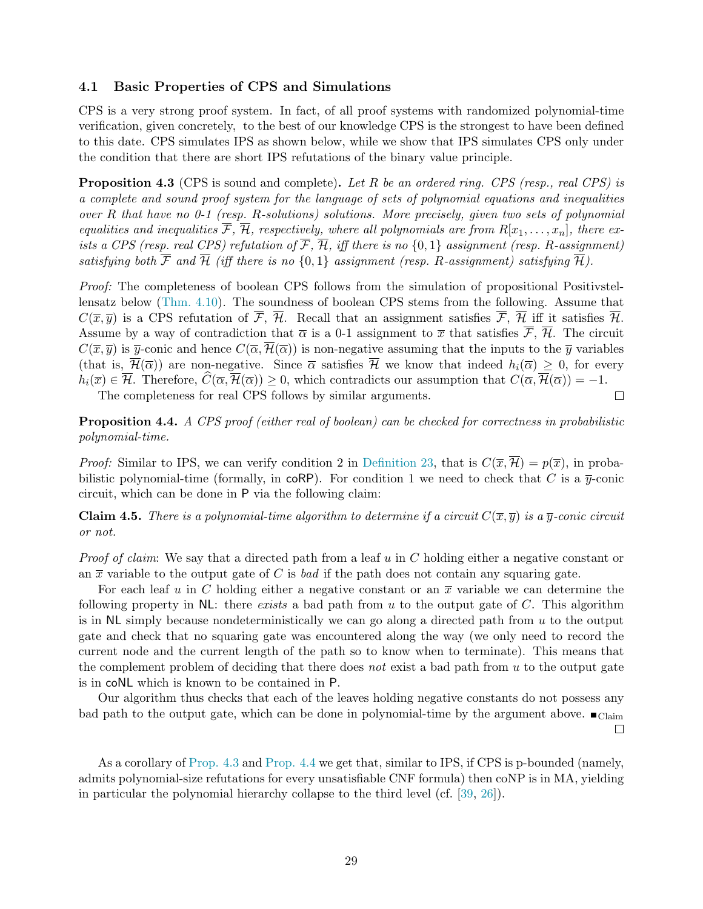#### <span id="page-30-0"></span>4.1 Basic Properties of CPS and Simulations

CPS is a very strong proof system. In fact, of all proof systems with randomized polynomial-time verification, given concretely, to the best of our knowledge CPS is the strongest to have been defined to this date. CPS simulates IPS as shown below, while we show that IPS simulates CPS only under the condition that there are short IPS refutations of the binary value principle.

<span id="page-30-2"></span>**Proposition 4.3** (CPS is sound and complete). Let R be an ordered ring. CPS (resp., real CPS) is a complete and sound proof system for the language of sets of polynomial equations and inequalities over R that have no 0-1 (resp. R-solutions) solutions. More precisely, given two sets of polynomial equalities and inequalities  $\overline{\mathcal{F}}, \overline{\mathcal{H}},$  respectively, where all polynomials are from  $R[x_1, \ldots, x_n]$ , there exists a CPS (resp. real CPS) refutation of  $\overline{\mathcal{F}}, \overline{\mathcal{H}},$  iff there is no  $\{0,1\}$  assignment (resp. R-assignment) satisfying both  $\overline{\mathcal{F}}$  and  $\overline{\mathcal{H}}$  (iff there is no  $\{0,1\}$  assignment (resp. R-assignment) satisfying  $\overline{\mathcal{H}}$ ).

Proof: The completeness of boolean CPS follows from the simulation of propositional Positivstellensatz below [\(Thm. 4.10\)](#page-33-2). The soundness of boolean CPS stems from the following. Assume that  $C(\overline{x}, \overline{y})$  is a CPS refutation of  $\overline{\mathcal{F}}, \overline{\mathcal{H}}$ . Recall that an assignment satisfies  $\overline{\mathcal{F}}, \overline{\mathcal{H}}$  iff it satisfies  $\overline{\mathcal{H}}$ . Assume by a way of contradiction that  $\overline{\alpha}$  is a 0-1 assignment to  $\overline{x}$  that satisfies  $\overline{\mathcal{F}}, \overline{\mathcal{H}}$ . The circuit  $C(\overline{x}, \overline{y})$  is  $\overline{y}$ -conic and hence  $C(\overline{\alpha}, \overline{\mathcal{H}}(\overline{\alpha}))$  is non-negative assuming that the inputs to the  $\overline{y}$  variables (that is,  $\overline{\mathcal{H}}(\overline{\alpha})$ ) are non-negative. Since  $\overline{\alpha}$  satisfies  $\overline{\mathcal{H}}$  we know that indeed  $h_i(\overline{\alpha}) \geq 0$ , for every  $h_i(\overline{x}) \in \overline{\mathcal{H}}$ . Therefore,  $\widehat{C}(\overline{\alpha}, \overline{\mathcal{H}}(\overline{\alpha})) > 0$ , which contradicts our assumption that  $C(\overline{\alpha}, \overline{\mathcal{H}}(\overline{\alpha})) = -1$ . The completeness for real CPS follows by similar arguments.  $\Box$ 

<span id="page-30-3"></span>**Proposition 4.4.** A CPS proof (either real of boolean) can be checked for correctness in probabilistic polynomial-time.

*Proof:* Similar to IPS, we can verify condition 2 in [Definition 23,](#page-28-1) that is  $C(\overline{x}, \overline{\mathcal{H}}) = p(\overline{x})$ , in probabilistic polynomial-time (formally, in coRP). For condition 1 we need to check that C is a  $\bar{y}$ -conic circuit, which can be done in P via the following claim:

<span id="page-30-1"></span>**Claim 4.5.** There is a polynomial-time algorithm to determine if a circuit  $C(\overline{x}, \overline{y})$  is a  $\overline{y}$ -conic circuit or not.

*Proof of claim:* We say that a directed path from a leaf u in C holding either a negative constant or an  $\bar{x}$  variable to the output gate of C is bad if the path does not contain any squaring gate.

For each leaf u in C holding either a negative constant or an  $\bar{x}$  variable we can determine the following property in  $NL$ : there exists a bad path from u to the output gate of C. This algorithm is in  $NL$  simply because nondeterministically we can go along a directed path from  $u$  to the output gate and check that no squaring gate was encountered along the way (we only need to record the current node and the current length of the path so to know when to terminate). This means that the complement problem of deciding that there does not exist a bad path from u to the output gate is in coNL which is known to be contained in P.

Our algorithm thus checks that each of the leaves holding negative constants do not possess any bad path to the output gate, which can be done in polynomial-time by the argument above.  $\blacksquare$  $\Box$ 

As a corollary of [Prop. 4.3](#page-30-2) and [Prop. 4.4](#page-30-3) we get that, similar to IPS, if CPS is p-bounded (namely, admits polynomial-size refutations for every unsatisfiable CNF formula) then coNP is in MA, yielding in particular the polynomial hierarchy collapse to the third level (cf. [\[39,](#page-55-8) [26\]](#page-54-0)).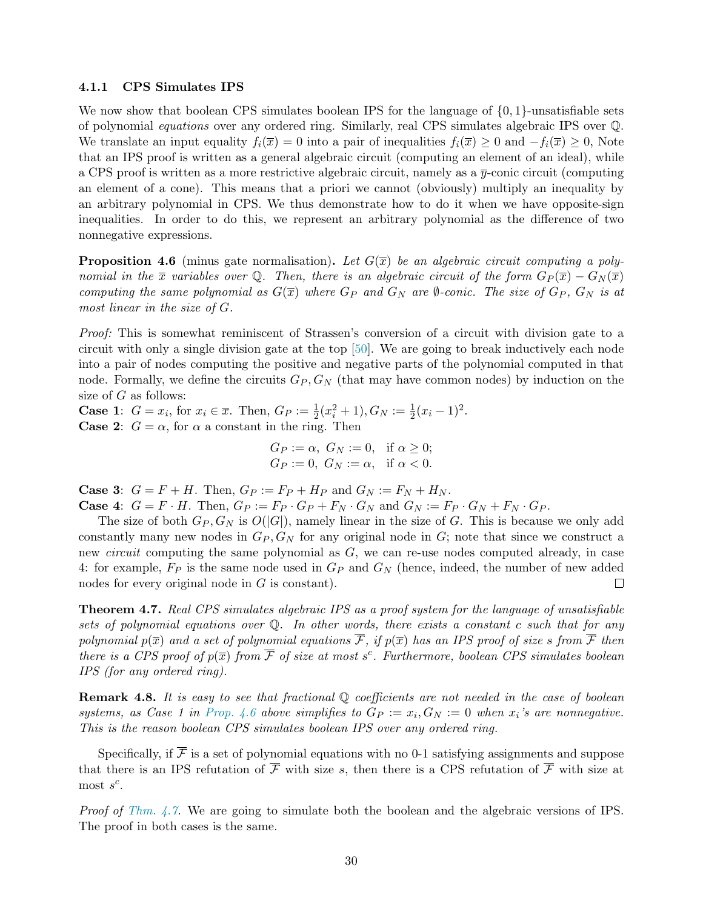#### <span id="page-31-0"></span>4.1.1 CPS Simulates IPS

We now show that boolean CPS simulates boolean IPS for the language of  $\{0, 1\}$ -unsatisfiable sets of polynomial equations over any ordered ring. Similarly, real CPS simulates algebraic IPS over Q. We translate an input equality  $f_i(\overline{x}) = 0$  into a pair of inequalities  $f_i(\overline{x}) \geq 0$  and  $-f_i(\overline{x}) \geq 0$ , Note that an IPS proof is written as a general algebraic circuit (computing an element of an ideal), while a CPS proof is written as a more restrictive algebraic circuit, namely as a  $\bar{y}$ -conic circuit (computing an element of a cone). This means that a priori we cannot (obviously) multiply an inequality by an arbitrary polynomial in CPS. We thus demonstrate how to do it when we have opposite-sign inequalities. In order to do this, we represent an arbitrary polynomial as the difference of two nonnegative expressions.

<span id="page-31-2"></span>**Proposition 4.6** (minus gate normalisation). Let  $G(\overline{x})$  be an algebraic circuit computing a polynomial in the  $\bar{x}$  variables over Q. Then, there is an algebraic circuit of the form  $G_P(\bar{x}) - G_N(\bar{x})$ computing the same polynomial as  $G(\bar{x})$  where  $G_P$  and  $G_N$  are  $\emptyset$ -conic. The size of  $G_P$ ,  $G_N$  is at most linear in the size of G.

Proof: This is somewhat reminiscent of Strassen's conversion of a circuit with division gate to a circuit with only a single division gate at the top [\[50\]](#page-56-6). We are going to break inductively each node into a pair of nodes computing the positive and negative parts of the polynomial computed in that node. Formally, we define the circuits  $G_P$ ,  $G_N$  (that may have common nodes) by induction on the size of G as follows:

**Case 1:**  $G = x_i$ , for  $x_i \in \overline{x}$ . Then,  $G_P := \frac{1}{2}(x_i^2 + 1), G_N := \frac{1}{2}(x_i - 1)^2$ . **Case 2:**  $G = \alpha$ , for  $\alpha$  a constant in the ring. Then

$$
G_P := \alpha, \ G_N := 0, \quad \text{if } \alpha \ge 0; \\ G_P := 0, \ G_N := \alpha, \quad \text{if } \alpha < 0.
$$

**Case 3:**  $G = F + H$ . Then,  $G_P := F_P + H_P$  and  $G_N := F_N + H_N$ . **Case 4:**  $G = F \cdot H$ . Then,  $G_P := F_P \cdot G_P + F_N \cdot G_N$  and  $G_N := F_P \cdot G_N + F_N \cdot G_P$ .

The size of both  $G_P$ ,  $G_N$  is  $O(|G|)$ , namely linear in the size of G. This is because we only add constantly many new nodes in  $G_P$ ,  $G_N$  for any original node in  $G$ ; note that since we construct a new *circuit* computing the same polynomial as  $G$ , we can re-use nodes computed already, in case 4: for example,  $F_P$  is the same node used in  $G_P$  and  $G_N$  (hence, indeed, the number of new added nodes for every original node in G is constant).  $\Box$ 

<span id="page-31-1"></span>Theorem 4.7. Real CPS simulates algebraic IPS as a proof system for the language of unsatisfiable sets of polynomial equations over Q. In other words, there exists a constant c such that for any polynomial  $p(\overline{x})$  and a set of polynomial equations  $\overline{\mathcal{F}}$ , if  $p(\overline{x})$  has an IPS proof of size s from  $\overline{\mathcal{F}}$  then there is a CPS proof of  $p(\overline{x})$  from  $\overline{\mathcal{F}}$  of size at most s<sup>c</sup>. Furthermore, boolean CPS simulates boolean IPS (for any ordered ring).

**Remark 4.8.** It is easy to see that fractional  $\mathbb{Q}$  coefficients are not needed in the case of boolean systems, as Case 1 in [Prop. 4.6](#page-31-2) above simplifies to  $G_P := x_i, G_N := 0$  when  $x_i$ 's are nonnegative. This is the reason boolean CPS simulates boolean IPS over any ordered ring.

Specifically, if  $\overline{\mathcal{F}}$  is a set of polynomial equations with no 0-1 satisfying assignments and suppose that there is an IPS refutation of  $\overline{\mathcal{F}}$  with size s, then there is a CPS refutation of  $\overline{\mathcal{F}}$  with size at most  $s^c$ .

*Proof of [Thm. 4.7.](#page-31-1)* We are going to simulate both the boolean and the algebraic versions of IPS. The proof in both cases is the same.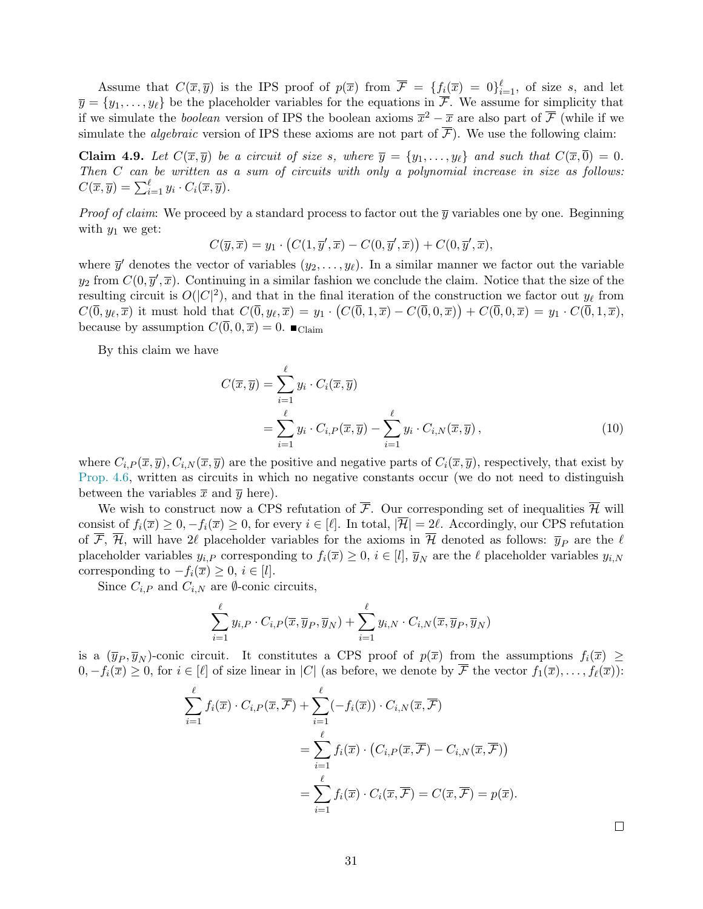Assume that  $C(\overline{x}, \overline{y})$  is the IPS proof of  $p(\overline{x})$  from  $\overline{\mathcal{F}} = \{f_i(\overline{x}) = 0\}_{i=1}^{\ell}$ , of size s, and let  $\overline{y} = \{y_1, \ldots, y_\ell\}$  be the placeholder variables for the equations in  $\overline{\mathcal{F}}$ . We assume for simplicity that if we simulate the *boolean* version of IPS the boolean axioms  $\overline{x}^2 - \overline{x}$  are also part of  $\overline{\mathcal{F}}$  (while if we simulate the *algebraic* version of IPS these axioms are not part of  $\overline{\mathcal{F}}$ ). We use the following claim:

**Claim 4.9.** Let  $C(\overline{x}, \overline{y})$  be a circuit of size s, where  $\overline{y} = \{y_1, \ldots, y_\ell\}$  and such that  $C(\overline{x}, \overline{0}) = 0$ . Then C can be written as a sum of circuits with only a polynomial increase in size as follows:  $C(\overline{x}, \overline{y}) = \sum_{i=1}^{\ell} y_i \cdot C_i(\overline{x}, \overline{y}).$ 

*Proof of claim:* We proceed by a standard process to factor out the  $\bar{y}$  variables one by one. Beginning with  $y_1$  we get:

$$
C(\overline{y}, \overline{x}) = y_1 \cdot (C(1, \overline{y}', \overline{x}) - C(0, \overline{y}', \overline{x})) + C(0, \overline{y}', \overline{x}),
$$

where  $\bar{y}'$  denotes the vector of variables  $(y_2, \ldots, y_\ell)$ . In a similar manner we factor out the variable  $y_2$  from  $C(0, \overline{y}', \overline{x})$ . Continuing in a similar fashion we conclude the claim. Notice that the size of the resulting circuit is  $O(|C|^2)$ , and that in the final iteration of the construction we factor out  $y_\ell$  from  $C(\overline{0}, y_\ell, \overline{x})$  it must hold that  $C(\overline{0}, y_\ell, \overline{x}) = y_1 \cdot (C(\overline{0}, 1, \overline{x}) - C(\overline{0}, 0, \overline{x})) + C(\overline{0}, 0, \overline{x}) = y_1 \cdot C(\overline{0}, 1, \overline{x}),$ because by assumption  $C(\overline{0}, 0, \overline{x}) = 0$ .  $\blacksquare$  Claim

By this claim we have

$$
C(\overline{x}, \overline{y}) = \sum_{i=1}^{\ell} y_i \cdot C_i(\overline{x}, \overline{y})
$$
  
= 
$$
\sum_{i=1}^{\ell} y_i \cdot C_{i,P}(\overline{x}, \overline{y}) - \sum_{i=1}^{\ell} y_i \cdot C_{i,N}(\overline{x}, \overline{y}),
$$
 (10)

where  $C_{i,P}(\overline{x},\overline{y}), C_{i,N}(\overline{x},\overline{y})$  are the positive and negative parts of  $C_i(\overline{x},\overline{y})$ , respectively, that exist by [Prop. 4.6,](#page-31-2) written as circuits in which no negative constants occur (we do not need to distinguish between the variables  $\bar{x}$  and  $\bar{y}$  here).

We wish to construct now a CPS refutation of  $\overline{\mathcal{F}}$ . Our corresponding set of inequalities  $\overline{\mathcal{H}}$  will consist of  $f_i(\overline{x}) \geq 0, -f_i(\overline{x}) \geq 0$ , for every  $i \in [\ell]$ . In total,  $|\overline{\mathcal{H}}| = 2\ell$ . Accordingly, our CPS refutation of  $\overline{\mathcal{F}}, \overline{\mathcal{H}},$  will have 2 $\ell$  placeholder variables for the axioms in  $\overline{\mathcal{H}}$  denoted as follows:  $\overline{y}_P$  are the  $\ell$ placeholder variables  $y_{i,P}$  corresponding to  $f_i(\overline{x}) \geq 0$ ,  $i \in [l], \overline{y}_N$  are the  $\ell$  placeholder variables  $y_{i,N}$ corresponding to  $-f_i(\overline{x}) \geq 0, i \in [l].$ 

Since  $C_{i,P}$  and  $C_{i,N}$  are  $\emptyset$ -conic circuits,

$$
\sum_{i=1}^{\ell} y_{i,P} \cdot C_{i,P}(\overline{x}, \overline{y}_P, \overline{y}_N) + \sum_{i=1}^{\ell} y_{i,N} \cdot C_{i,N}(\overline{x}, \overline{y}_P, \overline{y}_N)
$$

is a  $(\overline{y}_P, \overline{y}_N)$ -conic circuit. It constitutes a CPS proof of  $p(\overline{x})$  from the assumptions  $f_i(\overline{x}) \ge$  $0, -f_i(\overline{x}) \geq 0$ , for  $i \in [\ell]$  of size linear in |C| (as before, we denote by  $\overline{\mathcal{F}}$  the vector  $f_1(\overline{x}), \ldots, f_\ell(\overline{x})$ ):

$$
\sum_{i=1}^{\ell} f_i(\overline{x}) \cdot C_{i,P}(\overline{x}, \overline{\mathcal{F}}) + \sum_{i=1}^{\ell} (-f_i(\overline{x})) \cdot C_{i,N}(\overline{x}, \overline{\mathcal{F}})
$$
  
= 
$$
\sum_{i=1}^{\ell} f_i(\overline{x}) \cdot (C_{i,P}(\overline{x}, \overline{\mathcal{F}}) - C_{i,N}(\overline{x}, \overline{\mathcal{F}}))
$$
  
= 
$$
\sum_{i=1}^{\ell} f_i(\overline{x}) \cdot C_i(\overline{x}, \overline{\mathcal{F}}) = C(\overline{x}, \overline{\mathcal{F}}) = p(\overline{x}).
$$

 $\Box$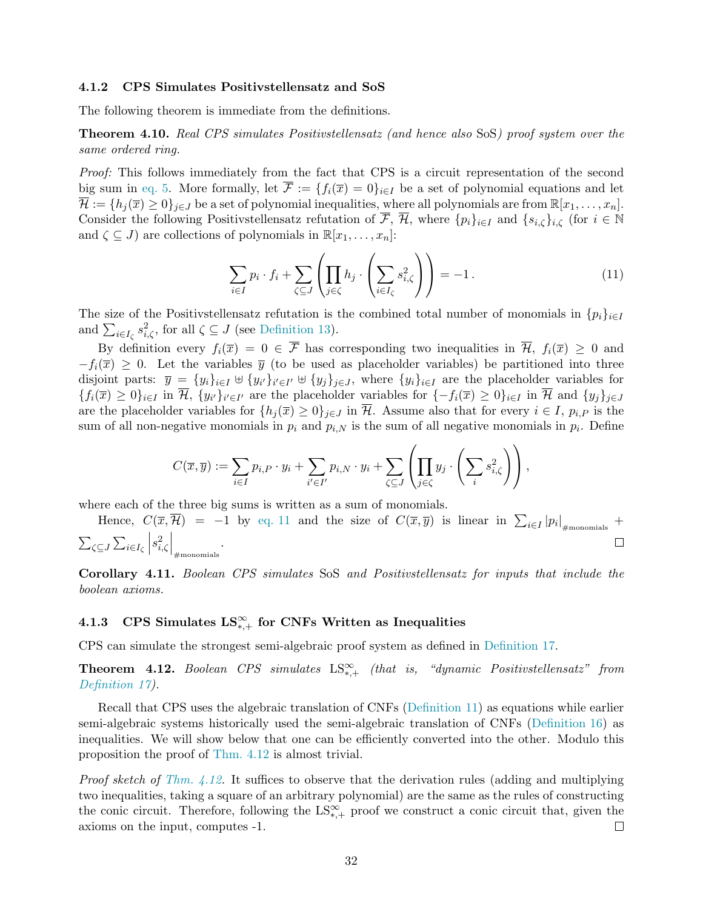#### <span id="page-33-0"></span>4.1.2 CPS Simulates Positivstellensatz and SoS

The following theorem is immediate from the definitions.

<span id="page-33-2"></span>Theorem 4.10. Real CPS simulates Positivstellensatz (and hence also SoS) proof system over the same ordered ring.

Proof: This follows immediately from the fact that CPS is a circuit representation of the second big sum in [eq. 5.](#page-18-2) More formally, let  $\overline{\mathcal{F}} := \{f_i(\overline{x}) = 0\}_{i \in I}$  be a set of polynomial equations and let  $\overline{\mathcal{H}} := \{h_j(\overline{x}) \geq 0\}_{j \in J}$  be a set of polynomial inequalities, where all polynomials are from  $\mathbb{R}[x_1, \ldots, x_n].$ Consider the following Positivstellensatz refutation of  $\overline{\mathcal{F}}, \overline{\mathcal{H}},$  where  $\{p_i\}_{i\in I}$  and  $\{s_{i,\zeta}\}_{i,\zeta}$  (for  $i \in \mathbb{N}$ and  $\zeta \subseteq J$ ) are collections of polynomials in  $\mathbb{R}[x_1, \ldots, x_n]$ :

<span id="page-33-3"></span>
$$
\sum_{i \in I} p_i \cdot f_i + \sum_{\zeta \subseteq J} \left( \prod_{j \in \zeta} h_j \cdot \left( \sum_{i \in I_\zeta} s_{i,\zeta}^2 \right) \right) = -1. \tag{11}
$$

The size of the Positivstellensatz refutation is the combined total number of monomials in  $\{p_i\}_{i\in I}$ and  $\sum_{i\in I_{\zeta}} s_{i,\zeta}^2$ , for all  $\zeta \subseteq J$  (see [Definition 13\)](#page-18-3).

By definition every  $f_i(\overline{x}) = 0 \in \overline{\mathcal{F}}$  has corresponding two inequalities in  $\overline{\mathcal{H}}$ ,  $f_i(\overline{x}) \geq 0$  and  $-f_i(\overline{x}) > 0$ . Let the variables  $\overline{y}$  (to be used as placeholder variables) be partitioned into three disjoint parts:  $\bar{y} = \{y_i\}_{i \in I} \cup \{y_{i'}\}_{i' \in I'} \cup \{y_j\}_{j \in J}$ , where  $\{y_i\}_{i \in I}$  are the placeholder variables for  ${f_i(\overline{x}) \geq 0}_{i \in I}$  in H,  ${y_i \}_{i' \in I'}$  are the placeholder variables for  ${-f_i(\overline{x}) \geq 0}_{i \in I}$  in H and  ${y_j\}_{j \in J}$ are the placeholder variables for  $\{h_i(\overline{x}) \geq 0\}_{i\in J}$  in  $\overline{\mathcal{H}}$ . Assume also that for every  $i \in I$ ,  $p_{i,P}$  is the sum of all non-negative monomials in  $p_i$  and  $p_{i,N}$  is the sum of all negative monomials in  $p_i$ . Define

$$
C(\overline{x}, \overline{y}) := \sum_{i \in I} p_{i,P} \cdot y_i + \sum_{i' \in I'} p_{i,N} \cdot y_i + \sum_{\zeta \subseteq J} \left( \prod_{j \in \zeta} y_j \cdot \left( \sum_i s_{i,\zeta}^2 \right) \right),
$$

where each of the three big sums is written as a sum of monomials.

Hence,  $C(\overline{x}, \overline{\mathcal{H}}) = -1$  by [eq. 11](#page-33-3) and the size of  $C(\overline{x}, \overline{y})$  is linear in  $\sum_{i \in I} |p_i|_{\# \text{monomials}}$  +  $s_{i,\zeta}^2$  $\bigg|_{\text{\#monomials}}$  .  $\sum_{\zeta \subseteq J} \sum_{i \in I_{\zeta}}$  $\Box$ 

Corollary 4.11. Boolean CPS simulates SoS and Positivstellensatz for inputs that include the boolean axioms.

## <span id="page-33-1"></span>4.1.3 CPS Simulates  $\text{LS}^{\infty}_{*,+}$  for CNFs Written as Inequalities

CPS can simulate the strongest semi-algebraic proof system as defined in [Definition 17.](#page-20-4)

<span id="page-33-4"></span>**Theorem 4.12.** Boolean CPS simulates  $LS_{*,+}^{\infty}$  (that is, "dynamic Positivstellensatz" from [Definition 17\)](#page-20-4).

Recall that CPS uses the algebraic translation of CNFs [\(Definition 11\)](#page-17-1) as equations while earlier semi-algebraic systems historically used the semi-algebraic translation of CNFs [\(Definition 16\)](#page-20-2) as inequalities. We will show below that one can be efficiently converted into the other. Modulo this proposition the proof of [Thm. 4.12](#page-33-4) is almost trivial.

Proof sketch of [Thm. 4.12.](#page-33-4) It suffices to observe that the derivation rules (adding and multiplying two inequalities, taking a square of an arbitrary polynomial) are the same as the rules of constructing the conic circuit. Therefore, following the  $LS_{*,+}^{\infty}$  proof we construct a conic circuit that, given the axioms on the input, computes -1.  $\Box$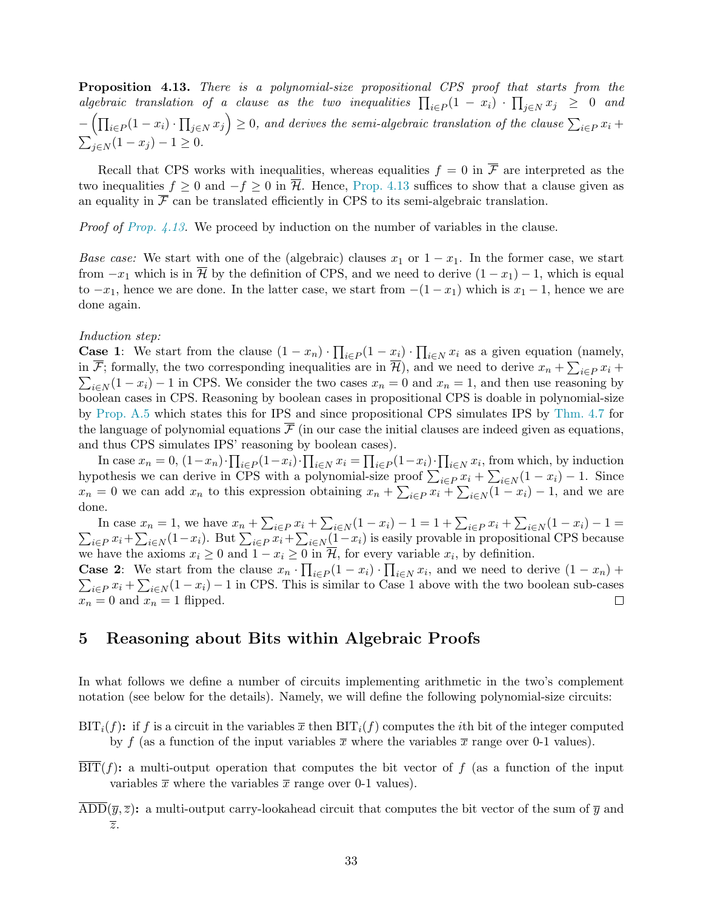<span id="page-34-1"></span>Proposition 4.13. There is a polynomial-size propositional CPS proof that starts from the algebraic translation of a clause as the two inequalities  $\prod_{i\in P}(1-x_i)\cdot \prod_{j\in N} x_j \geq 0$  and  $-\left(\prod_{i\in P}(1-x_i)\cdot \prod_{j\in N}x_j\right)\geq 0$ , and derives the semi-algebraic translation of the clause  $\sum_{i\in P}x_i +$  $\sum_{j\in N} (1-x_j) - 1 \ge 0.$ 

Recall that CPS works with inequalities, whereas equalities  $f = 0$  in  $\overline{\mathcal{F}}$  are interpreted as the two inequalities  $f \geq 0$  and  $-f \geq 0$  in  $\overline{\mathcal{H}}$ . Hence, [Prop. 4.13](#page-34-1) suffices to show that a clause given as an equality in  $\overline{\mathcal{F}}$  can be translated efficiently in CPS to its semi-algebraic translation.

Proof of [Prop. 4.13.](#page-34-1) We proceed by induction on the number of variables in the clause.

Base case: We start with one of the (algebraic) clauses  $x_1$  or  $1 - x_1$ . In the former case, we start from  $-x_1$  which is in  $\overline{\mathcal{H}}$  by the definition of CPS, and we need to derive  $(1-x_1)-1$ , which is equal to  $-x_1$ , hence we are done. In the latter case, we start from  $-(1-x_1)$  which is  $x_1 - 1$ , hence we are done again.

#### Induction step:

**Case 1:** We start from the clause  $(1 - x_n) \cdot \prod_{i \in P} (1 - x_i) \cdot \prod_{i \in N} x_i$  as a given equation (namely, in  $\overline{\mathcal{F}}$ ; formally, the two corresponding inequalities are in  $\overline{\mathcal{H}}$ ), and we need to derive  $x_n + \sum_{i \in P} x_i +$  $\sum_{i\in\mathbb{N}}(1-x_i)-1$  in CPS. We consider the two cases  $x_n=0$  and  $x_n=1$ , and then use reasoning by boolean cases in CPS. Reasoning by boolean cases in propositional CPS is doable in polynomial-size by [Prop. A.5](#page-51-2) which states this for IPS and since propositional CPS simulates IPS by [Thm. 4.7](#page-31-1) for the language of polynomial equations  $\overline{\mathcal{F}}$  (in our case the initial clauses are indeed given as equations, and thus CPS simulates IPS' reasoning by boolean cases).

In case  $x_n = 0$ ,  $(1-x_n) \cdot \prod_{i \in P} (1-x_i) \cdot \prod_{i \in N} x_i = \prod_{i \in P} (1-x_i) \cdot \prod_{i \in N} x_i$ , from which, by induction hypothesis we can derive in CPS with a polynomial-size proof  $\sum_{i\in P} x_i + \sum_{i\in N} (1 - x_i) - 1$ . Since  $x_n = 0$  we can add  $x_n$  to this expression obtaining  $x_n + \sum_{i \in P} x_i + \sum_{i \in N} (1 - x_i) - 1$ , and we are done.

In case  $x_n = 1$ , we have  $x_n + \sum_{i \in P} x_i + \sum_{i \in N} (1 - x_i) - 1 = 1 + \sum_{i \in P} x_i + \sum_{i \in N} (1 - x_i) - 1 = 1$  $\sum_{i\in P} x_i + \sum_{i\in N} (1-x_i)$ . But  $\sum_{i\in P} x_i + \sum_{i\in N} (1-x_i)$  is easily provable in propositional CPS because we have the axioms  $x_i \geq 0$  and  $1 - x_i \geq 0$  in  $H$ , for every variable  $x_i$ , by definition.

**Case 2:** We start from the clause  $x_n \cdot \prod_{i \in P} (1 - x_i) \cdot \prod_{i \in N} x_i$ , and we need to derive  $(1 - x_n)$  +  $\sum_{i\in P} x_i + \sum_{i\in N} (1-x_i) - 1$  in CPS. This is similar to Case 1 above with the two boolean sub-cases  $x_n = 0$  and  $x_n = 1$  flipped.

## <span id="page-34-0"></span>5 Reasoning about Bits within Algebraic Proofs

In what follows we define a number of circuits implementing arithmetic in the two's complement notation (see below for the details). Namely, we will define the following polynomial-size circuits:

- $\text{BIT}_i(f)$ : if f is a circuit in the variables  $\bar{x}$  then  $\text{BIT}_i(f)$  computes the *i*th bit of the integer computed by f (as a function of the input variables  $\bar{x}$  where the variables  $\bar{x}$  range over 0-1 values).
- $\text{BIT}(f)$ : a multi-output operation that computes the bit vector of f (as a function of the input variables  $\bar{x}$  where the variables  $\bar{x}$  range over 0-1 values).
- ADD $(\overline{y}, \overline{z})$ : a multi-output carry-lookahead circuit that computes the bit vector of the sum of  $\overline{y}$  and  $\overline{z}$ .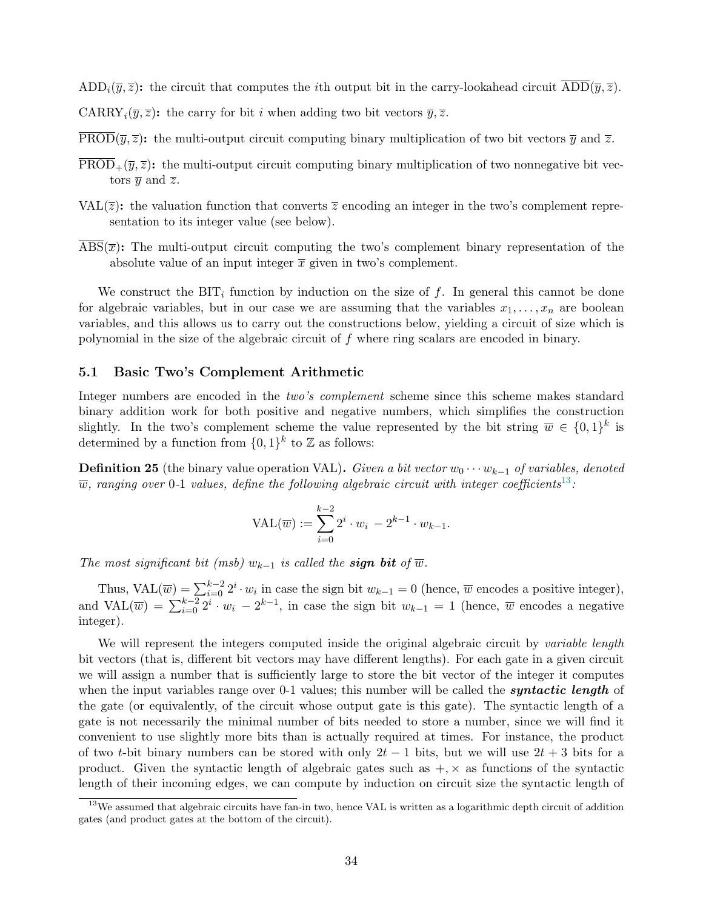$ADD_i(\overline{y}, \overline{z})$ : the circuit that computes the *i*th output bit in the carry-lookahead circuit  $\overline{ADD}(\overline{y}, \overline{z})$ .

CARRY<sub>i</sub> $(\overline{y}, \overline{z})$ : the carry for bit *i* when adding two bit vectors  $\overline{y}, \overline{z}$ .

 $\overline{\text{PROD}}(\overline{y},\overline{z})$ : the multi-output circuit computing binary multiplication of two bit vectors  $\overline{y}$  and  $\overline{z}$ .

- $\overline{\text{PROD}}_+(\overline{y},\overline{z})$ : the multi-output circuit computing binary multiplication of two nonnegative bit vectors  $\overline{y}$  and  $\overline{z}$ .
- VAL $(\overline{z})$ : the valuation function that converts  $\overline{z}$  encoding an integer in the two's complement representation to its integer value (see below).
- $\text{ABS}(\overline{x})$ : The multi-output circuit computing the two's complement binary representation of the absolute value of an input integer  $\bar{x}$  given in two's complement.

We construct the  $\text{BIT}_i$  function by induction on the size of f. In general this cannot be done for algebraic variables, but in our case we are assuming that the variables  $x_1, \ldots, x_n$  are boolean variables, and this allows us to carry out the constructions below, yielding a circuit of size which is polynomial in the size of the algebraic circuit of f where ring scalars are encoded in binary.

#### <span id="page-35-0"></span>5.1 Basic Two's Complement Arithmetic

Integer numbers are encoded in the two's complement scheme since this scheme makes standard binary addition work for both positive and negative numbers, which simplifies the construction slightly. In the two's complement scheme the value represented by the bit string  $\overline{w} \in \{0,1\}^k$  is determined by a function from  $\{0,1\}^k$  to  $\mathbb Z$  as follows:

**Definition 25** (the binary value operation VAL). Given a bit vector  $w_0 \cdots w_{k-1}$  of variables, denoted  $\overline{w}$ , ranging over 0-1 values, define the following algebraic circuit with integer coefficients<sup>13</sup>:

$$
VAL(\overline{w}) := \sum_{i=0}^{k-2} 2^i \cdot w_i - 2^{k-1} \cdot w_{k-1}.
$$

The most significant bit (msb)  $w_{k-1}$  is called the **sign bit** of  $\overline{w}$ .

Thus,  $\text{VAL}(\overline{w}) = \sum_{i=0}^{k-2} 2^i \cdot w_i$  in case the sign bit  $w_{k-1} = 0$  (hence,  $\overline{w}$  encodes a positive integer), and  $\text{VAL}(\overline{w}) = \sum_{i=0}^{k-2} 2^i \cdot w_i - 2^{k-1}$ , in case the sign bit  $w_{k-1} = 1$  (hence,  $\overline{w}$  encodes a negative integer).

We will represent the integers computed inside the original algebraic circuit by variable length bit vectors (that is, different bit vectors may have different lengths). For each gate in a given circuit we will assign a number that is sufficiently large to store the bit vector of the integer it computes when the input variables range over 0-1 values; this number will be called the **syntactic length** of the gate (or equivalently, of the circuit whose output gate is this gate). The syntactic length of a gate is not necessarily the minimal number of bits needed to store a number, since we will find it convenient to use slightly more bits than is actually required at times. For instance, the product of two t-bit binary numbers can be stored with only  $2t - 1$  bits, but we will use  $2t + 3$  bits for a product. Given the syntactic length of algebraic gates such as  $+$ ,  $\times$  as functions of the syntactic length of their incoming edges, we can compute by induction on circuit size the syntactic length of

<sup>&</sup>lt;sup>13</sup>We assumed that algebraic circuits have fan-in two, hence VAL is written as a logarithmic depth circuit of addition gates (and product gates at the bottom of the circuit).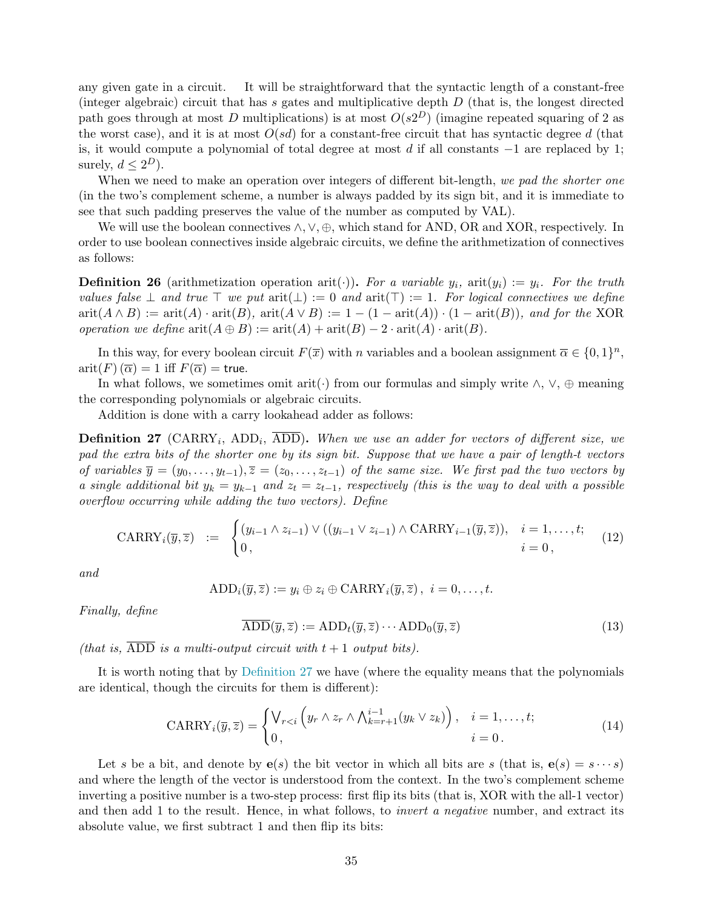any given gate in a circuit. It will be straightforward that the syntactic length of a constant-free (integer algebraic) circuit that has s gates and multiplicative depth  $D$  (that is, the longest directed path goes through at most D multiplications) is at most  $O(s2^D)$  (imagine repeated squaring of 2 as the worst case), and it is at most  $O(sd)$  for a constant-free circuit that has syntactic degree d (that is, it would compute a polynomial of total degree at most d if all constants  $-1$  are replaced by 1; surely,  $d \leq 2^D$ ).

When we need to make an operation over integers of different bit-length, we pad the shorter one (in the two's complement scheme, a number is always padded by its sign bit, and it is immediate to see that such padding preserves the value of the number as computed by VAL).

We will use the boolean connectives  $\wedge$ ,  $\vee$ ,  $\oplus$ , which stand for AND, OR and XOR, respectively. In order to use boolean connectives inside algebraic circuits, we define the arithmetization of connectives as follows:

<span id="page-36-4"></span>**Definition 26** (arithmetization operation arit(.)). For a variable  $y_i$ , arit $(y_i) := y_i$ . For the truth values false  $\perp$  and true  $\top$  we put  $\text{arit}(\perp) := 0$  and  $\text{arit}(\top) := 1$ . For logical connectives we define  $arit(A \wedge B) := arit(A) \cdot arit(B)$ ,  $arit(A \vee B) := 1 - (1 - arit(A)) \cdot (1 - arit(B))$ , and for the XOR operation we define  $\text{arit}(A \oplus B) := \text{arit}(A) + \text{arit}(B) - 2 \cdot \text{arit}(A) \cdot \text{arit}(B)$ .

In this way, for every boolean circuit  $F(\overline{x})$  with n variables and a boolean assignment  $\overline{\alpha} \in \{0,1\}^n$ ,  $arit(F)$   $(\overline{\alpha}) = 1$  iff  $F(\overline{\alpha}) =$  true.

In what follows, we sometimes omit arit( $\cdot$ ) from our formulas and simply write  $\wedge$ ,  $\vee$ ,  $\oplus$  meaning the corresponding polynomials or algebraic circuits.

Addition is done with a carry lookahead adder as follows:

<span id="page-36-0"></span>**Definition 27** (CARRY<sub>i</sub>, ADD<sub>i</sub>, ADD). When we use an adder for vectors of different size, we pad the extra bits of the shorter one by its sign bit. Suppose that we have a pair of length-t vectors of variables  $\overline{y} = (y_0, \ldots, y_{t-1}), \overline{z} = (z_0, \ldots, z_{t-1})$  of the same size. We first pad the two vectors by a single additional bit  $y_k = y_{k-1}$  and  $z_t = z_{t-1}$ , respectively (this is the way to deal with a possible overflow occurring while adding the two vectors). Define

<span id="page-36-1"></span>
$$
\text{CARRY}_{i}(\overline{y},\overline{z}) := \begin{cases} (y_{i-1} \wedge z_{i-1}) \vee ((y_{i-1} \vee z_{i-1}) \wedge \text{CARRY}_{i-1}(\overline{y},\overline{z})), & i=1,\ldots,t; \\ 0, & i=0, \end{cases}
$$
(12)

and

$$
\text{ADD}_i(\overline{y}, \overline{z}) := y_i \oplus z_i \oplus \text{CARN}_i(\overline{y}, \overline{z}), \ i = 0, \dots, t.
$$

Finally, define

<span id="page-36-2"></span>
$$
\overline{\mathrm{ADD}}(\overline{y}, \overline{z}) := \mathrm{ADD}_t(\overline{y}, \overline{z}) \cdots \mathrm{ADD}_0(\overline{y}, \overline{z}) \tag{13}
$$

(that is,  $\overline{ADD}$  is a multi-output circuit with  $t + 1$  output bits).

It is worth noting that by [Definition 27](#page-36-0) we have (where the equality means that the polynomials are identical, though the circuits for them is different):

<span id="page-36-3"></span>
$$
CARRY_i(\overline{y},\overline{z}) = \begin{cases} \bigvee_{r(14)
$$

Let s be a bit, and denote by  $e(s)$  the bit vector in which all bits are s (that is,  $e(s) = s \cdots s$ ) and where the length of the vector is understood from the context. In the two's complement scheme inverting a positive number is a two-step process: first flip its bits (that is, XOR with the all-1 vector) and then add 1 to the result. Hence, in what follows, to *invert a negative* number, and extract its absolute value, we first subtract 1 and then flip its bits: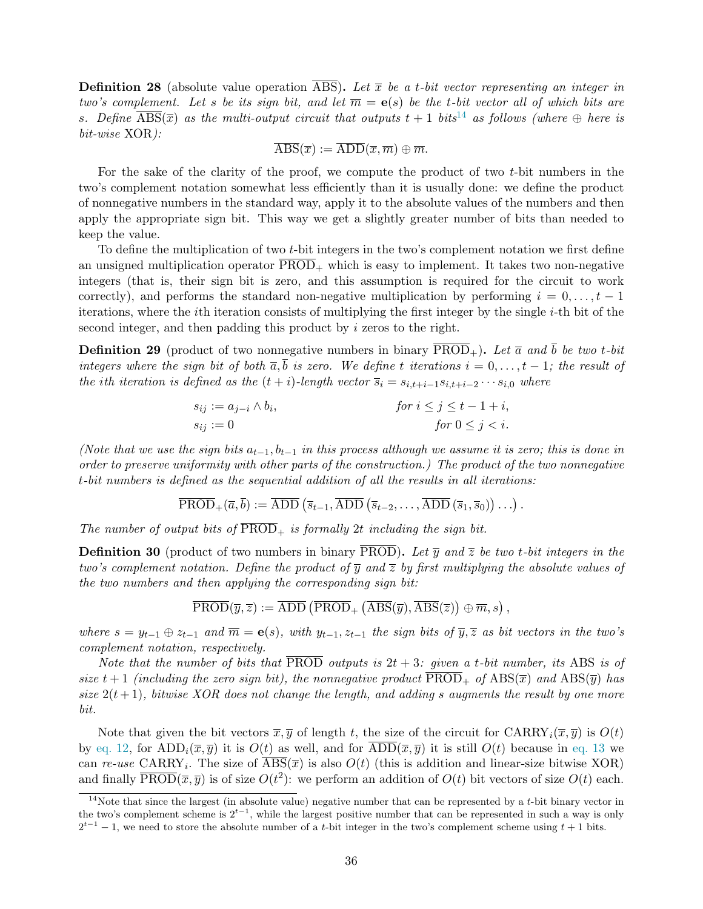<span id="page-37-1"></span>**Definition 28** (absolute value operation ABS). Let  $\bar{x}$  be a t-bit vector representing an integer in two's complement. Let s be its sign bit, and let  $\overline{m} = e(s)$  be the t-bit vector all of which bits are s. Define  $\overline{\text{ABS}}(\overline{x})$  as the multi-output circuit that outputs  $t+1$  bits<sup>14</sup> as follows (where  $\oplus$  here is bit-wise XOR):

$$
\overline{\rm ABS}(\overline{x}):=\overline{\rm ADD}(\overline{x},\overline{m})\oplus \overline{m}.
$$

For the sake of the clarity of the proof, we compute the product of two  $t$ -bit numbers in the two's complement notation somewhat less efficiently than it is usually done: we define the product of nonnegative numbers in the standard way, apply it to the absolute values of the numbers and then apply the appropriate sign bit. This way we get a slightly greater number of bits than needed to keep the value.

To define the multiplication of two t-bit integers in the two's complement notation we first define an unsigned multiplication operator  $\overline{PROD}_+$  which is easy to implement. It takes two non-negative integers (that is, their sign bit is zero, and this assumption is required for the circuit to work correctly), and performs the standard non-negative multiplication by performing  $i = 0, \ldots, t - 1$ iterations, where the ith iteration consists of multiplying the first integer by the single i-th bit of the second integer, and then padding this product by i zeros to the right.

**Definition 29** (product of two nonnegative numbers in binary  $\overline{PROD}_+$ ). Let  $\overline{a}$  and  $\overline{b}$  be two t-bit integers where the sign bit of both  $\overline{a}, \overline{b}$  is zero. We define t iterations  $i = 0, \ldots, t - 1$ ; the result of the ith iteration is defined as the  $(t + i)$ -length vector  $\overline{s}_i = s_{i,t+i-1}s_{i,t+i-2}\cdots s_{i,0}$  where

$$
s_{ij} := a_{j-i} \wedge b_i,
$$
  
\n
$$
s_{ij} := 0
$$
  
\nfor  $i \le j \le t - 1 + i$ ,  
\nfor  $0 \le j < i$ .

(Note that we use the sign bits  $a_{t-1}, b_{t-1}$  in this process although we assume it is zero; this is done in order to preserve uniformity with other parts of the construction.) The product of the two nonnegative t-bit numbers is defined as the sequential addition of all the results in all iterations:

$$
\overline{\text{PROD}}_{+}(\overline{a},\overline{b}) := \overline{\text{ADD}}\left(\overline{s}_{t-1}, \overline{\text{ADD}}\left(\overline{s}_{t-2}, \ldots, \overline{\text{ADD}}\left(\overline{s}_{1}, \overline{s}_{0}\right)\right) \ldots\right).
$$

The number of output bits of  $\overline{\text{PROD}}_+$  is formally 2t including the sign bit.

<span id="page-37-0"></span>**Definition 30** (product of two numbers in binary PROD). Let  $\overline{y}$  and  $\overline{z}$  be two t-bit integers in the two's complement notation. Define the product of  $\overline{y}$  and  $\overline{z}$  by first multiplying the absolute values of the two numbers and then applying the corresponding sign bit:

$$
\overline{\text{PROD}}(\overline{y},\overline{z}) := \overline{\operatorname{ADD}}\left(\overline{\text{PROD}}_+ \left(\overline{\text{ABS}}(\overline{y}), \overline{\text{ABS}}(\overline{z})\right) \oplus \overline{m}, s\right),
$$

where  $s = y_{t-1} \oplus z_{t-1}$  and  $\overline{m} = e(s)$ , with  $y_{t-1}, z_{t-1}$  the sign bits of  $\overline{y}, \overline{z}$  as bit vectors in the two's complement notation, respectively.

Note that the number of bits that  $\overline{\text{PROD}}$  outputs is  $2t + 3$ : given a t-bit number, its ABS is of size  $t + 1$  (including the zero sign bit), the nonnegative product  $PROD_+$  of  $ABS(\overline{x})$  and  $ABS(\overline{y})$  has size  $2(t+1)$ , bitwise XOR does not change the length, and adding s augments the result by one more bit.

Note that given the bit vectors  $\overline{x}, \overline{y}$  of length t, the size of the circuit for  $CARRY_i(\overline{x}, \overline{y})$  is  $O(t)$ by [eq. 12,](#page-36-1) for  $\text{ADD}_i(\overline{x}, \overline{y})$  it is  $O(t)$  as well, and for  $\text{ADD}(\overline{x}, \overline{y})$  it is still  $O(t)$  because in [eq. 13](#page-36-2) we can re-use CARRY<sub>i</sub>. The size of  $\text{ABS}(\overline{x})$  is also  $O(t)$  (this is addition and linear-size bitwise XOR) and finally  $\overline{\text{PROD}}(\overline{x}, \overline{y})$  is of size  $O(t^2)$ : we perform an addition of  $O(t)$  bit vectors of size  $O(t)$  each.

<sup>&</sup>lt;sup>14</sup>Note that since the largest (in absolute value) negative number that can be represented by a  $t$ -bit binary vector in the two's complement scheme is  $2^{t-1}$ , while the largest positive number that can be represented in such a way is only  $2^{t-1} - 1$ , we need to store the absolute number of a t-bit integer in the two's complement scheme using  $t + 1$  bits.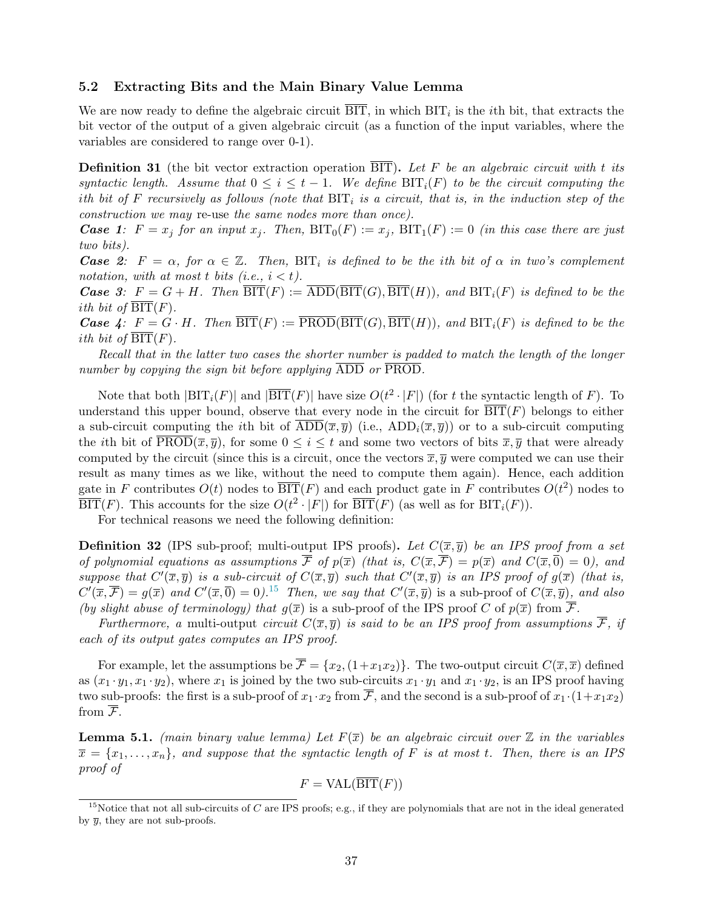#### <span id="page-38-0"></span>5.2 Extracting Bits and the Main Binary Value Lemma

We are now ready to define the algebraic circuit  $\text{BIT}$ , in which  $\text{BIT}_i$  is the *i*th bit, that extracts the bit vector of the output of a given algebraic circuit (as a function of the input variables, where the variables are considered to range over 0-1).

<span id="page-38-2"></span>**Definition 31** (the bit vector extraction operation  $\overline{BIT}$ ). Let F be an algebraic circuit with t its syntactic length. Assume that  $0 \leq i \leq t-1$ . We define  $\text{BIT}_i(F)$  to be the circuit computing the ith bit of F recursively as follows (note that  $\text{BIT}_i$  is a circuit, that is, in the induction step of the construction we may re-use the same nodes more than once).

**Case 1:**  $F = x_j$  for an input  $x_j$ . Then,  $\text{BIT}_0(F) := x_j$ ,  $\text{BIT}_1(F) := 0$  (in this case there are just two bits).

**Case** 2:  $F = \alpha$ , for  $\alpha \in \mathbb{Z}$ . Then, BIT<sub>i</sub> is defined to be the ith bit of  $\alpha$  in two's complement notation, with at most t bits (i.e.,  $i < t$ ).

**Case** 3:  $F = G + H$ . Then  $\overline{\text{BIT}}(F) := \overline{\text{ADD}}(\overline{\text{BIT}}(G), \overline{\text{BIT}}(H))$ , and  $\text{BIT}_i(F)$  is defined to be the ith bit of  $\text{BIT}(F)$ .

**Case 4:**  $F = G \cdot H$ . Then  $\overline{BIT}(F) := \overline{PROD(BIT)}(G), \overline{BIT}(H))$ , and  $BIT_i(F)$  is defined to be the ith bit of  $\overline{\text{BIT}}(F)$ .

Recall that in the latter two cases the shorter number is padded to match the length of the longer number by copying the sign bit before applying ADD or PROD.

Note that both  $|BIT_i(F)|$  and  $|\overline{BIT}(F)|$  have size  $O(t^2 \cdot |F|)$  (for t the syntactic length of F). To understand this upper bound, observe that every node in the circuit for  $\overline{BIT}(F)$  belongs to either a sub-circuit computing the *i*th bit of  $ADD(\overline{x}, \overline{y})$  (i.e.,  $ADD_i(\overline{x}, \overline{y})$ ) or to a sub-circuit computing the *i*th bit of  $\overline{\text{PROD}(\bar{x}, \bar{y})}$ , for some  $0 \leq i \leq t$  and some two vectors of bits  $\bar{x}, \bar{y}$  that were already computed by the circuit (since this is a circuit, once the vectors  $\overline{x}, \overline{y}$  were computed we can use their result as many times as we like, without the need to compute them again). Hence, each addition gate in F contributes  $O(t)$  nodes to  $\overline{\text{BIT}}(F)$  and each product gate in F contributes  $O(t^2)$  nodes to  $\overline{\text{BIT}}(F)$ . This accounts for the size  $O(t^2 \cdot |F|)$  for  $\overline{\text{BIT}}(F)$  (as well as for  $\text{BIT}_i(F)$ ).

For technical reasons we need the following definition:

**Definition 32** (IPS sub-proof; multi-output IPS proofs). Let  $C(\overline{x}, \overline{y})$  be an IPS proof from a set of polynomial equations as assumptions  $\overline{\mathcal{F}}$  of  $p(\overline{x})$  (that is,  $C(\overline{x}, \overline{\mathcal{F}}) = p(\overline{x})$  and  $C(\overline{x}, \overline{0}) = 0$ ), and suppose that  $C'(\overline{x},\overline{y})$  is a sub-circuit of  $C(\overline{x},\overline{y})$  such that  $C'(\overline{x},\overline{y})$  is an IPS proof of  $g(\overline{x})$  (that is,  $C'(\overline{x}, \overline{\mathcal{F}}) = g(\overline{x})$  and  $C'(\overline{x}, \overline{0}) = 0$ .<sup>15</sup> Then, we say that  $C'(\overline{x}, \overline{y})$  is a sub-proof of  $C(\overline{x}, \overline{y})$ , and also (by slight abuse of terminology) that  $q(\overline{x})$  is a sub-proof of the IPS proof C of  $p(\overline{x})$  from  $\overline{\mathcal{F}}$ .

Furthermore, a multi-output circuit  $C(\overline{x}, \overline{y})$  is said to be an IPS proof from assumptions  $\overline{\mathcal{F}}$ , if each of its output gates computes an IPS proof.

For example, let the assumptions be  $\overline{\mathcal{F}} = \{x_2,(1+x_1x_2)\}\$ . The two-output circuit  $C(\overline{x},\overline{x})$  defined as  $(x_1 \cdot y_1, x_1 \cdot y_2)$ , where  $x_1$  is joined by the two sub-circuits  $x_1 \cdot y_1$  and  $x_1 \cdot y_2$ , is an IPS proof having two sub-proofs: the first is a sub-proof of  $x_1 \cdot x_2$  from  $\overline{\mathcal{F}}$ , and the second is a sub-proof of  $x_1 \cdot (1+x_1x_2)$ from  $\overline{\mathcal{F}}$ .

<span id="page-38-1"></span>**Lemma 5.1.** (main binary value lemma) Let  $F(\overline{x})$  be an algebraic circuit over  $\mathbb Z$  in the variables  $\overline{x} = \{x_1, \ldots, x_n\}$ , and suppose that the syntactic length of F is at most t. Then, there is an IPS proof of

$$
F = \text{VAL}(\overline{\text{BIT}}(F))
$$

<sup>&</sup>lt;sup>15</sup>Notice that not all sub-circuits of  $C$  are IPS proofs; e.g., if they are polynomials that are not in the ideal generated by  $\bar{y}$ , they are not sub-proofs.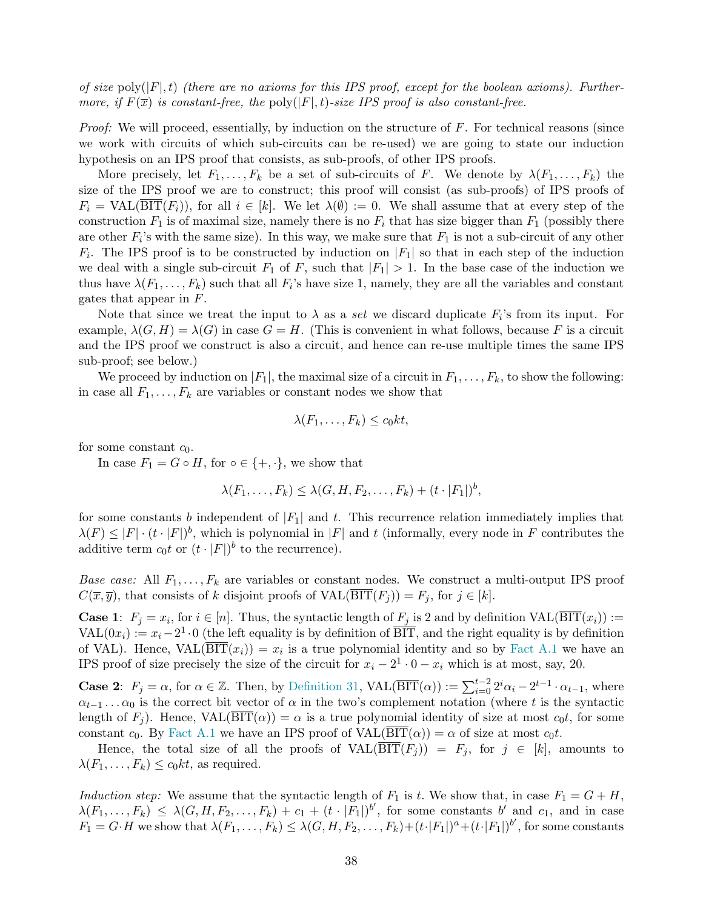of size  $\text{poly}(|F|, t)$  (there are no axioms for this IPS proof, except for the boolean axioms). Furthermore, if  $F(\overline{x})$  is constant-free, the poly(|F|, t)-size IPS proof is also constant-free.

*Proof:* We will proceed, essentially, by induction on the structure of  $F$ . For technical reasons (since we work with circuits of which sub-circuits can be re-used) we are going to state our induction hypothesis on an IPS proof that consists, as sub-proofs, of other IPS proofs.

More precisely, let  $F_1, \ldots, F_k$  be a set of sub-circuits of F. We denote by  $\lambda(F_1, \ldots, F_k)$  the size of the IPS proof we are to construct; this proof will consist (as sub-proofs) of IPS proofs of  $F_i = \text{VAL}(BIT(F_i))$ , for all  $i \in [k]$ . We let  $\lambda(\emptyset) := 0$ . We shall assume that at every step of the construction  $F_1$  is of maximal size, namely there is no  $F_i$  that has size bigger than  $F_1$  (possibly there are other  $F_i$ 's with the same size). In this way, we make sure that  $F_1$  is not a sub-circuit of any other  $F_i$ . The IPS proof is to be constructed by induction on  $|F_1|$  so that in each step of the induction we deal with a single sub-circuit  $F_1$  of F, such that  $|F_1| > 1$ . In the base case of the induction we thus have  $\lambda(F_1,\ldots,F_k)$  such that all  $F_i$ 's have size 1, namely, they are all the variables and constant gates that appear in F.

Note that since we treat the input to  $\lambda$  as a set we discard duplicate  $F_i$ 's from its input. For example,  $\lambda(G, H) = \lambda(G)$  in case  $G = H$ . (This is convenient in what follows, because F is a circuit and the IPS proof we construct is also a circuit, and hence can re-use multiple times the same IPS sub-proof; see below.)

We proceed by induction on  $|F_1|$ , the maximal size of a circuit in  $F_1, \ldots, F_k$ , to show the following: in case all  $F_1, \ldots, F_k$  are variables or constant nodes we show that

$$
\lambda(F_1,\ldots,F_k)\leq c_0kt,
$$

for some constant  $c_0$ .

In case  $F_1 = G \circ H$ , for  $\circ \in \{+, \cdot\}$ , we show that

$$
\lambda(F_1,\ldots,F_k) \leq \lambda(G,H,F_2,\ldots,F_k) + (t \cdot |F_1|)^b,
$$

for some constants b independent of  $|F_1|$  and t. This recurrence relation immediately implies that  $\lambda(F) \leq |F| \cdot (t \cdot |F|)^b$ , which is polynomial in  $|F|$  and t (informally, every node in F contributes the additive term  $c_0t$  or  $(t \cdot |F|)^b$  to the recurrence).

Base case: All  $F_1, \ldots, F_k$  are variables or constant nodes. We construct a multi-output IPS proof  $C(\overline{x}, \overline{y})$ , that consists of k disjoint proofs of  $VAL(\overline{BIT}(F_i)) = F_i$ , for  $j \in [k]$ .

**Case 1:**  $F_j = x_i$ , for  $i \in [n]$ . Thus, the syntactic length of  $F_j$  is 2 and by definition  $VAL(BIT(x_i)) :=$  $\text{VAL}(0x_i) := x_i - 2^1 \cdot 0$  (the left equality is by definition of  $\overline{\text{BIT}}$ , and the right equality is by definition of VAL). Hence,  $VAL(BIT(x_i)) = x_i$  is a true polynomial identity and so by [Fact A.1](#page-51-1) we have an IPS proof of size precisely the size of the circuit for  $x_i - 2^1 \cdot 0 - x_i$  which is at most, say, 20.

**Case 2:**  $F_j = \alpha$ , for  $\alpha \in \mathbb{Z}$ . Then, by [Definition 31,](#page-38-2) VAL( $\overline{\text{BIT}}(\alpha)$ ) :=  $\sum_{i=0}^{t-2} 2^i \alpha_i - 2^{t-1} \cdot \alpha_{t-1}$ , where  $\alpha_{t-1} \dots \alpha_0$  is the correct bit vector of  $\alpha$  in the two's complement notation (where t is the syntactic length of  $F_i$ ). Hence,  $VAL(BIT(\alpha)) = \alpha$  is a true polynomial identity of size at most  $c_0t$ , for some constant c<sub>0</sub>. By [Fact A.1](#page-51-1) we have an IPS proof of  $VAL(\overline{BIT}(\alpha)) = \alpha$  of size at most c<sub>0</sub>t.

Hence, the total size of all the proofs of  $VAL(BIT(F_j)) = F_j$ , for  $j \in [k]$ , amounts to  $\lambda(F_1,\ldots,F_k) \leq c_0kt$ , as required.

Induction step: We assume that the syntactic length of  $F_1$  is t. We show that, in case  $F_1 = G + H$ ,  $\lambda(F_1,\ldots,F_k) \leq \lambda(G,H,F_2,\ldots,F_k) + c_1 + (t \cdot |F_1|)^{b'}$ , for some constants  $b'$  and  $c_1$ , and in case  $F_1 = G \cdot H$  we show that  $\lambda(F_1, \ldots, F_k) \leq \lambda(G, H, F_2, \ldots, F_k) + (t \cdot |F_1|)^a + (t \cdot |F_1|)^b'$ , for some constants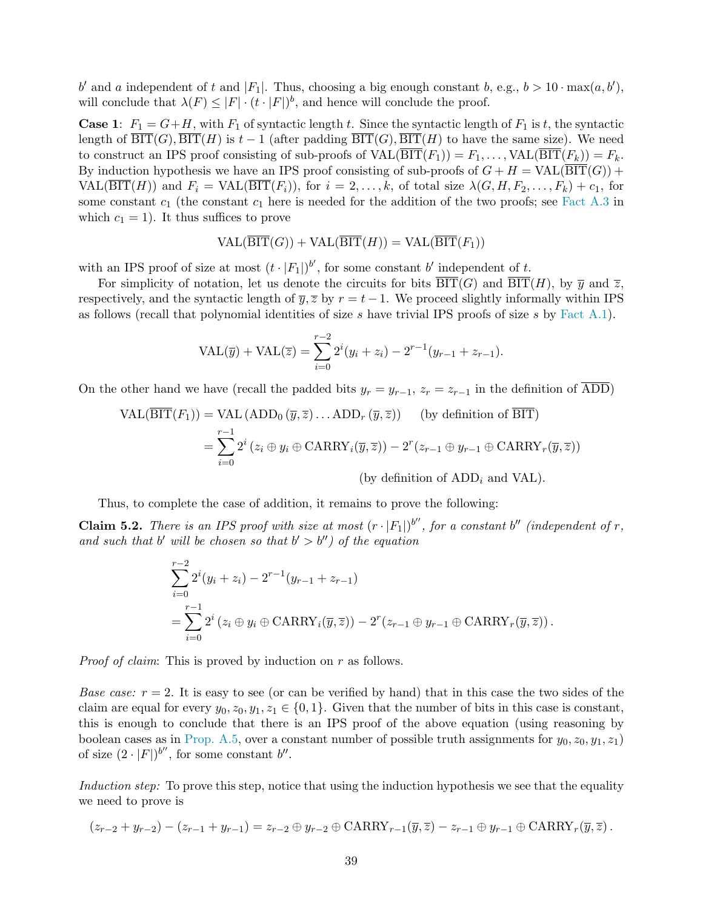b' and a independent of t and |F<sub>1</sub>|. Thus, choosing a big enough constant b, e.g.,  $b > 10 \cdot \max(a, b')$ , will conclude that  $\lambda(F) \leq |F| \cdot (t \cdot |F|)^b$ , and hence will conclude the proof.

**Case 1:**  $F_1 = G + H$ , with  $F_1$  of syntactic length t. Since the syntactic length of  $F_1$  is t, the syntactic length of  $\overline{\text{BIT}}(G), \overline{\text{BIT}}(H)$  is  $t-1$  (after padding  $\overline{\text{BIT}}(G), \overline{\text{BIT}}(H)$  to have the same size). We need to construct an IPS proof consisting of sub-proofs of  $\text{VAL}(\overline{\text{BIT}}(F_1)) = F_1, \ldots, \text{VAL}(\overline{\text{BIT}}(F_k)) = F_k$ . By induction hypothesis we have an IPS proof consisting of sub-proofs of  $G + H = \text{VAL}(\overline{\text{BIT}}(G)) +$  $VAL(\overline{\text{BIT}}(H))$  and  $F_i = \text{VAL}(\overline{\text{BIT}}(F_i))$ , for  $i = 2, ..., k$ , of total size  $\lambda(G, H, F_2, ..., F_k) + c_1$ , for some constant  $c_1$  (the constant  $c_1$  here is needed for the addition of the two proofs; see [Fact A.3](#page-51-3) in which  $c_1 = 1$ ). It thus suffices to prove

$$
\text{VAL}(\overline{\text{BIT}}(G)) + \text{VAL}(\overline{\text{BIT}}(H)) = \text{VAL}(\overline{\text{BIT}}(F_1))
$$

with an IPS proof of size at most  $(t \cdot |F_1|)^{b'}$ , for some constant b' independent of t.

For simplicity of notation, let us denote the circuits for bits  $\overline{\text{BIT}}(G)$  and  $\overline{\text{BIT}}(H)$ , by  $\overline{y}$  and  $\overline{z}$ , respectively, and the syntactic length of  $\overline{y}$ ,  $\overline{z}$  by  $r = t - 1$ . We proceed slightly informally within IPS as follows (recall that polynomial identities of size s have trivial IPS proofs of size s by Fact  $A.1$ ).

$$
VAL(\overline{y}) + VAL(\overline{z}) = \sum_{i=0}^{r-2} 2^{i} (y_i + z_i) - 2^{r-1} (y_{r-1} + z_{r-1}).
$$

On the other hand we have (recall the padded bits  $y_r = y_{r-1}$ ,  $z_r = z_{r-1}$  in the definition of ADD)

$$
\text{VAL}(\overline{\text{BIT}}(F_1)) = \text{VAL}(\text{ADD}_0(\overline{y}, \overline{z}) \dots \text{ADD}_r(\overline{y}, \overline{z})) \quad \text{(by definition of } \overline{\text{BIT}})
$$
\n
$$
= \sum_{i=0}^{r-1} 2^i (z_i \oplus y_i \oplus \text{CARRY}_i(\overline{y}, \overline{z})) - 2^r (z_{r-1} \oplus y_{r-1} \oplus \text{CARRY}_r(\overline{y}, \overline{z}))
$$
\n(by definition of ADD<sub>i</sub> and VAL).

Thus, to complete the case of addition, it remains to prove the following:

**Claim 5.2.** There is an IPS proof with size at most  $(r \cdot |F_1|)^{b''}$ , for a constant b'' (independent of r, and such that b' will be chosen so that  $b' > b''$  of the equation

$$
\sum_{i=0}^{r-2} 2^{i} (y_{i} + z_{i}) - 2^{r-1} (y_{r-1} + z_{r-1})
$$
  
= 
$$
\sum_{i=0}^{r-1} 2^{i} (z_{i} \oplus y_{i} \oplus \text{CARRY}_{i}(\overline{y}, \overline{z})) - 2^{r} (z_{r-1} \oplus y_{r-1} \oplus \text{CARRY}_{r}(\overline{y}, \overline{z})).
$$

Proof of claim: This is proved by induction on r as follows.

*Base case:*  $r = 2$ . It is easy to see (or can be verified by hand) that in this case the two sides of the claim are equal for every  $y_0, z_0, y_1, z_1 \in \{0, 1\}$ . Given that the number of bits in this case is constant, this is enough to conclude that there is an IPS proof of the above equation (using reasoning by boolean cases as in [Prop. A.5,](#page-51-2) over a constant number of possible truth assignments for  $y_0, z_0, y_1, z_1$ of size  $(2 \cdot |F|)^{b''}$ , for some constant  $b''$ .

Induction step: To prove this step, notice that using the induction hypothesis we see that the equality we need to prove is

$$
(z_{r-2}+y_{r-2})-(z_{r-1}+y_{r-1})=z_{r-2}\oplus y_{r-2}\oplus \mathrm{CARRY}_{r-1}(\overline{y},\overline{z})-z_{r-1}\oplus y_{r-1}\oplus \mathrm{CARRY}_r(\overline{y},\overline{z}).
$$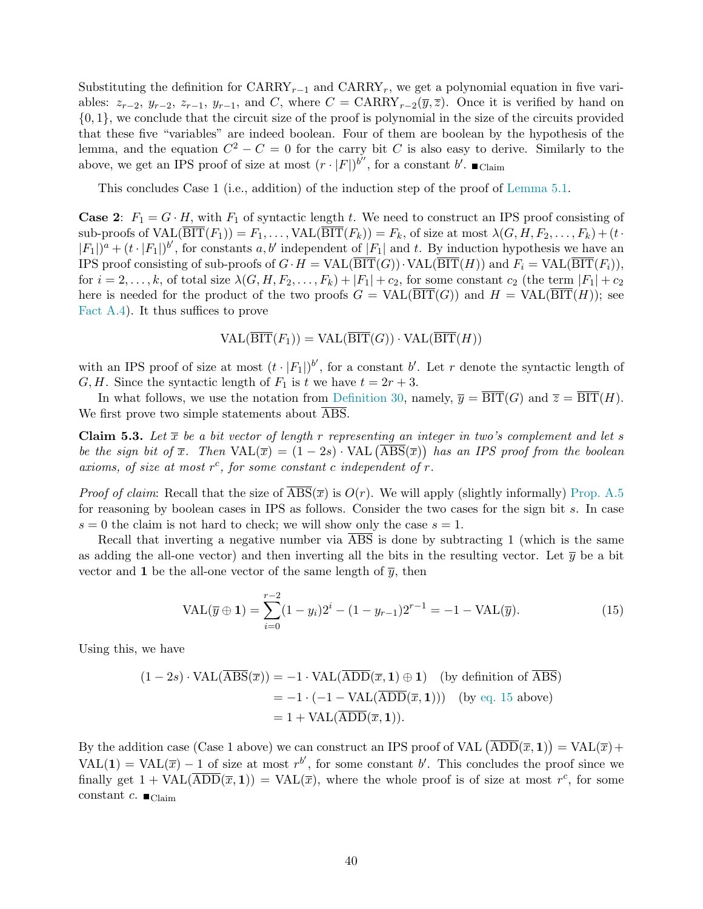Substituting the definition for  $CARRY_{r-1}$  and  $CARRY_r$ , we get a polynomial equation in five variables:  $z_{r-2}$ ,  $y_{r-2}$ ,  $z_{r-1}$ ,  $y_{r-1}$ , and C, where  $C = \text{CARRY}_{r-2}(\overline{y}, \overline{z})$ . Once it is verified by hand on {0, 1}, we conclude that the circuit size of the proof is polynomial in the size of the circuits provided that these five "variables" are indeed boolean. Four of them are boolean by the hypothesis of the lemma, and the equation  $C^2 - C = 0$  for the carry bit C is also easy to derive. Similarly to the above, we get an IPS proof of size at most  $(r \cdot |F|)^{b''}$ , for a constant  $b'$ .  $\blacksquare$  Claim

This concludes Case 1 (i.e., addition) of the induction step of the proof of [Lemma 5.1.](#page-38-1)

**Case 2:**  $F_1 = G \cdot H$ , with  $F_1$  of syntactic length t. We need to construct an IPS proof consisting of sub-proofs of  $\text{VAL}(\overline{\text{BIT}}(F_1)) = F_1, \ldots, \text{VAL}(\overline{\text{BIT}}(F_k)) = F_k$ , of size at most  $\lambda(G, H, F_2, \ldots, F_k) + (t \cdot$  $|F_1|$ <sup> $a$ </sup> +  $(t \cdot |F_1|)^{b'}$ , for constants a, b' independent of  $|F_1|$  and t. By induction hypothesis we have an IPS proof consisting of sub-proofs of  $G \cdot H = \text{VAL}(\overline{\text{BIT}}(G)) \cdot \text{VAL}(\overline{\text{BIT}}(H))$  and  $F_i = \text{VAL}(\overline{\text{BIT}}(F_i)),$ for  $i = 2, \ldots, k$ , of total size  $\lambda(G, H, F_2, \ldots, F_k) + |F_1| + c_2$ , for some constant  $c_2$  (the term  $|F_1| + c_2$ here is needed for the product of the two proofs  $G = \text{VAL}(BIT(G))$  and  $H = \text{VAL}(BIT(H))$ ; see [Fact A.4\)](#page-51-4). It thus suffices to prove

$$
VAL(\overline{BIT}(F_1)) = VAL(\overline{BIT}(G)) \cdot VAL(\overline{BIT}(H))
$$

with an IPS proof of size at most  $(t \cdot |F_1|)^{b'}$ , for a constant b'. Let r denote the syntactic length of G, H. Since the syntactic length of  $F_1$  is t we have  $t = 2r + 3$ .

In what follows, we use the notation from [Definition 30,](#page-37-0) namely,  $\overline{y} = \overline{BIT}(G)$  and  $\overline{z} = \overline{BIT}(H)$ . We first prove two simple statements about ABS.

<span id="page-41-1"></span>Claim 5.3. Let  $\bar{x}$  be a bit vector of length r representing an integer in two's complement and let s be the sign bit of  $\bar{x}$ . Then  $\text{VAL}(\bar{x}) = (1 - 2s) \cdot \text{VAL}(\overline{\text{ABS}}(\bar{x}))$  has an IPS proof from the boolean axioms, of size at most  $r^c$ , for some constant c independent of  $r$ .

*Proof of claim:* Recall that the size of  $\overline{ABS}(\overline{x})$  is  $O(r)$ . We will apply (slightly informally) [Prop. A.5](#page-51-2) for reasoning by boolean cases in IPS as follows. Consider the two cases for the sign bit s. In case  $s = 0$  the claim is not hard to check; we will show only the case  $s = 1$ .

Recall that inverting a negative number via  $\overline{ABS}$  is done by subtracting 1 (which is the same as adding the all-one vector) and then inverting all the bits in the resulting vector. Let  $\bar{y}$  be a bit vector and 1 be the all-one vector of the same length of  $\bar{y}$ , then

<span id="page-41-0"></span>
$$
VAL(\overline{y} \oplus 1) = \sum_{i=0}^{r-2} (1 - y_i) 2^i - (1 - y_{r-1}) 2^{r-1} = -1 - VAL(\overline{y}).
$$
\n(15)

Using this, we have

$$
(1 - 2s) \cdot \text{VAL}(\overline{\text{ABS}}(\overline{x})) = -1 \cdot \text{VAL}(\overline{\text{ADD}}(\overline{x}, 1) \oplus 1) \quad \text{(by definition of } \overline{\text{ABS}})
$$
\n
$$
= -1 \cdot (-1 - \text{VAL}(\overline{\text{ADD}}(\overline{x}, 1))) \quad \text{(by eq. 15 above)}
$$
\n
$$
= 1 + \text{VAL}(\overline{\text{ADD}}(\overline{x}, 1)).
$$

By the addition case (Case 1 above) we can construct an IPS proof of VAL  $(\overline{ADD}(\overline{x},1)) = \text{VAL}(\overline{x}) +$ VAL(1) = VAL( $\bar{x}$ ) – 1 of size at most  $r^{b'}$ , for some constant b'. This concludes the proof since we finally get  $1 + \text{VAL}(\overline{ADD}(\overline{x}, 1)) = \text{VAL}(\overline{x})$ , where the whole proof is of size at most  $r^c$ , for some constant c.  $\blacksquare$ <sub>Claim</sub>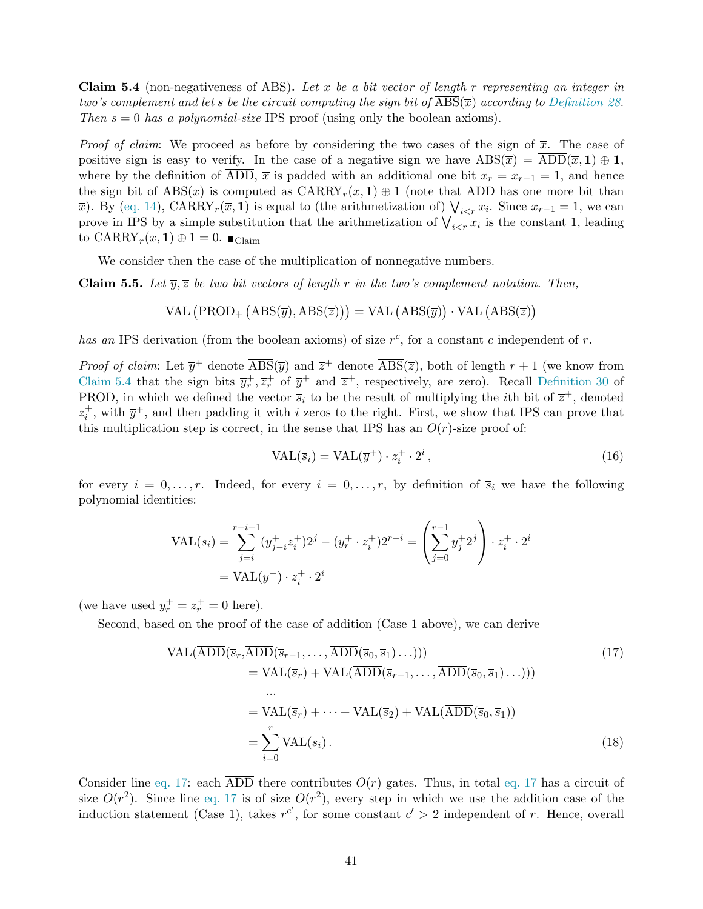<span id="page-42-0"></span>**Claim 5.4** (non-negativeness of  $\overline{ABS}$ ). Let  $\overline{x}$  be a bit vector of length r representing an integer in two's complement and let s be the circuit computing the sign bit of  $\overline{ABS}(\overline{x})$  according to [Definition 28.](#page-37-1) Then  $s = 0$  has a polynomial-size IPS proof (using only the boolean axioms).

*Proof of claim:* We proceed as before by considering the two cases of the sign of  $\bar{x}$ . The case of positive sign is easy to verify. In the case of a negative sign we have  $\text{ABS}(\overline{x}) = \text{ADD}(\overline{x}, 1) \oplus 1$ , where by the definition of ADD,  $\bar{x}$  is padded with an additional one bit  $x_r = x_{r-1} = 1$ , and hence the sign bit of  $\text{ABS}(\overline{x})$  is computed as  $\text{CARRY}_r(\overline{x}, 1) \oplus 1$  (note that ADD has one more bit than  $\overline{x}$ ). By [\(eq. 14\)](#page-36-3), CARRY<sub>r</sub>( $\overline{x}$ , 1) is equal to (the arithmetization of)  $\bigvee_{i \leq r} x_i$ . Since  $x_{r-1} = 1$ , we can prove in IPS by a simple substitution that the arithmetization of  $\bigvee_{i \leq r} x_i$  is the constant 1, leading to  $\mathrm{CARRY}_r(\overline{x},1) \oplus 1 = 0$ .  $\blacksquare_{\mathrm{Claim}}$ 

We consider then the case of the multiplication of nonnegative numbers.

<span id="page-42-4"></span>**Claim 5.5.** Let  $\overline{y}, \overline{z}$  be two bit vectors of length r in the two's complement notation. Then,

$$
\text{VAL}\left(\overline{\text{PROD}}_{+}\left(\overline{\text{ABS}}(\overline{y}),\overline{\text{ABS}}(\overline{z})\right)\right) = \text{VAL}\left(\overline{\text{ABS}}(\overline{y})\right) \cdot \text{VAL}\left(\overline{\text{ABS}}(\overline{z})\right)
$$

has an IPS derivation (from the boolean axioms) of size  $r^c$ , for a constant c independent of r.

*Proof of claim:* Let  $\overline{y}^+$  denote  $\overline{ABS}(\overline{y})$  and  $\overline{z}^+$  denote  $\overline{ABS}(\overline{z})$ , both of length  $r+1$  (we know from [Claim 5.4](#page-42-0) that the sign bits  $\overline{y}_r^+, \overline{z}_r^+$  of  $\overline{y}^+$  and  $\overline{z}^+$ , respectively, are zero). Recall [Definition 30](#page-37-0) of  $\overline{\text{PROD}}$ , in which we defined the vector  $\overline{s}_i$  to be the result of multiplying the *i*th bit of  $\overline{z}^+$ , denoted  $z_i^+$ , with  $\overline{y}^+$ , and then padding it with i zeros to the right. First, we show that IPS can prove that this multiplication step is correct, in the sense that IPS has an  $O(r)$ -size proof of:

<span id="page-42-3"></span><span id="page-42-2"></span><span id="page-42-1"></span>
$$
VAL(\overline{s}_i) = VAL(\overline{y}^+) \cdot z_i^+ \cdot 2^i,
$$
\n(16)

for every  $i = 0, \ldots, r$ . Indeed, for every  $i = 0, \ldots, r$ , by definition of  $\overline{s}_i$  we have the following polynomial identities:

$$
\text{VAL}(\overline{s}_i) = \sum_{j=i}^{r+i-1} (y_{j-i}^+ z_i^+) 2^j - (y_r^+ \cdot z_i^+) 2^{r+i} = \left( \sum_{j=0}^{r-1} y_j^+ 2^j \right) \cdot z_i^+ \cdot 2^i
$$
  
= 
$$
\text{VAL}(\overline{y}^+) \cdot z_i^+ \cdot 2^i
$$

(we have used  $y_r^+ = z_r^+ = 0$  here).

Second, based on the proof of the case of addition (Case 1 above), we can derive

$$
VAL(\overline{ADD}(\overline{s}_r, \overline{ADD}(\overline{s}_{r-1}, \dots, \overline{ADD}(\overline{s}_0, \overline{s}_1) \dots)))
$$
\n
$$
= VAL(\overline{s}_r) + VAL(\overline{ADD}(\overline{s}_{r-1}, \dots, \overline{ADD}(\overline{s}_0, \overline{s}_1) \dots)))
$$
\n
$$
\dots
$$
\n
$$
= VAL(\overline{s}_r) + \dots + VAL(\overline{s}_2) + VAL(\overline{ADD}(\overline{s}_0, \overline{s}_1))
$$
\n
$$
= \sum_{i=0}^r VAL(\overline{s}_i).
$$
\n(18)

Consider line [eq. 17:](#page-42-1) each  $\overline{ADD}$  there contributes  $O(r)$  gates. Thus, in total [eq. 17](#page-42-1) has a circuit of size  $O(r^2)$ . Since line [eq. 17](#page-42-1) is of size  $O(r^2)$ , every step in which we use the addition case of the induction statement (Case 1), takes  $r^{c'}$ , for some constant  $c' > 2$  independent of r. Hence, overall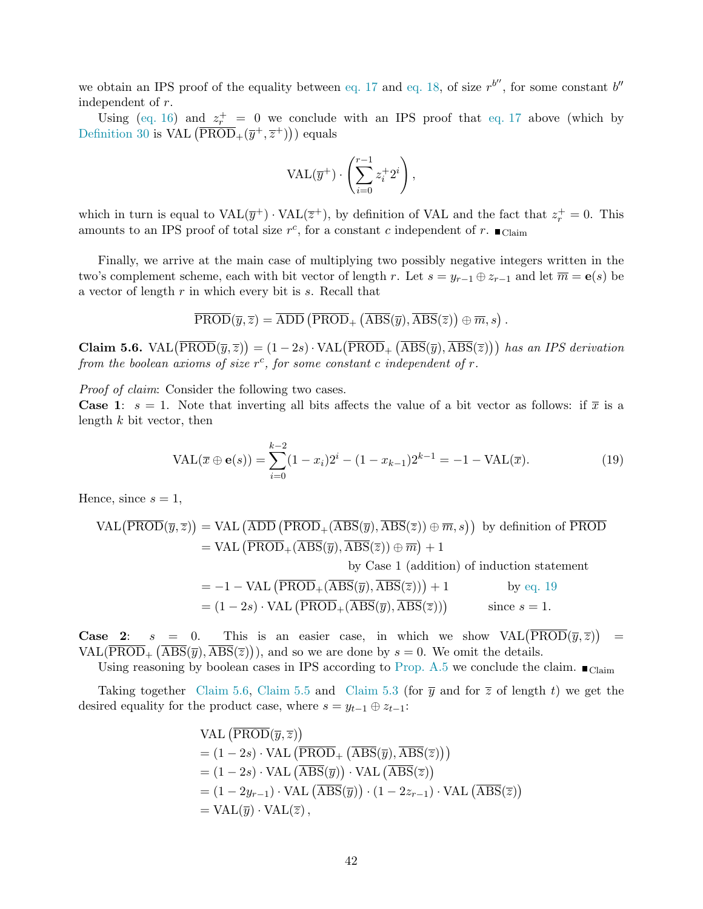we obtain an IPS proof of the equality between [eq. 17](#page-42-1) and [eq. 18,](#page-42-2) of size  $r^{b''}$ , for some constant  $b''$ independent of r.

Using [\(eq. 16\)](#page-42-3) and  $z_r^+ = 0$  we conclude with an IPS proof that [eq. 17](#page-42-1) above (which by [Definition 30](#page-37-0) is VAL  $(\overline{\text{PROD}}_{+}(\overline{y}^+, \overline{z}^+))$  equals

$$
\mathrm{VAL}(\overline{y}^+) \cdot \left( \sum_{i=0}^{r-1} z_i^+ 2^i \right),
$$

which in turn is equal to  $VAL(\overline{y}^+) \cdot \text{VAL}(\overline{z}^+)$ , by definition of VAL and the fact that  $z_r^+ = 0$ . This amounts to an IPS proof of total size  $r^c$ , for a constant c independent of r.  $\blacksquare$ <sub>Claim</sub>

Finally, we arrive at the main case of multiplying two possibly negative integers written in the two's complement scheme, each with bit vector of length r. Let  $s = y_{r-1} \oplus z_{r-1}$  and let  $\overline{m} = e(s)$  be a vector of length r in which every bit is s. Recall that

$$
\overline{\text{PROD}}(\overline{y},\overline{z}) = \overline{\text{ADD}}\left(\overline{\text{PROD}}_+\left(\overline{\text{ABS}}(\overline{y}),\overline{\text{ABS}}(\overline{z})\right) \oplus \overline{m},s\right).
$$

<span id="page-43-1"></span>Claim 5.6. VAL $(\overline{\text{PROD}}(\overline{y},\overline{z})) = (1-2s) \cdot \text{VAL}(\overline{\text{PROD}}_+ (\overline{\text{ABS}}(\overline{y}), \overline{\text{ABS}}(\overline{z})))$  has an IPS derivation from the boolean axioms of size  $r^c$ , for some constant c independent of r.

Proof of claim: Consider the following two cases.

**Case 1:**  $s = 1$ . Note that inverting all bits affects the value of a bit vector as follows: if  $\bar{x}$  is a length  $k$  bit vector, then

<span id="page-43-0"></span>
$$
VAL(\overline{x} \oplus \mathbf{e}(s)) = \sum_{i=0}^{k-2} (1 - x_i) 2^i - (1 - x_{k-1}) 2^{k-1} = -1 - \text{VAL}(\overline{x}). \tag{19}
$$

Hence, since  $s = 1$ ,

$$
VAL( \overline{PROD}(\overline{y}, \overline{z}) ) = VAL (\overline{ADD} (\overline{PROD}_{+} (\overline{ABS}(\overline{y}), \overline{ABS}(\overline{z})) \oplus \overline{m}, s ) ) \text{ by definition of } \overline{PROD} = VAL (\overline{PROD}_{+} (\overline{ABS}(\overline{y}), \overline{ABS}(\overline{z})) \oplus \overline{m}) + 1
$$

by Case 1 (addition) of induction statement

$$
= -1 - \text{VAL} \left( \overline{\text{PROD}}_{+} (\overline{\text{ABS}}(\overline{y}), \overline{\text{ABS}}(\overline{z})) \right) + 1 \qquad \text{by eq. 19}
$$
  
=  $(1 - 2s) \cdot \text{VAL} \left( \overline{\text{PROD}}_{+} (\overline{\text{ABS}}(\overline{y}), \overline{\text{ABS}}(\overline{z})) \right) \qquad \text{since } s = 1.$ 

**Case 2:**  $s = 0$ . This is an easier case, in which we show  $VAL(\overline{PROD}(\overline{y}, \overline{z}))$ =  $\text{VAL}(\overline{\text{PROD}}_+\left(\overline{\text{ABS}}(\overline{y}), \overline{\text{ABS}}(\overline{z})\right))$ , and so we are done by  $s = 0$ . We omit the details.

Using reasoning by boolean cases in IPS according to [Prop. A.5](#page-51-2) we conclude the claim.  $\blacksquare$ <sub>Claim</sub>

Taking together [Claim 5.6,](#page-43-1) [Claim 5.5](#page-42-4) and [Claim 5.3](#page-41-1) (for  $\bar{y}$  and for  $\bar{z}$  of length t) we get the desired equality for the product case, where  $s = y_{t-1} \oplus z_{t-1}$ :

VAL 
$$
(\overline{PROD}(\overline{y}, \overline{z}))
$$
  
\n=  $(1 - 2s) \cdot \text{VAL}(\overline{PROD}_{+}(\overline{ABS}(\overline{y}), \overline{ABS}(\overline{z})))$   
\n=  $(1 - 2s) \cdot \text{VAL}(\overline{ABS}(\overline{y})) \cdot \text{VAL}(\overline{ABS}(\overline{z}))$   
\n=  $(1 - 2y_{r-1}) \cdot \text{VAL}(\overline{ABS}(\overline{y})) \cdot (1 - 2z_{r-1}) \cdot \text{VAL}(\overline{ABS}(\overline{z}))$   
\n=  $\text{VAL}(\overline{y}) \cdot \text{VAL}(\overline{z}),$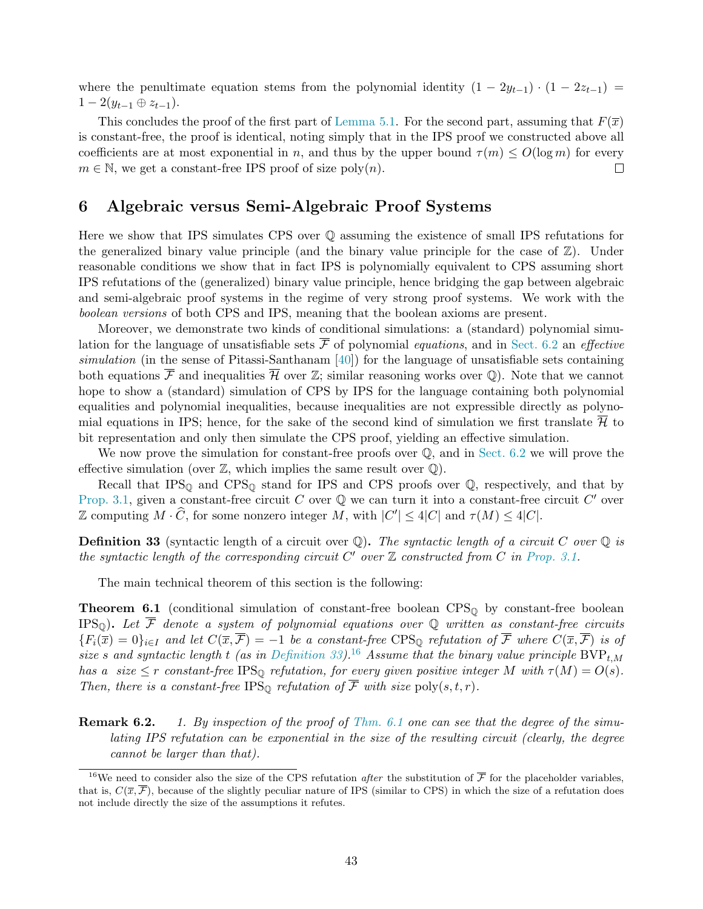where the penultimate equation stems from the polynomial identity  $(1 - 2y_{t-1}) \cdot (1 - 2z_{t-1}) =$  $1 - 2(y_{t-1} \oplus z_{t-1}).$ 

This concludes the proof of the first part of [Lemma 5.1.](#page-38-1) For the second part, assuming that  $F(\overline{x})$ is constant-free, the proof is identical, noting simply that in the IPS proof we constructed above all coefficients are at most exponential in n, and thus by the upper bound  $\tau(m) \leq O(\log m)$  for every  $m \in \mathbb{N}$ , we get a constant-free IPS proof of size poly $(n)$ .  $\Box$ 

## <span id="page-44-0"></span>6 Algebraic versus Semi-Algebraic Proof Systems

Here we show that IPS simulates CPS over Q assuming the existence of small IPS refutations for the generalized binary value principle (and the binary value principle for the case of  $\mathbb{Z}$ ). Under reasonable conditions we show that in fact IPS is polynomially equivalent to CPS assuming short IPS refutations of the (generalized) binary value principle, hence bridging the gap between algebraic and semi-algebraic proof systems in the regime of very strong proof systems. We work with the boolean versions of both CPS and IPS, meaning that the boolean axioms are present.

Moreover, we demonstrate two kinds of conditional simulations: a (standard) polynomial simulation for the language of unsatisfiable sets  $\overline{\mathcal{F}}$  of polynomial *equations*, and in [Sect. 6.2](#page-50-0) an *effective* simulation (in the sense of Pitassi-Santhanam [\[40\]](#page-55-18)) for the language of unsatisfiable sets containing both equations  $\overline{\mathcal{F}}$  and inequalities  $\overline{\mathcal{H}}$  over  $\mathbb{Z}$ ; similar reasoning works over Q). Note that we cannot hope to show a (standard) simulation of CPS by IPS for the language containing both polynomial equalities and polynomial inequalities, because inequalities are not expressible directly as polynomial equations in IPS; hence, for the sake of the second kind of simulation we first translate  $\overline{\mathcal{H}}$  to bit representation and only then simulate the CPS proof, yielding an effective simulation.

We now prove the simulation for constant-free proofs over  $\mathbb{Q}$ , and in [Sect. 6.2](#page-50-0) we will prove the effective simulation (over  $\mathbb{Z}$ , which implies the same result over  $\mathbb{Q}$ ).

Recall that  $IPS_{\mathbb{Q}}$  and  $CPS_{\mathbb{Q}}$  stand for IPS and CPS proofs over  $\mathbb{Q}$ , respectively, and that by [Prop. 3.1,](#page-21-3) given a constant-free circuit C over  $\mathbb Q$  we can turn it into a constant-free circuit C' over Z computing  $M \cdot \widehat{C}$ , for some nonzero integer M, with  $|C'| \leq 4|C|$  and  $\tau(M) \leq 4|C|$ .

<span id="page-44-2"></span>**Definition 33** (syntactic length of a circuit over  $\mathbb{Q}$ ). The syntactic length of a circuit C over  $\mathbb{Q}$  is the syntactic length of the corresponding circuit  $C'$  over  $\mathbb Z$  constructed from  $C$  in [Prop. 3.1.](#page-21-3)

The main technical theorem of this section is the following:

<span id="page-44-1"></span>**Theorem 6.1** (conditional simulation of constant-free boolean  $CPS<sub>Q</sub>$  by constant-free boolean IPS<sub>Q</sub>). Let  $\overline{\mathcal{F}}$  denote a system of polynomial equations over Q written as constant-free circuits  ${F_i(\overline{x}) = 0}_{i \in I}$  and let  $C(\overline{x}, \overline{\mathcal{F}}) = -1$  be a constant-free CPS<sub>Q</sub> refutation of  $\overline{\mathcal{F}}$  where  $C(\overline{x}, \overline{\mathcal{F}})$  is of size s and syntactic length t (as in [Definition 33\)](#page-44-2).<sup>16</sup> Assume that the binary value principle  $BVP_{t,M}$ has a size  $\leq r$  constant-free IPS<sub>Q</sub> refutation, for every given positive integer M with  $\tau(M) = O(s)$ . Then, there is a constant-free IPS<sub>Q</sub> refutation of  $\overline{\mathcal{F}}$  with size poly $(s, t, r)$ .

**Remark 6.2.** 1. By inspection of the proof of [Thm. 6.1](#page-44-1) one can see that the degree of the simulating IPS refutation can be exponential in the size of the resulting circuit (clearly, the degree cannot be larger than that).

<sup>&</sup>lt;sup>16</sup>We need to consider also the size of the CPS refutation *after* the substitution of  $\overline{\mathcal{F}}$  for the placeholder variables, that is,  $C(\overline{x}, \overline{\mathcal{F}})$ , because of the slightly peculiar nature of IPS (similar to CPS) in which the size of a refutation does not include directly the size of the assumptions it refutes.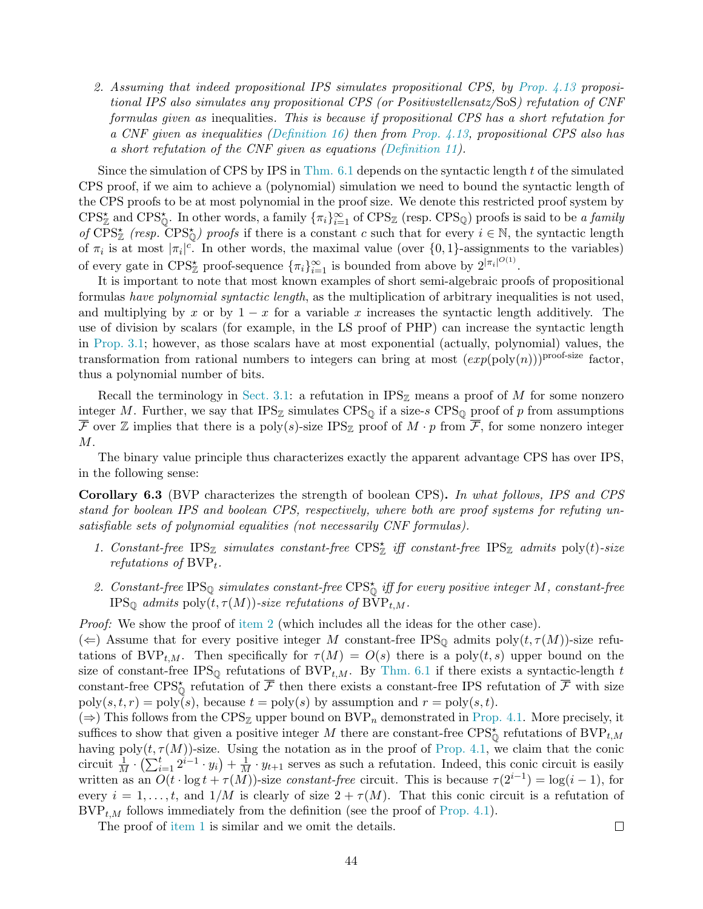2. Assuming that indeed propositional IPS simulates propositional CPS, by [Prop. 4.13](#page-34-1) propositional IPS also simulates any propositional CPS (or Positivstellensatz/SoS) refutation of CNF formulas given as inequalities. This is because if propositional CPS has a short refutation for a CNF given as inequalities [\(Definition 16\)](#page-20-2) then from Prop.  $4.13$ , propositional CPS also has a short refutation of the CNF given as equations [\(Definition 11\)](#page-17-1).

Since the simulation of CPS by IPS in Thm.  $6.1$  depends on the syntactic length t of the simulated CPS proof, if we aim to achieve a (polynomial) simulation we need to bound the syntactic length of the CPS proofs to be at most polynomial in the proof size. We denote this restricted proof system by  $CPS_{\mathbb{Z}}^{\star}$  and  $CPS_{\mathbb{Q}}^{\star}$ . In other words, a family  $\{\pi_i\}_{i=1}^{\infty}$  of  $CPS_{\mathbb{Z}}$  (resp.  $CPS_{\mathbb{Q}}$ ) proofs is said to be a family of  $\overline{CPS^*_{\mathbb{Z}}}$  (resp.  $\overline{CPS^*_{\mathbb{Q}}}$ ) proofs if there is a constant c such that for every  $i \in \mathbb{N}$ , the syntactic length of  $\pi_i$  is at most  $|\pi_i|^c$ . In other words, the maximal value (over  $\{0,1\}$ -assignments to the variables) of every gate in  $CPS^*_{\mathbb{Z}}$  proof-sequence  ${\{\pi_i\}}_{i=1}^{\infty}$  is bounded from above by  $2^{|\pi_i|^{O(1)}}$ .

It is important to note that most known examples of short semi-algebraic proofs of propositional formulas have polynomial syntactic length, as the multiplication of arbitrary inequalities is not used, and multiplying by x or by  $1 - x$  for a variable x increases the syntactic length additively. The use of division by scalars (for example, in the LS proof of PHP) can increase the syntactic length in [Prop. 3.1;](#page-21-3) however, as those scalars have at most exponential (actually, polynomial) values, the transformation from rational numbers to integers can bring at most  $(exp(poly(n)))^{proof-size}$  factor, thus a polynomial number of bits.

Recall the terminology in [Sect. 3.1:](#page-20-1) a refutation in  $IPS_{\mathbb{Z}}$  means a proof of M for some nonzero integer M. Further, we say that  $IPS_{\mathbb{Z}}$  simulates  $CPS_{\mathbb{Q}}$  if a size-s  $CPS_{\mathbb{Q}}$  proof of p from assumptions  $\overline{\mathcal{F}}$  over  $\mathbb Z$  implies that there is a poly(s)-size IPS<sub>Z</sub> proof of  $M \cdot p$  from  $\overline{\mathcal{F}}$ , for some nonzero integer  $M$ .

The binary value principle thus characterizes exactly the apparent advantage CPS has over IPS, in the following sense:

<span id="page-45-0"></span>Corollary 6.3 (BVP characterizes the strength of boolean CPS). In what follows, IPS and CPS stand for boolean IPS and boolean CPS, respectively, where both are proof systems for refuting unsatisfiable sets of polynomial equalities (not necessarily CNF formulas).

- 1. Constant-free  $IPS_{\mathbb{Z}}$  simulates constant-free  $CPS_{\mathbb{Z}}^*$  iff constant-free  $IPS_{\mathbb{Z}}$  admits  $\text{poly}(t)$ -size refutations of  $BVP_t$ .
- 2. Constant-free IPS<sub>Q</sub> simulates constant-free  $CPS^*_{\mathbb{Q}}$  iff for every positive integer M, constant-free IPS<sub>Q</sub> admits poly $(t, \tau(M))$ -size refutations of BVP<sub>t,M</sub>.
- Proof: We show the proof of [item 2](#page-46-2) (which includes all the ideas for the other case).

 $(\Leftarrow)$  Assume that for every positive integer M constant-free IPS<sub>Q</sub> admits poly $(t, \tau(M))$ -size refutations of BVP<sub>t,M</sub>. Then specifically for  $\tau(M) = O(s)$  there is a poly $(t, s)$  upper bound on the size of constant-free IPS<sub>Q</sub> refutations of BVP<sub>t,M</sub>. By [Thm. 6.1](#page-44-1) if there exists a syntactic-length t constant-free CPS<sub> $_{\mathbb{Q}}^{\star}$ </sub> refutation of  $\overline{\mathcal{F}}$  then there exists a constant-free IPS refutation of  $\overline{\mathcal{F}}$  with size  $poly(s, t, r) = poly(s)$ , because  $t = poly(s)$  by assumption and  $r = poly(s, t)$ .

 $(\Rightarrow)$  This follows from the CPS<sub>Z</sub> upper bound on BVP<sub>n</sub> demonstrated in [Prop. 4.1.](#page-29-0) More precisely, it suffices to show that given a positive integer M there are constant-free  $CPS^{\star}_{\mathbb{Q}}$  refutations of  $BVP_{t,M}$ having poly $(t, \tau(M))$ -size. Using the notation as in the proof of [Prop. 4.1,](#page-29-0) we claim that the conic circuit  $\frac{1}{M} \cdot (\sum_{i=1}^t 2^{i-1} \cdot y_i) + \frac{1}{M} \cdot y_{t+1}$  serves as such a refutation. Indeed, this conic circuit is easily written as an  $O(t \cdot \log t + \tau(M))$ -size constant-free circuit. This is because  $\tau(2^{i-1}) = \log(i-1)$ , for every  $i = 1, \ldots, t$ , and  $1/M$  is clearly of size  $2 + \tau(M)$ . That this conic circuit is a refutation of  $BVP_{t,M}$  follows immediately from the definition (see the proof of [Prop. 4.1\)](#page-29-0).

The proof of [item 1](#page-46-3) is similar and we omit the details.

 $\Box$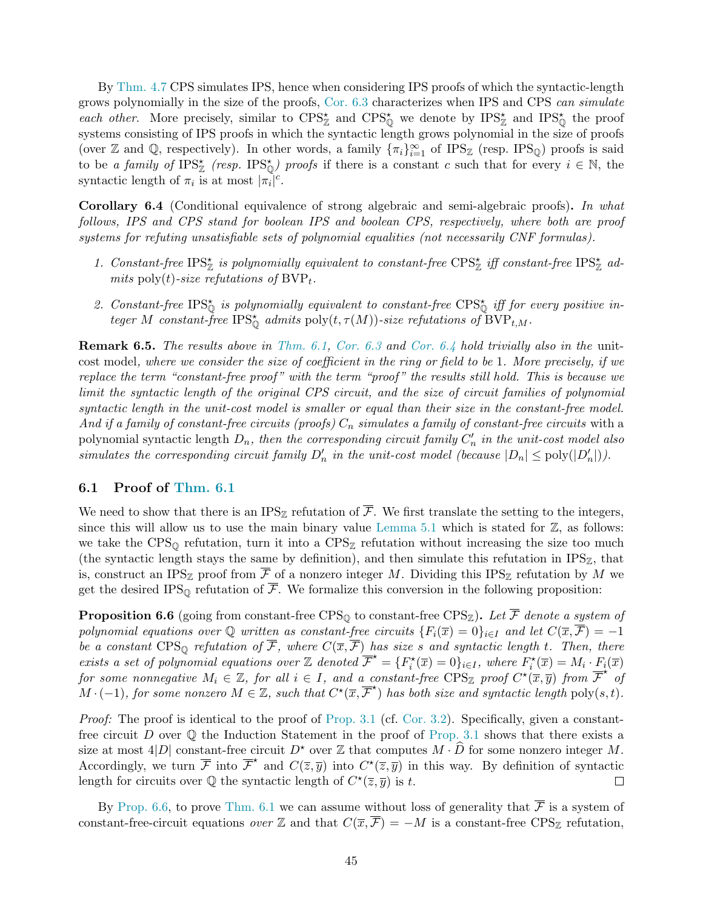By [Thm. 4.7](#page-31-1) CPS simulates IPS, hence when considering IPS proofs of which the syntactic-length grows polynomially in the size of the proofs, [Cor. 6.3](#page-45-0) characterizes when IPS and CPS can simulate each other. More precisely, similar to  $CPS^*_{\mathbb{Z}}$  and  $CPS^*_{\mathbb{Q}}$  we denote by  $IPS^*_{\mathbb{Z}}$  and  $IPS^*_{\mathbb{Q}}$  the proof systems consisting of IPS proofs in which the syntactic length grows polynomial in the size of proofs (over Z and Q, respectively). In other words, a family  $\{\pi_i\}_{i=1}^{\infty}$  of IPS<sub>Z</sub> (resp. IPS<sub>Q</sub>) proofs is said to be a family of  $IPS^*_{\mathbb{Z}}$  (resp.  $IPS^*_{\mathbb{Q}}$ ) proofs if there is a constant c such that for every  $i \in \mathbb{N}$ , the syntactic length of  $\pi_i$  is at most  $|\pi_i|^c$ .

<span id="page-46-1"></span>Corollary 6.4 (Conditional equivalence of strong algebraic and semi-algebraic proofs). In what follows, IPS and CPS stand for boolean IPS and boolean CPS, respectively, where both are proof systems for refuting unsatisfiable sets of polynomial equalities (not necessarily CNF formulas).

- <span id="page-46-3"></span>1. Constant-free  $\text{IPS}_{\mathbb{Z}}^{\star}$  is polynomially equivalent to constant-free  $\text{CPS}_{\mathbb{Z}}^{\star}$  iff constant-free  $\text{IPS}_{\mathbb{Z}}^{\star}$  admits poly(t)-size refutations of  $BVP_t$ .
- <span id="page-46-2"></span>2. Constant-free IPS $_{\mathbb{Q}}^*$  is polynomially equivalent to constant-free CPS $_{\mathbb{Q}}^*$  iff for every positive integer M constant-free IPS<sub>Q</sub> admits poly $(t, \tau(M))$ -size refutations of  $\text{BVP}_{t,M}$ .

Remark 6.5. The results above in [Thm. 6.1,](#page-44-1) [Cor. 6.3](#page-45-0) and [Cor. 6.4](#page-46-1) hold trivially also in the unitcost model, where we consider the size of coefficient in the ring or field to be 1. More precisely, if we replace the term "constant-free proof" with the term "proof" the results still hold. This is because we limit the syntactic length of the original CPS circuit, and the size of circuit families of polynomial syntactic length in the unit-cost model is smaller or equal than their size in the constant-free model. And if a family of constant-free circuits (proofs)  $C_n$  simulates a family of constant-free circuits with a polynomial syntactic length  $D_n$ , then the corresponding circuit family  $C'_n$  in the unit-cost model also simulates the corresponding circuit family  $D'_n$  in the unit-cost model (because  $|D_n| \leq \text{poly}(|D'_n|)$ ).

#### <span id="page-46-0"></span>6.1 Proof of [Thm. 6.1](#page-44-1)

We need to show that there is an IPS<sub>Z</sub> refutation of  $\overline{\mathcal{F}}$ . We first translate the setting to the integers, since this will allow us to use the main binary value [Lemma 5.1](#page-38-1) which is stated for  $\mathbb{Z}$ , as follows: we take the  $CPS_{\mathbb{Q}}$  refutation, turn it into a  $CPS_{\mathbb{Z}}$  refutation without increasing the size too much (the syntactic length stays the same by definition), and then simulate this refutation in  $IPS_{\mathbb{Z}}$ , that is, construct an IPS<sub>Z</sub> proof from  $\overline{\mathcal{F}}$  of a nonzero integer M. Dividing this IPS<sub>Z</sub> refutation by M we get the desired IPS<sub>Q</sub> refutation of  $\overline{\mathcal{F}}$ . We formalize this conversion in the following proposition:

<span id="page-46-4"></span>**Proposition 6.6** (going from constant-free CPS<sub>Q</sub> to constant-free CPS<sub>Z</sub>). Let  $\overline{\mathcal{F}}$  denote a system of polynomial equations over Q written as constant-free circuits  $\{F_i(\overline{x})=0\}_{i\in I}$  and let  $C(\overline{x},\overline{F})=-1$ be a constant CPS<sub>Q</sub> refutation of  $\overline{\mathcal{F}}$ , where  $C(\overline{x}, \overline{\mathcal{F}})$  has size s and syntactic length t. Then, there exists a set of polynomial equations over  $\mathbb{Z}$  denoted  $\overline{\mathcal{F}}^* = \{F_i^*(\overline{x}) = 0\}_{i \in I}$ , where  $F_i^*(\overline{x}) = M_i \cdot F_i(\overline{x})$ for some nonnegative  $M_i \in \mathbb{Z}$ , for all  $i \in I$ , and a constant-free  $CPS_{\mathbb{Z}}$  proof  $C^{\star}(\overline{x}, \overline{y})$  from  $\overline{\mathcal{F}}^{\star}$  of  $M \cdot (-1)$ , for some nonzero  $M \in \mathbb{Z}$ , such that  $C^{\star}(\overline{x}, \overline{\mathcal{F}}^{\star})$  has both size and syntactic length poly $(s,t)$ .

Proof: The proof is identical to the proof of [Prop. 3.1](#page-21-3) (cf. [Cor. 3.2\)](#page-22-1). Specifically, given a constantfree circuit D over  $\mathbb Q$  the Induction Statement in the proof of [Prop. 3.1](#page-21-3) shows that there exists a size at most 4|D| constant-free circuit  $D^*$  over  $\mathbb Z$  that computes  $M \cdot \widehat{D}$  for some nonzero integer M. Accordingly, we turn  $\overline{\mathcal{F}}$  into  $\overline{\mathcal{F}}^*$  and  $C(\overline{z}, \overline{y})$  into  $C^*(\overline{z}, \overline{y})$  in this way. By definition of syntactic length for circuits over  $\mathbb Q$  the syntactic length of  $C^*(\overline{z}, \overline{y})$  is t.  $\Box$ 

By [Prop. 6.6,](#page-46-4) to prove [Thm. 6.1](#page-44-1) we can assume without loss of generality that  $\overline{\mathcal{F}}$  is a system of constant-free-circuit equations over Z and that  $C(\overline{x}, \overline{\mathcal{F}}) = -M$  is a constant-free CPS<sub>Z</sub> refutation,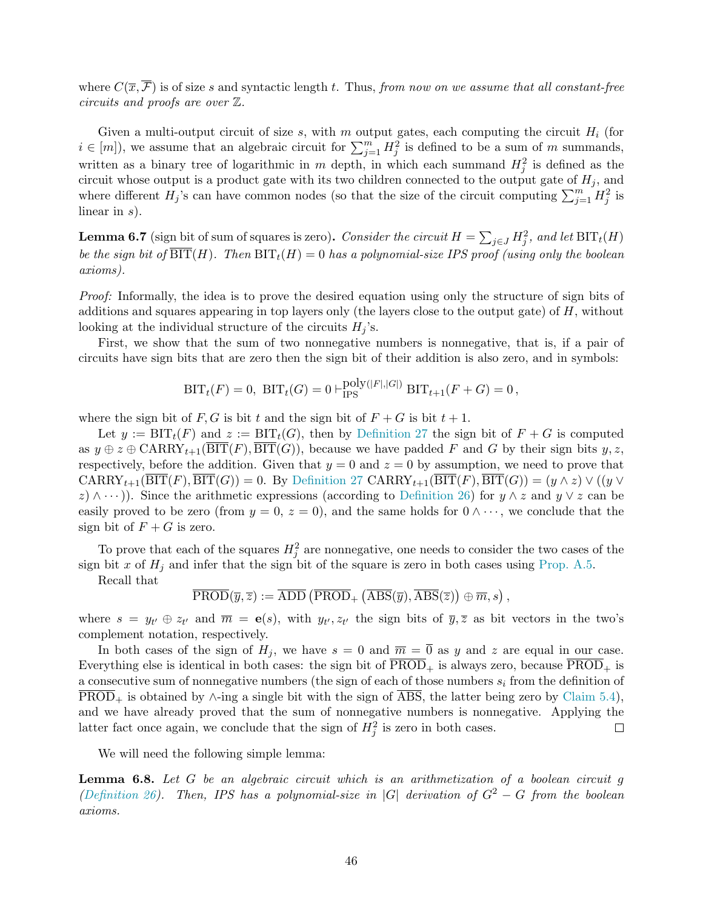where  $C(\overline{x}, \overline{\mathcal{F}})$  is of size s and syntactic length t. Thus, from now on we assume that all constant-free circuits and proofs are over Z.

Given a multi-output circuit of size s, with m output gates, each computing the circuit  $H_i$  (for  $i \in [m]$ , we assume that an algebraic circuit for  $\sum_{j=1}^{m} H_j^2$  is defined to be a sum of m summands, written as a binary tree of logarithmic in m depth, in which each summand  $H_j^2$  is defined as the circuit whose output is a product gate with its two children connected to the output gate of  $H_j$ , and where different  $H_j$ 's can have common nodes (so that the size of the circuit computing  $\sum_{j=1}^m H_j^2$  is linear in s).

<span id="page-47-1"></span>**Lemma 6.7** (sign bit of sum of squares is zero). Consider the circuit  $H = \sum_{j \in J} H_j^2$ , and let  $\text{BIT}_t(H)$ be the sign bit of  $\overline{\text{BIT}}(H)$ . Then  $\text{BIT}_t(H) = 0$  has a polynomial-size IPS proof (using only the boolean axioms).

Proof: Informally, the idea is to prove the desired equation using only the structure of sign bits of additions and squares appearing in top layers only (the layers close to the output gate) of  $H$ , without looking at the individual structure of the circuits  $H_j$ 's.

First, we show that the sum of two nonnegative numbers is nonnegative, that is, if a pair of circuits have sign bits that are zero then the sign bit of their addition is also zero, and in symbols:

$$
BIT_t(F) = 0, \; BIT_t(G) = 0 \vdash_{IPS}^{poly(|F|,|G|)} BIT_{t+1}(F+G) = 0,
$$

where the sign bit of F, G is bit t and the sign bit of  $F + G$  is bit  $t + 1$ .

Let  $y := \text{BIT}_t(F)$  and  $z := \text{BIT}_t(G)$ , then by [Definition 27](#page-36-0) the sign bit of  $F + G$  is computed as  $y \oplus z \oplus \text{CARRY}_{t+1}(\overline{\text{BIT}}(F), \overline{\text{BIT}}(G))$ , because we have padded F and G by their sign bits  $y, z$ , respectively, before the addition. Given that  $y = 0$  and  $z = 0$  by assumption, we need to prove that  $CARRY_{t+1}(\overline{BIT}(F),\overline{BIT}(G)) = 0$ . By [Definition 27](#page-36-0)  $CARRY_{t+1}(\overline{BIT}(F),\overline{BIT}(G)) = (y \wedge z) \vee ((y \vee z) \vee (z \vee z))$  $(z) \wedge \cdots$ ). Since the arithmetic expressions (according to [Definition 26\)](#page-36-4) for  $y \wedge z$  and  $y \vee z$  can be easily proved to be zero (from  $y = 0, z = 0$ ), and the same holds for  $0 \wedge \cdots$ , we conclude that the sign bit of  $F + G$  is zero.

To prove that each of the squares  $H_j^2$  are nonnegative, one needs to consider the two cases of the sign bit x of  $H_j$  and infer that the sign bit of the square is zero in both cases using [Prop. A.5.](#page-51-2)

Recall that

$$
\overline{\text{PROD}}(\overline{y},\overline{z}) := \overline{\text{ADD}}\left(\overline{\text{PROD}}_+\left(\overline{\text{ABS}}(\overline{y}),\overline{\text{ABS}}(\overline{z})\right) \oplus \overline{m},s\right),
$$

where  $s = y_{t'} \oplus z_{t'}$  and  $\overline{m} = e(s)$ , with  $y_{t'}, z_{t'}$  the sign bits of  $\overline{y}, \overline{z}$  as bit vectors in the two's complement notation, respectively.

In both cases of the sign of  $H_j$ , we have  $s = 0$  and  $\overline{m} = \overline{0}$  as y and z are equal in our case. Everything else is identical in both cases: the sign bit of  $\overline{PROD}_+$  is always zero, because  $\overline{PROD}_+$  is a consecutive sum of nonnegative numbers (the sign of each of those numbers  $s_i$  from the definition of  $\overline{\text{PROD}}_+$  is obtained by  $\wedge$ -ing a single bit with the sign of  $\overline{\text{ABS}}$ , the latter being zero by [Claim 5.4\)](#page-42-0), and we have already proved that the sum of nonnegative numbers is nonnegative. Applying the latter fact once again, we conclude that the sign of  $H_j^2$  is zero in both cases.  $\Box$ 

We will need the following simple lemma:

<span id="page-47-0"></span>**Lemma 6.8.** Let  $G$  be an algebraic circuit which is an arithmetization of a boolean circuit  $g$ [\(Definition 26\)](#page-36-4). Then, IPS has a polynomial-size in |G| derivation of  $G^2 - G$  from the boolean axioms.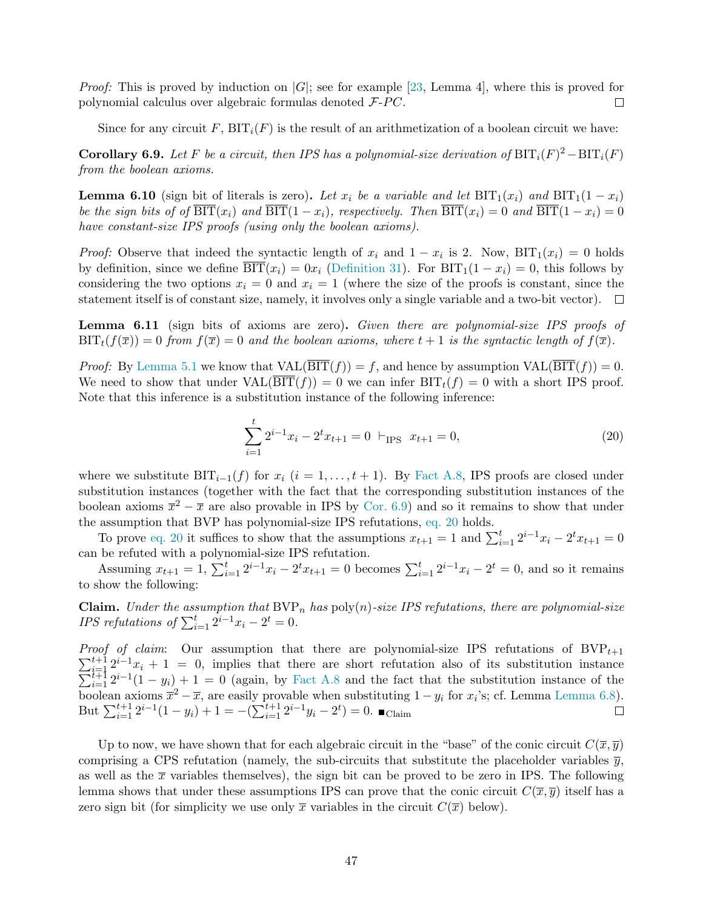*Proof:* This is proved by induction on  $|G|$ ; see for example [\[23,](#page-54-16) Lemma 4], where this is proved for polynomial calculus over algebraic formulas denoted  $F$ - $PC$ .  $\Box$ 

Since for any circuit F,  $BIT_i(F)$  is the result of an arithmetization of a boolean circuit we have:

<span id="page-48-0"></span>**Corollary 6.9.** Let F be a circuit, then IPS has a polynomial-size derivation of  $\text{BIT}_i(F)^2 - \text{BIT}_i(F)$ from the boolean axioms.

<span id="page-48-2"></span>**Lemma 6.10** (sign bit of literals is zero). Let  $x_i$  be a variable and let  $\text{BIT}_1(x_i)$  and  $\text{BIT}_1(1 - x_i)$ be the sign bits of of  $\overline{\text{BIT}}(x_i)$  and  $\overline{\text{BIT}}(1-x_i)$ , respectively. Then  $\overline{\text{BIT}}(x_i) = 0$  and  $\overline{\text{BIT}}(1-x_i) = 0$ have constant-size IPS proofs (using only the boolean axioms).

*Proof:* Observe that indeed the syntactic length of  $x_i$  and  $1 - x_i$  is 2. Now,  $\text{BIT}_1(x_i) = 0$  holds by definition, since we define  $\overline{\text{BIT}}(x_i) = 0x_i$  [\(Definition 31\)](#page-38-2). For  $\text{BIT}_1(1 - x_i) = 0$ , this follows by considering the two options  $x_i = 0$  and  $x_i = 1$  (where the size of the proofs is constant, since the statement itself is of constant size, namely, it involves only a single variable and a two-bit vector).  $\Box$ 

<span id="page-48-3"></span>Lemma 6.11 (sign bits of axioms are zero). Given there are polynomial-size IPS proofs of  $\text{BIT}_t(f(\bar{x})) = 0$  from  $f(\bar{x}) = 0$  and the boolean axioms, where  $t + 1$  is the syntactic length of  $f(\bar{x})$ .

*Proof:* By [Lemma 5.1](#page-38-1) we know that  $VAL(\overline{BIT}(f)) = f$ , and hence by assumption  $VAL(\overline{BIT}(f)) = 0$ . We need to show that under  $VAL(BIT(f)) = 0$  we can infer  $BIT_t(f) = 0$  with a short IPS proof. Note that this inference is a substitution instance of the following inference:

<span id="page-48-1"></span>
$$
\sum_{i=1}^{t} 2^{i-1}x_i - 2^t x_{t+1} = 0 \vdash_{\text{IPS}} x_{t+1} = 0,
$$
\n(20)

where we substitute  $\text{BIT}_{i-1}(f)$  for  $x_i$   $(i = 1, \ldots, t + 1)$ . By [Fact A.8,](#page-53-8) IPS proofs are closed under substitution instances (together with the fact that the corresponding substitution instances of the boolean axioms  $\bar{x}^2 - \bar{x}$  are also provable in IPS by [Cor. 6.9\)](#page-48-0) and so it remains to show that under the assumption that BVP has polynomial-size IPS refutations, [eq. 20](#page-48-1) holds.

To prove [eq. 20](#page-48-1) it suffices to show that the assumptions  $x_{t+1} = 1$  and  $\sum_{i=1}^{t} 2^{i-1}x_i - 2^t x_{t+1} = 0$ can be refuted with a polynomial-size IPS refutation.

Assuming  $x_{t+1} = 1$ ,  $\sum_{i=1}^{t} 2^{i-1}x_i - 2^t x_{t+1} = 0$  becomes  $\sum_{i=1}^{t} 2^{i-1}x_i - 2^t = 0$ , and so it remains to show the following:

**Claim.** Under the assumption that  $BVP_n$  has  $poly(n)$ -size IPS refutations, there are polynomial-size *IPS refutations of*  $\sum_{i=1}^{t} 2^{i-1}x_i - 2^t = 0$ .

*Proof of claim*: Our assumption that there are polynomial-size IPS refutations of  $BVP_{t+1}$  $\sum_{i=1}^{t+1} 2^{i-1}$  $\sum$  $\begin{array}{l}\n\frac{t+1}{t-1}2^{t-1}x_i + 1 = 0, \\
\frac{t+1}{t+1}2^{i-1}(1-y_i) + 1 = 0 \text{ (again, by Fact A.8 and the fact that the substitution instance of the\n\end{array}$  $\begin{array}{l}\n\frac{t+1}{t-1}2^{t-1}x_i + 1 = 0, \\
\frac{t+1}{t+1}2^{i-1}(1-y_i) + 1 = 0 \text{ (again, by Fact A.8 and the fact that the substitution instance of the\n\end{array}$  $\begin{array}{l}\n\frac{t+1}{t-1}2^{t-1}x_i + 1 = 0, \\
\frac{t+1}{t+1}2^{i-1}(1-y_i) + 1 = 0 \text{ (again, by Fact A.8 and the fact that the substitution instance of the\n\end{array}$ boolean axioms  $\bar{x}^2 - \bar{x}$ , are easily provable when substituting  $1 - y_i$  for  $x_i$ 's; cf. Lemma [Lemma 6.8\)](#page-47-0). But  $\sum_{i=1}^{t+1} 2^{i-1}(1-y_i) + 1 = -(\sum_{i=1}^{t+1} 2^{i-1}y_i - 2^t) = 0.$   $\blacksquare$  Claim

Up to now, we have shown that for each algebraic circuit in the "base" of the conic circuit  $C(\overline{x}, \overline{y})$ comprising a CPS refutation (namely, the sub-circuits that substitute the placeholder variables  $\bar{y}$ , as well as the  $\bar{x}$  variables themselves), the sign bit can be proved to be zero in IPS. The following lemma shows that under these assumptions IPS can prove that the conic circuit  $C(\bar{x}, \bar{y})$  itself has a zero sign bit (for simplicity we use only  $\bar{x}$  variables in the circuit  $C(\bar{x})$  below).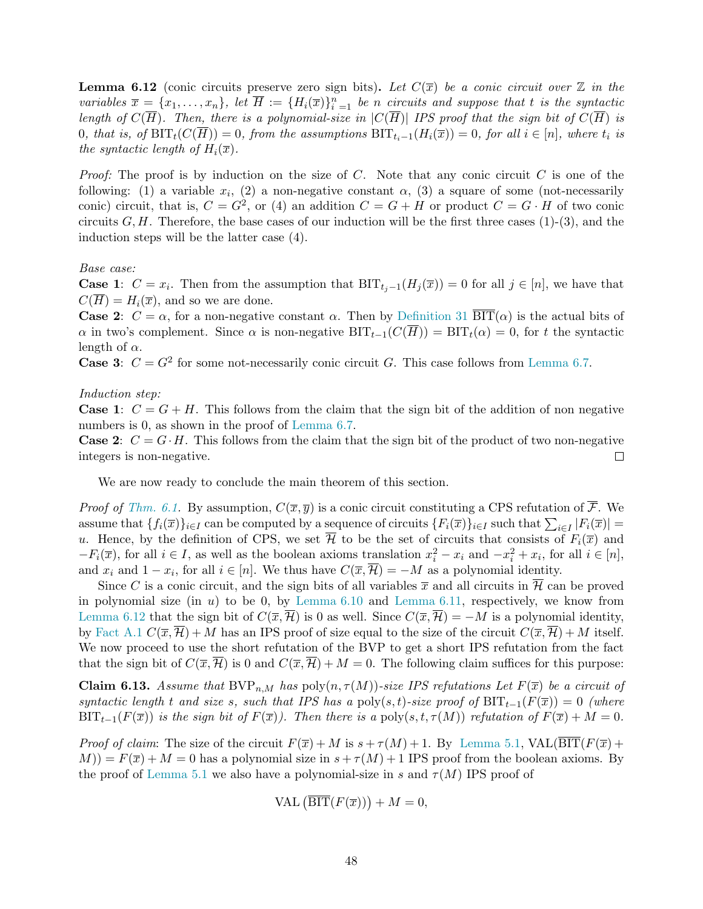<span id="page-49-0"></span>**Lemma 6.12** (conic circuits preserve zero sign bits). Let  $C(\overline{x})$  be a conic circuit over  $\mathbb Z$  in the variables  $\overline{x} = \{x_1, \ldots, x_n\}$ , let  $\overline{H} := \{H_i(\overline{x})\}_{i=1}^n$  be n circuits and suppose that t is the syntactic length of  $C(\overline{H})$ . Then, there is a polynomial-size in  $|C(\overline{H})|$  IPS proof that the sign bit of  $C(\overline{H})$  is 0, that is, of  $\text{BIT}_t(C(\overline{H})) = 0$ , from the assumptions  $\text{BIT}_{t_i-1}(H_i(\overline{x})) = 0$ , for all  $i \in [n]$ , where  $t_i$  is the syntactic length of  $H_i(\overline{x})$ .

*Proof:* The proof is by induction on the size of C. Note that any conic circuit C is one of the following: (1) a variable  $x_i$ , (2) a non-negative constant  $\alpha$ , (3) a square of some (not-necessarily conic) circuit, that is,  $C = G^2$ , or (4) an addition  $C = G + H$  or product  $C = G \cdot H$  of two conic circuits  $G, H$ . Therefore, the base cases of our induction will be the first three cases  $(1)-(3)$ , and the induction steps will be the latter case (4).

Base case:

**Case 1:**  $C = x_i$ . Then from the assumption that  $BIT_{t_j-1}(H_j(\overline{x})) = 0$  for all  $j \in [n]$ , we have that  $C(\overline{H}) = H_i(\overline{x})$ , and so we are done.

**Case 2:**  $C = \alpha$ , for a non-negative constant  $\alpha$ . Then by [Definition 31](#page-38-2)  $\overline{BIT}(\alpha)$  is the actual bits of  $\alpha$  in two's complement. Since  $\alpha$  is non-negative  $\text{BIT}_{t-1}(C(\overline{H})) = \text{BIT}_{t}(\alpha) = 0$ , for t the syntactic length of  $\alpha$ .

**Case 3:**  $C = G^2$  for some not-necessarily conic circuit G. This case follows from [Lemma 6.7.](#page-47-1)

#### Induction step:

**Case 1:**  $C = G + H$ . This follows from the claim that the sign bit of the addition of non negative numbers is 0, as shown in the proof of [Lemma 6.7.](#page-47-1)

**Case 2:**  $C = G \cdot H$ . This follows from the claim that the sign bit of the product of two non-negative integers is non-negative.  $\Box$ 

We are now ready to conclude the main theorem of this section.

*Proof of [Thm. 6.1.](#page-44-1)* By assumption,  $C(\overline{x}, \overline{y})$  is a conic circuit constituting a CPS refutation of  $\overline{\mathcal{F}}$ . We assume that  $\{f_i(\overline{x})\}_{i\in I}$  can be computed by a sequence of circuits  $\{F_i(\overline{x})\}_{i\in I}$  such that  $\sum_{i\in I} |F_i(\overline{x})|$  = u. Hence, by the definition of CPS, we set  $\overline{\mathcal{H}}$  to be the set of circuits that consists of  $F_i(\overline{x})$  and  $-F_i(\overline{x})$ , for all  $i \in I$ , as well as the boolean axioms translation  $x_i^2 - x_i$  and  $-x_i^2 + x_i$ , for all  $i \in [n]$ , and  $x_i$  and  $1 - x_i$ , for all  $i \in [n]$ . We thus have  $C(\overline{x}, \mathcal{H}) = -M$  as a polynomial identity.

Since C is a conic circuit, and the sign bits of all variables  $\bar{x}$  and all circuits in  $\bar{\mathcal{H}}$  can be proved in polynomial size (in u) to be 0, by Lemma  $6.10$  and Lemma  $6.11$ , respectively, we know from [Lemma 6.12](#page-49-0) that the sign bit of  $C(\overline{x}, \overline{\mathcal{H}})$  is 0 as well. Since  $C(\overline{x}, \overline{\mathcal{H}}) = -M$  is a polynomial identity, by [Fact A.1](#page-51-1)  $C(\overline{x}, \overline{\mathcal{H}}) + M$  has an IPS proof of size equal to the size of the circuit  $C(\overline{x}, \overline{\mathcal{H}}) + M$  itself. We now proceed to use the short refutation of the BVP to get a short IPS refutation from the fact that the sign bit of  $C(\overline{x}, \overline{\mathcal{H}})$  is 0 and  $C(\overline{x}, \overline{\mathcal{H}}) + M = 0$ . The following claim suffices for this purpose:

**Claim 6.13.** Assume that BVP<sub>n,M</sub> has poly $(n, \tau(M))$ -size IPS refutations Let  $F(\bar{x})$  be a circuit of syntactic length t and size s, such that IPS has a poly(s, t)-size proof of BIT<sub>t-1</sub>(F( $\overline{x}$ )) = 0 (where BIT<sub>t-1</sub>( $F(\overline{x})$ ) is the sign bit of  $F(\overline{x})$ ). Then there is a poly(s, t,  $\tau(M)$ ) refutation of  $F(\overline{x}) + M = 0$ .

*Proof of claim:* The size of the circuit  $F(\overline{x}) + M$  is  $s + \tau(M) + 1$ . By [Lemma 5.1,](#page-38-1) VAL( $\overline{BIT}(F(\overline{x}) +$  $M$ )) =  $F(\overline{x}) + M = 0$  has a polynomial size in  $s + \tau(M) + 1$  IPS proof from the boolean axioms. By the proof of [Lemma 5.1](#page-38-1) we also have a polynomial-size in s and  $\tau(M)$  IPS proof of

$$
\text{VAL}\left(\overline{\text{BIT}}(F(\overline{x}))\right) + M = 0,
$$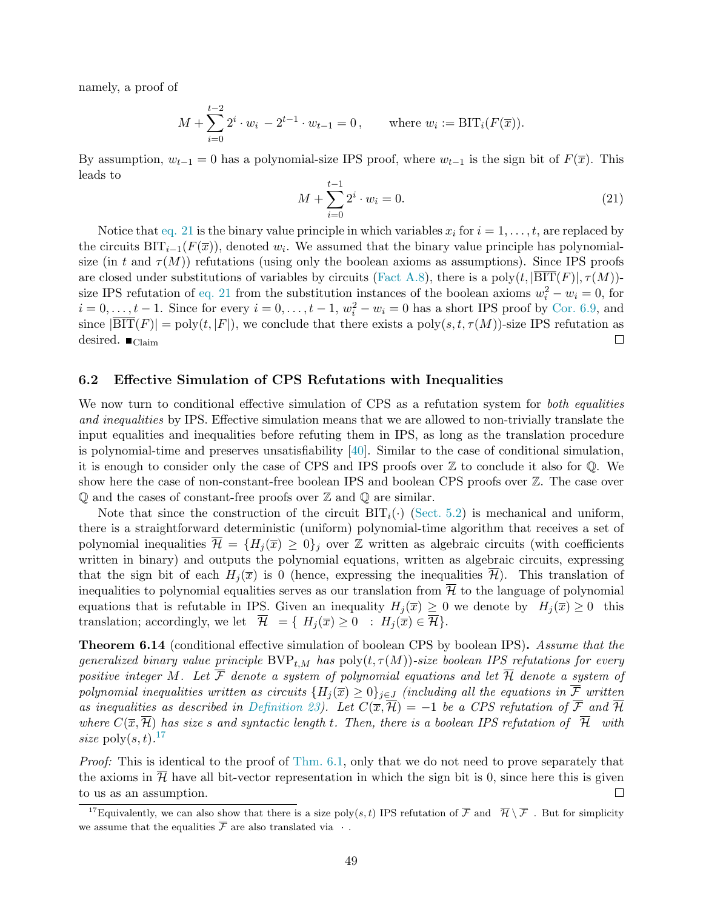namely, a proof of

$$
M + \sum_{i=0}^{t-2} 2^i \cdot w_i - 2^{t-1} \cdot w_{t-1} = 0, \quad \text{where } w_i := \text{BIT}_i(F(\overline{x})).
$$

By assumption,  $w_{t-1} = 0$  has a polynomial-size IPS proof, where  $w_{t-1}$  is the sign bit of  $F(\overline{x})$ . This leads to

<span id="page-50-1"></span>
$$
M + \sum_{i=0}^{t-1} 2^i \cdot w_i = 0.
$$
 (21)

Notice that [eq. 21](#page-50-1) is the binary value principle in which variables  $x_i$  for  $i = 1, \ldots, t$ , are replaced by the circuits  $\text{BIT}_{i-1}(F(\overline{x}))$ , denoted  $w_i$ . We assumed that the binary value principle has polynomialsize (in t and  $\tau(M)$ ) refutations (using only the boolean axioms as assumptions). Since IPS proofs are closed under substitutions of variables by circuits [\(Fact A.8\)](#page-53-8), there is a poly $(t, |BIT(F)|, \tau(M))$ size IPS refutation of [eq. 21](#page-50-1) from the substitution instances of the boolean axioms  $w_i^2 - w_i = 0$ , for  $i = 0, \ldots, t - 1$ . Since for every  $i = 0, \ldots, t - 1$ ,  $w_i^2 - w_i = 0$  has a short IPS proof by [Cor. 6.9,](#page-48-0) and since  $|\overline{\text{BIT}}(F)| = \text{poly}(t, |F|)$ , we conclude that there exists a  $\text{poly}(s, t, \tau(M))$ -size IPS refutation as desired.  $\blacksquare$  Claim  $\Box$ 

#### <span id="page-50-0"></span>6.2 Effective Simulation of CPS Refutations with Inequalities

We now turn to conditional effective simulation of CPS as a refutation system for *both equalities* and inequalities by IPS. Effective simulation means that we are allowed to non-trivially translate the input equalities and inequalities before refuting them in IPS, as long as the translation procedure is polynomial-time and preserves unsatisfiability [\[40\]](#page-55-18). Similar to the case of conditional simulation, it is enough to consider only the case of CPS and IPS proofs over  $\mathbb Z$  to conclude it also for  $\mathbb Q$ . We show here the case of non-constant-free boolean IPS and boolean CPS proofs over Z. The case over  $\mathbb Q$  and the cases of constant-free proofs over  $\mathbb Z$  and  $\mathbb Q$  are similar.

Note that since the construction of the circuit  $\text{BIT}_i(\cdot)$  [\(Sect. 5.2\)](#page-38-0) is mechanical and uniform, there is a straightforward deterministic (uniform) polynomial-time algorithm that receives a set of polynomial inequalities  $\overline{\mathcal{H}} = \{H_i(\overline{x}) \geq 0\}_i$  over  $\mathbb Z$  written as algebraic circuits (with coefficients written in binary) and outputs the polynomial equations, written as algebraic circuits, expressing that the sign bit of each  $H_j(\overline{x})$  is 0 (hence, expressing the inequalities  $\overline{\mathcal{H}}$ ). This translation of inequalities to polynomial equalities serves as our translation from  $\overline{\mathcal{H}}$  to the language of polynomial equations that is refutable in IPS. Given an inequality  $H_j(\overline{x}) \geq 0$  we denote by  $H_j(\overline{x}) \geq 0$  this translation; accordingly, we let  $\overline{\mathcal{H}} = \{ H_i(\overline{x}) \geq 0 : H_i(\overline{x}) \in \overline{\mathcal{H}} \}.$ 

**Theorem 6.14** (conditional effective simulation of boolean CPS by boolean IPS). Assume that the generalized binary value principle  $BVP_{t,M}$  has  $poly(t, \tau(M))$ -size boolean IPS refutations for every positive integer M. Let  $\overline{\mathcal{F}}$  denote a system of polynomial equations and let  $\overline{\mathcal{H}}$  denote a system of polynomial inequalities written as circuits  $\{H_j(\overline{x}) \geq 0\}_{j\in J}$  (including all the equations in  $\overline{\mathcal{F}}$  written as inequalities as described in [Definition 23\)](#page-28-1). Let  $C(\overline{x}, \overline{\mathcal{H}}) = -1$  be a CPS refutation of  $\overline{\mathcal{F}}$  and  $\overline{\mathcal{H}}$ where  $C(\overline{x}, \overline{\mathcal{H}})$  has size s and syntactic length t. Then, there is a boolean IPS refutation of  $\overline{\mathcal{H}}$  with size  $\text{poly}(s,t)$ .<sup>17</sup>

*Proof:* This is identical to the proof of [Thm. 6.1,](#page-44-1) only that we do not need to prove separately that the axioms in  $H$  have all bit-vector representation in which the sign bit is 0, since here this is given to us as an assumption.  $\Box$ 

<sup>&</sup>lt;sup>17</sup>Equivalently, we can also show that there is a size poly(s, t) IPS refutation of  $\overline{\mathcal{F}}$  and  $\overline{\mathcal{H}} \setminus \overline{\mathcal{F}}$ . But for simplicity we assume that the equalities  $\overline{\mathcal{F}}$  are also translated via  $\cdot$ .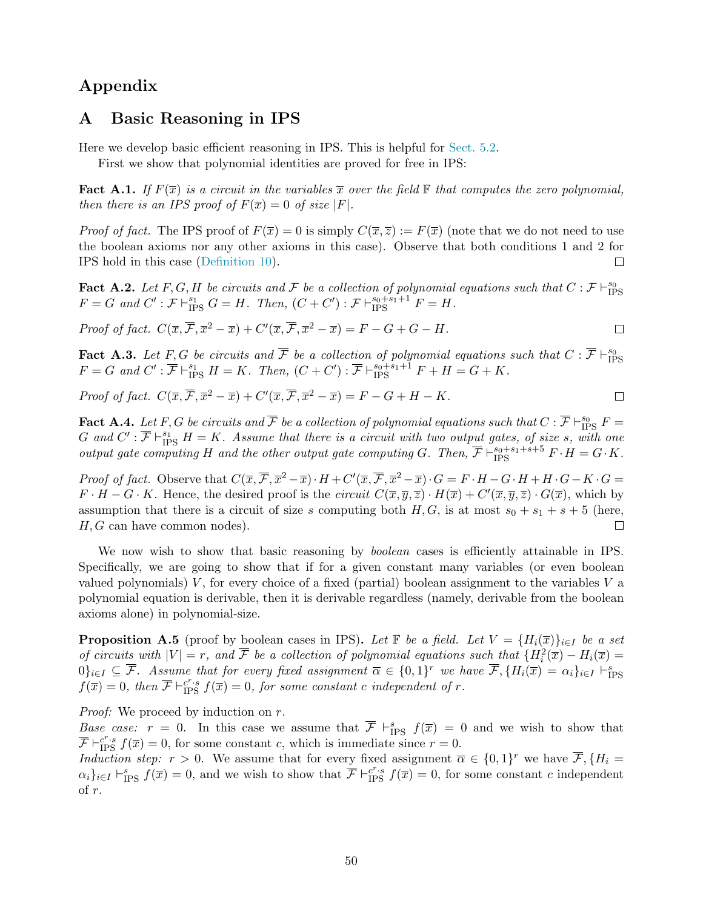## <span id="page-51-0"></span>Appendix

## A Basic Reasoning in IPS

Here we develop basic efficient reasoning in IPS. This is helpful for [Sect. 5.2.](#page-38-0)

First we show that polynomial identities are proved for free in IPS:

<span id="page-51-1"></span>**Fact A.1.** If  $F(\overline{x})$  is a circuit in the variables  $\overline{x}$  over the field  $\mathbb F$  that computes the zero polynomial, then there is an IPS proof of  $F(\overline{x}) = 0$  of size |F|.

*Proof of fact.* The IPS proof of  $F(\overline{x}) = 0$  is simply  $C(\overline{x}, \overline{z}) := F(\overline{x})$  (note that we do not need to use the boolean axioms nor any other axioms in this case). Observe that both conditions 1 and 2 for IPS hold in this case [\(Definition 10\)](#page-16-1).  $\Box$ 

Fact A.2. Let F, G, H be circuits and F be a collection of polynomial equations such that  $C: \mathcal{F} \vdash^{s_0}_{\text{IPS}}$  $F = G$  and  $C' : \mathcal{F} \vdash^{s_1}_{\text{IPS}} G = H$ . Then,  $(C + C') : \mathcal{F} \vdash^{s_0+s_1+1}_{\text{IPS}} F = H$ .

Proof of fact. 
$$
C(\overline{x}, \overline{\mathcal{F}}, \overline{x}^2 - \overline{x}) + C'(\overline{x}, \overline{\mathcal{F}}, \overline{x}^2 - \overline{x}) = F - G + G - H.
$$

<span id="page-51-3"></span>**Fact A.3.** Let F, G be circuits and  $\overline{\mathcal{F}}$  be a collection of polynomial equations such that  $C : \overline{\mathcal{F}} \vdash^{s_0}_{\text{IPS}} F = G$  and  $C' : \overline{\mathcal{F}} \vdash^{s_1}_{\text{IPS}} H = K$ . Then,  $(C + C') : \overline{\mathcal{F}} \vdash^{s_0+ s_1+1}_{\text{IPS}} F + H = G + K$ .

 $\Box$ 

Proof of fact.  $C(\overline{x}, \overline{\mathcal{F}}, \overline{x}^2 - \overline{x}) + C'(\overline{x}, \overline{\mathcal{F}}, \overline{x}^2 - \overline{x}) = F - G + H - K$ .

<span id="page-51-4"></span>Fact A.4. Let F, G be circuits and  $\overline{\mathcal{F}}$  be a collection of polynomial equations such that  $C: \overline{\mathcal{F}} \vdash^{s_0}_{\text{IPS}} F =$ G and  $C':\overline{\mathcal{F}}\vdash_{\text{IPS}}^{s_1} H = K$ . Assume that there is a circuit with two output gates, of size s, with one output gate computing H and the other output gate computing G. Then,  $\overline{\mathcal{F}} \vdash^{s_0+s_1+s+5}_{\text{IPS}} F \cdot H = G \cdot K$ .

Proof of fact. Observe that  $C(\overline{x}, \overline{\mathcal{F}}, \overline{x}^2 - \overline{x}) \cdot H + C'(\overline{x}, \overline{\mathcal{F}}, \overline{x}^2 - \overline{x}) \cdot G = F \cdot H - G \cdot H + H \cdot G - K \cdot G =$  $F \cdot H - G \cdot K$ . Hence, the desired proof is the *circuit*  $C(\overline{x}, \overline{y}, \overline{z}) \cdot H(\overline{x}) + C'(\overline{x}, \overline{y}, \overline{z}) \cdot G(\overline{x})$ , which by assumption that there is a circuit of size s computing both  $H, G$ , is at most  $s_0 + s_1 + s + 5$  (here,  $H, G$  can have common nodes).  $\Box$ 

We now wish to show that basic reasoning by *boolean* cases is efficiently attainable in IPS. Specifically, we are going to show that if for a given constant many variables (or even boolean valued polynomials)  $V$ , for every choice of a fixed (partial) boolean assignment to the variables  $V$  a polynomial equation is derivable, then it is derivable regardless (namely, derivable from the boolean axioms alone) in polynomial-size.

<span id="page-51-2"></span>**Proposition A.5** (proof by boolean cases in IPS). Let F be a field. Let  $V = \{H_i(\overline{x})\}_{i\in I}$  be a set of circuits with  $|V| = r$ , and  $\overline{F}$  be a collection of polynomial equations such that  $\{H_i^2(\overline{x}) - H_i(\overline{x})\}$  $[0]_{i\in I}\subseteq \overline{\mathcal{F}}$ . Assume that for every fixed assignment  $\overline{\alpha}\in\{0,1\}^r$  we have  $\overline{\mathcal{F}},\{H_i(\overline{x})=\alpha_i\}_{i\in I}\vdash_{\text{IPS}}^s$  $f(\overline{x}) = 0$ , then  $\overline{\mathcal{F}} \vdash_{\text{IPS}}^{c^r \cdot s} f(\overline{x}) = 0$ , for some constant c independent of r.

Proof: We proceed by induction on r.

Base case:  $r = 0$ . In this case we assume that  $\overline{\mathcal{F}} \vdash_{\text{IPS}}^s f(\overline{x}) = 0$  and we wish to show that  $\overline{\mathcal{F}} \vdash_{\text{IPS}}^{c^r \cdot s} f(\overline{x}) = 0$ , for some constant c, which is immediate since  $r = 0$ .

Induction step:  $r > 0$ . We assume that for every fixed assignment  $\overline{\alpha} \in \{0,1\}^r$  we have  $\overline{\mathcal{F}}, \{H_i =$  $\alpha_i\}_{i\in I} \vdash_{\text{IPS}}^s f(\overline{x}) = 0$ , and we wish to show that  $\overline{\mathcal{F}} \vdash_{\text{IPS}}^{c^r \cdot s} f(\overline{x}) = 0$ , for some constant c independent of r.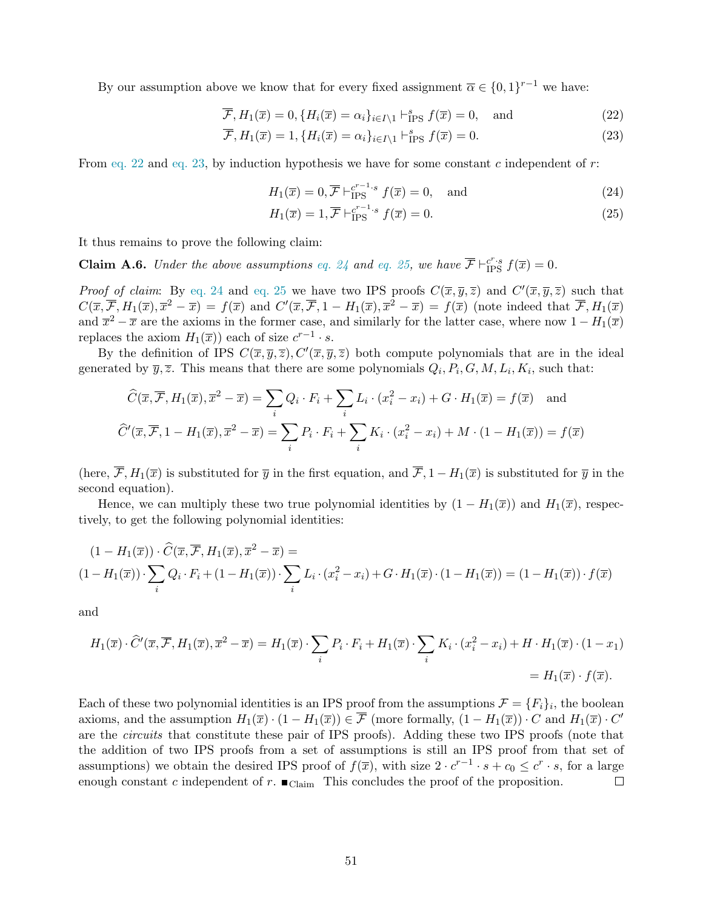By our assumption above we know that for every fixed assignment  $\overline{\alpha} \in \{0,1\}^{r-1}$  we have:

$$
\overline{\mathcal{F}}, H_1(\overline{x}) = 0, \{H_i(\overline{x}) = \alpha_i\}_{i \in I \setminus 1} \vdash_{\text{IPS}}^s f(\overline{x}) = 0, \text{ and } (22)
$$

$$
\overline{\mathcal{F}}, H_1(\overline{x}) = 1, \{H_i(\overline{x}) = \alpha_i\}_{i \in I \setminus 1} \vdash_{\text{IPS}}^s f(\overline{x}) = 0. \tag{23}
$$

From [eq. 22](#page-52-0) and [eq. 23,](#page-52-1) by induction hypothesis we have for some constant c independent of  $r$ :

<span id="page-52-2"></span><span id="page-52-1"></span><span id="page-52-0"></span>
$$
H_1(\overline{x}) = 0, \overline{\mathcal{F}} \vdash_{\text{IPS}}^{c^{r-1} \cdot s} f(\overline{x}) = 0, \text{ and} \tag{24}
$$

<span id="page-52-3"></span>
$$
H_1(\overline{x}) = 1, \overline{\mathcal{F}} \vdash_{\text{IPS}}^{c^{r-1} \cdot s} f(\overline{x}) = 0. \tag{25}
$$

It thus remains to prove the following claim:

**Claim A.6.** Under the above assumptions [eq. 24](#page-52-2) and [eq. 25,](#page-52-3) we have  $\overline{\mathcal{F}} \vdash_{IPS}^{c^r \cdot s} f(\overline{x}) = 0$ .

*Proof of claim:* By [eq. 24](#page-52-2) and [eq. 25](#page-52-3) we have two IPS proofs  $C(\overline{x}, \overline{y}, \overline{z})$  and  $C'(\overline{x}, \overline{y}, \overline{z})$  such that  $C(\overline{x}, \overline{\mathcal{F}}, H_1(\overline{x}), \overline{x}^2 - \overline{x}) = f(\overline{x})$  and  $C'(\overline{x}, \overline{\mathcal{F}}, 1 - H_1(\overline{x}), \overline{x}^2 - \overline{x}) = f(\overline{x})$  (note indeed that  $\overline{\mathcal{F}}, H_1(\overline{x})$ and  $\overline{x}^2 - \overline{x}$  are the axioms in the former case, and similarly for the latter case, where now  $1 - H_1(\overline{x})$ replaces the axiom  $H_1(\overline{x})$  each of size  $c^{r-1} \cdot s$ .

By the definition of IPS  $C(\overline{x}, \overline{y}, \overline{z}), C'(\overline{x}, \overline{y}, \overline{z})$  both compute polynomials that are in the ideal generated by  $\bar{y}, \bar{z}$ . This means that there are some polynomials  $Q_i, P_i, G, M, L_i, K_i$ , such that:

$$
\widehat{C}(\overline{x}, \overline{\mathcal{F}}, H_1(\overline{x}), \overline{x}^2 - \overline{x}) = \sum_i Q_i \cdot F_i + \sum_i L_i \cdot (x_i^2 - x_i) + G \cdot H_1(\overline{x}) = f(\overline{x}) \text{ and}
$$

$$
\widehat{C}'(\overline{x}, \overline{\mathcal{F}}, 1 - H_1(\overline{x}), \overline{x}^2 - \overline{x}) = \sum_i P_i \cdot F_i + \sum_i K_i \cdot (x_i^2 - x_i) + M \cdot (1 - H_1(\overline{x})) = f(\overline{x})
$$

(here,  $\overline{\mathcal{F}}, H_1(\overline{x})$  is substituted for  $\overline{y}$  in the first equation, and  $\overline{\mathcal{F}}, 1 - H_1(\overline{x})$  is substituted for  $\overline{y}$  in the second equation).

Hence, we can multiply these two true polynomial identities by  $(1 - H_1(\overline{x}))$  and  $H_1(\overline{x})$ , respectively, to get the following polynomial identities:

$$
(1 - H_1(\overline{x})) \cdot \widehat{C}(\overline{x}, \overline{\mathcal{F}}, H_1(\overline{x}), \overline{x}^2 - \overline{x}) =
$$
  

$$
(1 - H_1(\overline{x})) \cdot \sum_i Q_i \cdot F_i + (1 - H_1(\overline{x})) \cdot \sum_i L_i \cdot (x_i^2 - x_i) + G \cdot H_1(\overline{x}) \cdot (1 - H_1(\overline{x})) = (1 - H_1(\overline{x})) \cdot f(\overline{x})
$$

and

$$
H_1(\overline{x}) \cdot \widehat{C}'(\overline{x}, \overline{\mathcal{F}}, H_1(\overline{x}), \overline{x}^2 - \overline{x}) = H_1(\overline{x}) \cdot \sum_i P_i \cdot F_i + H_1(\overline{x}) \cdot \sum_i K_i \cdot (x_i^2 - x_i) + H \cdot H_1(\overline{x}) \cdot (1 - x_1)
$$
  
=  $H_1(\overline{x}) \cdot f(\overline{x}).$ 

Each of these two polynomial identities is an IPS proof from the assumptions  $\mathcal{F} = \{F_i\}_i$ , the boolean axioms, and the assumption  $H_1(\overline{x}) \cdot (1 - H_1(\overline{x})) \in \overline{\mathcal{F}}$  (more formally,  $(1 - H_1(\overline{x})) \cdot C$  and  $H_1(\overline{x}) \cdot C'$ are the circuits that constitute these pair of IPS proofs). Adding these two IPS proofs (note that the addition of two IPS proofs from a set of assumptions is still an IPS proof from that set of assumptions) we obtain the desired IPS proof of  $f(\overline{x})$ , with size  $2 \cdot c^{r-1} \cdot s + c_0 \leq c^r \cdot s$ , for a large enough constant c independent of r.  $\blacksquare$  Claim This concludes the proof of the proposition.  $\Box$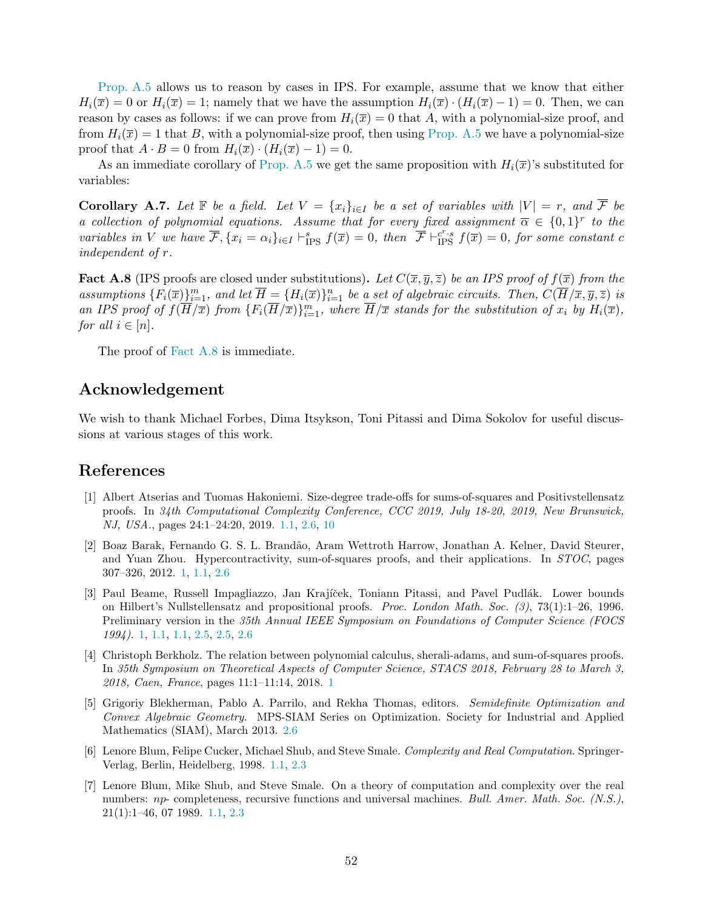[Prop. A.5](#page-51-2) allows us to reason by cases in IPS. For example, assume that we know that either  $H_i(\overline{x}) = 0$  or  $H_i(\overline{x}) = 1$ ; namely that we have the assumption  $H_i(\overline{x}) \cdot (H_i(\overline{x}) - 1) = 0$ . Then, we can reason by cases as follows: if we can prove from  $H_i(\overline{x}) = 0$  that A, with a polynomial-size proof, and from  $H_i(\overline{x}) = 1$  that B, with a polynomial-size proof, then using [Prop. A.5](#page-51-2) we have a polynomial-size proof that  $A \cdot B = 0$  from  $H_i(\overline{x}) \cdot (H_i(\overline{x}) - 1) = 0$ .

As an immediate corollary of [Prop. A.5](#page-51-2) we get the same proposition with  $H_i(\overline{x})$ 's substituted for variables:

**Corollary A.7.** Let  $\mathbb F$  be a field. Let  $V = \{x_i\}_{i\in I}$  be a set of variables with  $|V| = r$ , and  $\overline{\mathcal{F}}$  be a collection of polynomial equations. Assume that for every fixed assignment  $\overline{\alpha} \in \{0,1\}^r$  to the variables in V we have  $\overline{\mathcal{F}}, \{x_i = \alpha_i\}_{i \in I} \vdash_{\text{IPS}}^s f(\overline{x}) = 0$ , then  $\overline{\mathcal{F}} \vdash_{\text{IPS}}^{c^r \cdot s} f(\overline{x}) = 0$ , for some constant c independent of r.

<span id="page-53-8"></span>**Fact A.8** (IPS proofs are closed under substitutions). Let  $C(\overline{x}, \overline{y}, \overline{z})$  be an IPS proof of  $f(\overline{x})$  from the assumptions  ${F_i(\overline{x})}_{i=1}^m$ , and let  $\overline{H} = {H_i(\overline{x})}_{i=1}^n$  be a set of algebraic circuits. Then,  $C(\overline{H}/\overline{x}, \overline{y}, \overline{z})$  is an IPS proof of  $f(\overline{H}/\overline{x})$  from  $\{F_i(\overline{H}/\overline{x})\}_{i=1}^m$ , where  $\overline{H}/\overline{x}$  stands for the substitution of  $x_i$  by  $H_i(\overline{x})$ , for all  $i \in [n]$ .

The proof of [Fact A.8](#page-53-8) is immediate.

### Acknowledgement

We wish to thank Michael Forbes, Dima Itsykson, Toni Pitassi and Dima Sokolov for useful discussions at various stages of this work.

### <span id="page-53-6"></span><span id="page-53-0"></span>References

- [1] Albert Atserias and Tuomas Hakoniemi. Size-degree trade-offs for sums-of-squares and Positivstellensatz proofs. In 34th Computational Complexity Conference, CCC 2019, July 18-20, 2019, New Brunswick, NJ, USA., pages 24:1–24:20, 2019. [1.1,](#page-6-1) [2.6,](#page-18-2) [10](#page-18-2)
- <span id="page-53-2"></span>[2] Boaz Barak, Fernando G. S. L. Brand˜ao, Aram Wettroth Harrow, Jonathan A. Kelner, David Steurer, and Yuan Zhou. Hypercontractivity, sum-of-squares proofs, and their applications. In STOC, pages 307–326, 2012. [1,](#page-2-0) [1.1,](#page-6-2) [2.6](#page-19-1)
- <span id="page-53-1"></span>[3] Paul Beame, Russell Impagliazzo, Jan Krajíček, Toniann Pitassi, and Pavel Pudlák. Lower bounds on Hilbert's Nullstellensatz and propositional proofs. Proc. London Math. Soc. (3), 73(1):1–26, 1996. Preliminary version in the 35th Annual IEEE Symposium on Foundations of Computer Science (FOCS 1994). [1,](#page-2-0) [1.1,](#page-5-0) [1.1,](#page-5-1) [2.5,](#page-16-0) [2.5,](#page-16-2) [2.6](#page-18-5)
- <span id="page-53-3"></span>[4] Christoph Berkholz. The relation between polynomial calculus, sherali-adams, and sum-of-squares proofs. In 35th Symposium on Theoretical Aspects of Computer Science, STACS 2018, February 28 to March 3, 2018, Caen, France, pages 11:1–11:14, 2018. [1](#page-2-0)
- <span id="page-53-7"></span>[5] Grigoriy Blekherman, Pablo A. Parrilo, and Rekha Thomas, editors. Semidefinite Optimization and Convex Algebraic Geometry. MPS-SIAM Series on Optimization. Society for Industrial and Applied Mathematics (SIAM), March 2013. [2.6](#page-18-0)
- <span id="page-53-5"></span>[6] Lenore Blum, Felipe Cucker, Michael Shub, and Steve Smale. Complexity and Real Computation. Springer-Verlag, Berlin, Heidelberg, 1998. [1.1,](#page-4-0) [2.3](#page-15-1)
- <span id="page-53-4"></span>[7] Lenore Blum, Mike Shub, and Steve Smale. On a theory of computation and complexity over the real numbers: np- completeness, recursive functions and universal machines. Bull. Amer. Math. Soc. (N.S.), 21(1):1–46, 07 1989. [1.1,](#page-4-1) [2.3](#page-14-1)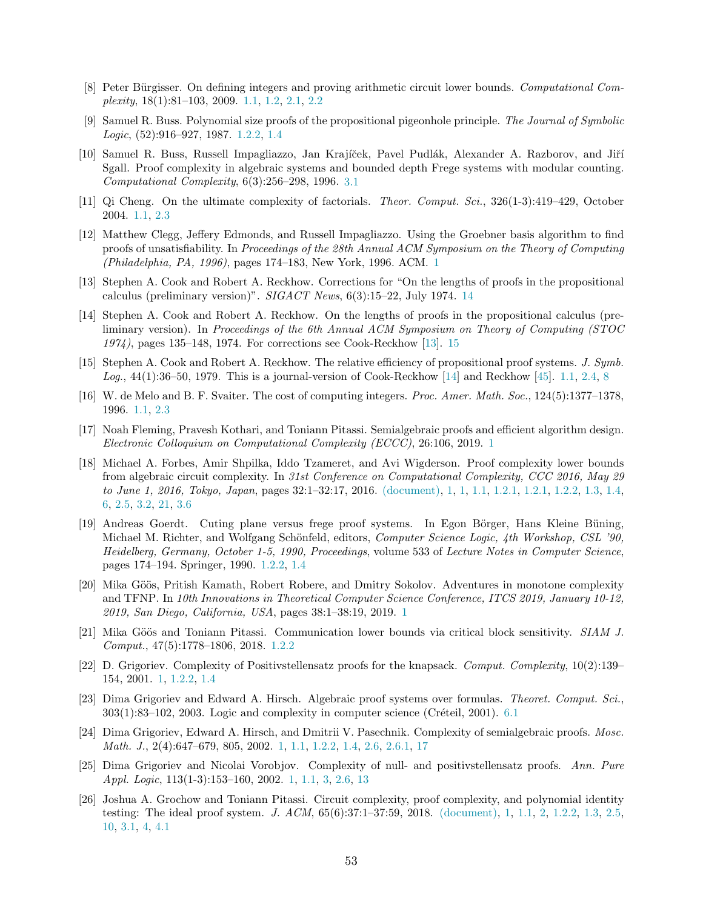- <span id="page-54-9"></span>[8] Peter Bürgisser. On defining integers and proving arithmetic circuit lower bounds. Computational Complexity, 18(1):81–103, 2009. 1.1, [1.2,](#page-4-2) 2.1, [2.2](#page-15-2)
- <span id="page-54-13"></span>[9] Samuel R. Buss. Polynomial size proofs of the propositional pigeonhole principle. The Journal of Symbolic Logic, (52):916–927, 1987. [1.2.2,](#page-8-0) [1.4](#page-12-1)
- <span id="page-54-15"></span>[10] Samuel R. Buss, Russell Impagliazzo, Jan Krajíček, Pavel Pudlák, Alexander A. Razborov, and Jiří Sgall. Proof complexity in algebraic systems and bounded depth Frege systems with modular counting. Computational Complexity, 6(3):256–298, 1996. [3.1](#page-20-1)
- <span id="page-54-10"></span><span id="page-54-1"></span>[11] Qi Cheng. On the ultimate complexity of factorials. Theor. Comput. Sci., 326(1-3):419–429, October 2004. [1.1,](#page-4-0) [2.3](#page-15-1)
- [12] Matthew Clegg, Jeffery Edmonds, and Russell Impagliazzo. Using the Groebner basis algorithm to find proofs of unsatisfiability. In Proceedings of the 28th Annual ACM Symposium on the Theory of Computing (Philadelphia, PA, 1996), pages 174–183, New York, 1996. ACM. [1](#page-2-0)
- <span id="page-54-17"></span>[13] Stephen A. Cook and Robert A. Reckhow. Corrections for "On the lengths of proofs in the propositional calculus (preliminary version)".  $SIGACT News$ ,  $6(3):15-22$ , July 1974. [14](#page-53-0)
- <span id="page-54-18"></span>[14] Stephen A. Cook and Robert A. Reckhow. On the lengths of proofs in the propositional calculus (preliminary version). In Proceedings of the 6th Annual ACM Symposium on Theory of Computing (STOC 1974), pages 135–148, 1974. For corrections see Cook-Reckhow [\[13\]](#page-54-17). [15](#page-53-0)
- <span id="page-54-11"></span><span id="page-54-8"></span>[15] Stephen A. Cook and Robert A. Reckhow. The relative efficiency of propositional proof systems. J. Symb. *Log.*, 44(1):36–50, 1979. This is a journal-version of Cook-Reckhow [\[14\]](#page-54-18) and Reckhow [\[45\]](#page-55-19). [1.1,](#page-5-0) [2.4,](#page-15-0) [8](#page-15-0)
- <span id="page-54-5"></span>[16] W. de Melo and B. F. Svaiter. The cost of computing integers. Proc. Amer. Math. Soc., 124(5):1377–1378, 1996. [1.1,](#page-4-1) [2.3](#page-14-1)
- [17] Noah Fleming, Pravesh Kothari, and Toniann Pitassi. Semialgebraic proofs and efficient algorithm design. Electronic Colloquium on Computational Complexity (ECCC), 26:106, 2019. [1](#page-2-0)
- <span id="page-54-2"></span>[18] Michael A. Forbes, Amir Shpilka, Iddo Tzameret, and Avi Wigderson. Proof complexity lower bounds from algebraic circuit complexity. In 31st Conference on Computational Complexity, CCC 2016, May 29 to June 1, 2016, Tokyo, Japan, pages 32:1–32:17, 2016. [\(document\),](#page--1-4) [1,](#page--1-4) [1,](#page-2-0) [1.1,](#page-5-0) [1.2.1,](#page-7-3) [1.2.1,](#page-8-1) [1.2.2,](#page-10-1) [1.3,](#page-11-0) [1.4,](#page-12-2) [6,](#page-11-0) [2.5,](#page-16-0) [3.2,](#page-24-1) [21,](#page-24-2) [3.6](#page-25-2)
- <span id="page-54-12"></span>[19] Andreas Goerdt. Cuting plane versus frege proof systems. In Egon Börger, Hans Kleine Büning, Michael M. Richter, and Wolfgang Schönfeld, editors, Computer Science Logic, 4th Workshop, CSL '90, Heidelberg, Germany, October 1-5, 1990, Proceedings, volume 533 of Lecture Notes in Computer Science, pages 174–194. Springer, 1990. [1.2.2,](#page-8-0) [1.4](#page-12-1)
- <span id="page-54-7"></span>[20] Mika Göös, Pritish Kamath, Robert Robere, and Dmitry Sokolov. Adventures in monotone complexity and TFNP. In 10th Innovations in Theoretical Computer Science Conference, ITCS 2019, January 10-12, 2019, San Diego, California, USA, pages 38:1–38:19, 2019. [1](#page-2-0)
- <span id="page-54-14"></span>[21] Mika Göös and Toniann Pitassi. Communication lower bounds via critical block sensitivity. SIAM J. Comput., 47(5):1778–1806, 2018. [1.2.2](#page-10-1)
- <span id="page-54-6"></span>[22] D. Grigoriev. Complexity of Positivstellensatz proofs for the knapsack. Comput. Complexity, 10(2):139– 154, 2001. [1,](#page-2-0) [1.2.2,](#page-10-1) [1.4](#page-12-2)
- <span id="page-54-16"></span>[23] Dima Grigoriev and Edward A. Hirsch. Algebraic proof systems over formulas. Theoret. Comput. Sci.,  $303(1):83-102$ ,  $2003$ . Logic and complexity in computer science (Créteil, 2001). [6.1](#page-47-0)
- <span id="page-54-4"></span>[24] Dima Grigoriev, Edward A. Hirsch, and Dmitrii V. Pasechnik. Complexity of semialgebraic proofs. Mosc. Math. J., 2(4):647–679, 805, 2002. [1,](#page-2-0) [1.1,](#page-6-1) [1.2.2,](#page-10-1) [1.4,](#page-12-2) [2.6,](#page-18-2) [2.6.1,](#page-19-0) [17](#page-20-4)
- <span id="page-54-3"></span>[25] Dima Grigoriev and Nicolai Vorobjov. Complexity of null- and positivstellensatz proofs. Ann. Pure Appl. Logic, 113(1-3):153–160, 2002. [1,](#page-2-0) [1.1,](#page-5-2) [3,](#page-6-3) [2.6,](#page-18-0) [13](#page-18-3)
- <span id="page-54-0"></span>[26] Joshua A. Grochow and Toniann Pitassi. Circuit complexity, proof complexity, and polynomial identity testing: The ideal proof system. J. ACM, 65(6):37:1–37:59, 2018. [\(document\),](#page--1-4) [1,](#page-2-0) [1.1,](#page-5-0) [2,](#page-5-3) [1.2.2,](#page-8-0) [1.3,](#page-11-0) [2.5,](#page-16-0) [10,](#page-16-1) [3.1,](#page-23-0) [4,](#page-27-0) [4.1](#page-30-1)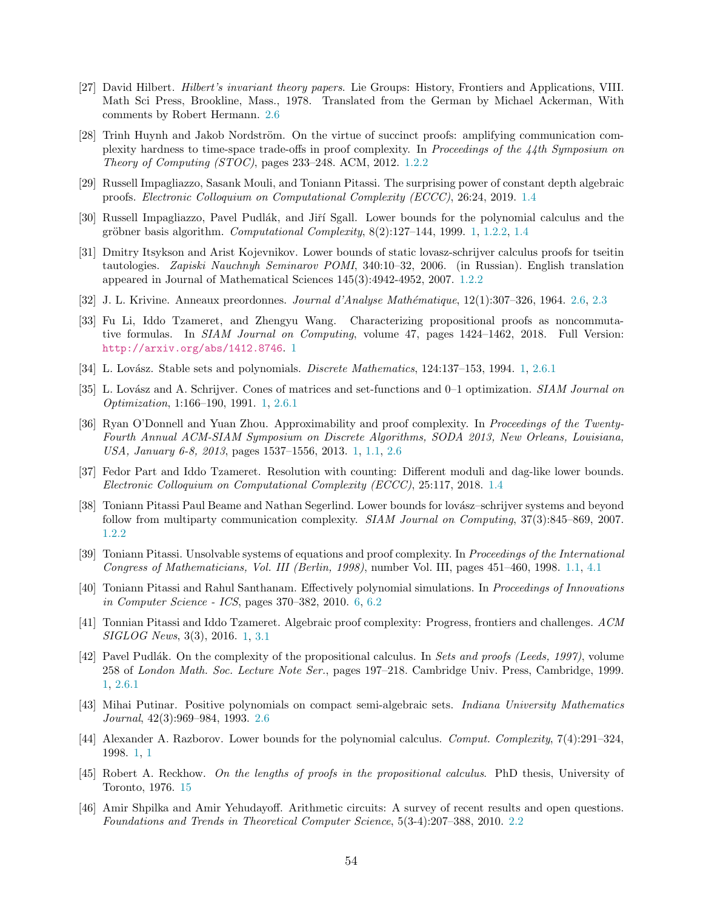- <span id="page-55-16"></span>[27] David Hilbert. Hilbert's invariant theory papers. Lie Groups: History, Frontiers and Applications, VIII. Math Sci Press, Brookline, Mass., 1978. Translated from the German by Michael Ackerman, With comments by Robert Hermann. [2.6](#page-18-5)
- <span id="page-55-11"></span>[28] Trinh Huynh and Jakob Nordström. On the virtue of succinct proofs: amplifying communication complexity hardness to time-space trade-offs in proof complexity. In Proceedings of the 44th Symposium on Theory of Computing (STOC), pages 233–248. ACM, 2012. [1.2.2](#page-10-1)
- <span id="page-55-12"></span>[29] Russell Impagliazzo, Sasank Mouli, and Toniann Pitassi. The surprising power of constant depth algebraic proofs. Electronic Colloquium on Computational Complexity (ECCC), 26:24, 2019. [1.4](#page-12-1)
- <span id="page-55-0"></span>[30] Russell Impagliazzo, Pavel Pudlák, and Jiří Sgall. Lower bounds for the polynomial calculus and the gröbner basis algorithm. Computational Complexity,  $8(2):127-144$ , 1999. [1,](#page-2-0) [1.2.2,](#page-10-1) [1.4](#page-12-2)
- <span id="page-55-9"></span>[31] Dmitry Itsykson and Arist Kojevnikov. Lower bounds of static lovasz-schrijver calculus proofs for tseitin tautologies. Zapiski Nauchnyh Seminarov POMI, 340:10–32, 2006. (in Russian). English translation appeared in Journal of Mathematical Sciences 145(3):4942-4952, 2007. [1.2.2](#page-10-1)
- <span id="page-55-15"></span><span id="page-55-7"></span>[32] J. L. Krivine. Anneaux preordonnes. Journal d'Analyse Math´ematique, 12(1):307–326, 1964. [2.6,](#page-18-0) [2.3](#page-18-6)
- [33] Fu Li, Iddo Tzameret, and Zhengyu Wang. Characterizing propositional proofs as noncommutative formulas. In SIAM Journal on Computing, volume 47, pages 1424–1462, 2018. Full Version: <http://arxiv.org/abs/1412.8746>. [1](#page-2-0)
- <span id="page-55-3"></span><span id="page-55-2"></span>[34] L. Lovász. Stable sets and polynomials. *Discrete Mathematics*, 124:137–153, 1994. [1,](#page-2-0) [2.6.1](#page-19-0)
- <span id="page-55-5"></span>[35] L. Lovász and A. Schrijver. Cones of matrices and set-functions and 0–1 optimization. SIAM Journal on Optimization, 1:166–190, 1991. [1,](#page-2-0) [2.6.1](#page-19-0)
- [36] Ryan O'Donnell and Yuan Zhou. Approximability and proof complexity. In Proceedings of the Twenty-Fourth Annual ACM-SIAM Symposium on Discrete Algorithms, SODA 2013, New Orleans, Louisiana, USA, January 6-8, 2013, pages 1537–1556, 2013. [1,](#page-2-0) [1.1,](#page-6-2) [2.6](#page-19-1)
- <span id="page-55-13"></span>[37] Fedor Part and Iddo Tzameret. Resolution with counting: Different moduli and dag-like lower bounds. Electronic Colloquium on Computational Complexity (ECCC), 25:117, 2018. [1.4](#page-12-2)
- <span id="page-55-10"></span>[38] Toniann Pitassi Paul Beame and Nathan Segerlind. Lower bounds for lovász–schrijver systems and beyond follow from multiparty communication complexity. SIAM Journal on Computing, 37(3):845–869, 2007. [1.2.2](#page-10-1)
- <span id="page-55-8"></span>[39] Toniann Pitassi. Unsolvable systems of equations and proof complexity. In Proceedings of the International Congress of Mathematicians, Vol. III (Berlin, 1998), number Vol. III, pages 451–460, 1998. [1.1,](#page-5-0) [4.1](#page-30-1)
- <span id="page-55-18"></span>[40] Toniann Pitassi and Rahul Santhanam. Effectively polynomial simulations. In Proceedings of Innovations in Computer Science - ICS, pages 370–382, 2010. [6,](#page-44-0) [6.2](#page-50-0)
- <span id="page-55-6"></span>[41] Tonnian Pitassi and Iddo Tzameret. Algebraic proof complexity: Progress, frontiers and challenges. ACM SIGLOG News, 3(3), 2016. [1,](#page-2-0) [3.1](#page-23-0)
- <span id="page-55-4"></span>[42] Pavel Pudlák. On the complexity of the propositional calculus. In Sets and proofs (Leeds, 1997), volume 258 of London Math. Soc. Lecture Note Ser., pages 197–218. Cambridge Univ. Press, Cambridge, 1999. [1,](#page-2-0) [2.6.1](#page-19-0)
- <span id="page-55-17"></span>[43] Mihai Putinar. Positive polynomials on compact semi-algebraic sets. Indiana University Mathematics Journal, 42(3):969–984, 1993. [2.6](#page-19-2)
- <span id="page-55-1"></span>[44] Alexander A. Razborov. Lower bounds for the polynomial calculus. Comput. Complexity, 7(4):291–324, 1998. [1,](#page--1-4) [1](#page-2-0)
- <span id="page-55-19"></span>[45] Robert A. Reckhow. On the lengths of proofs in the propositional calculus. PhD thesis, University of Toronto, 1976. [15](#page-53-0)
- <span id="page-55-14"></span>[46] Amir Shpilka and Amir Yehudayoff. Arithmetic circuits: A survey of recent results and open questions. Foundations and Trends in Theoretical Computer Science, 5(3-4):207–388, 2010. [2.2](#page-13-3)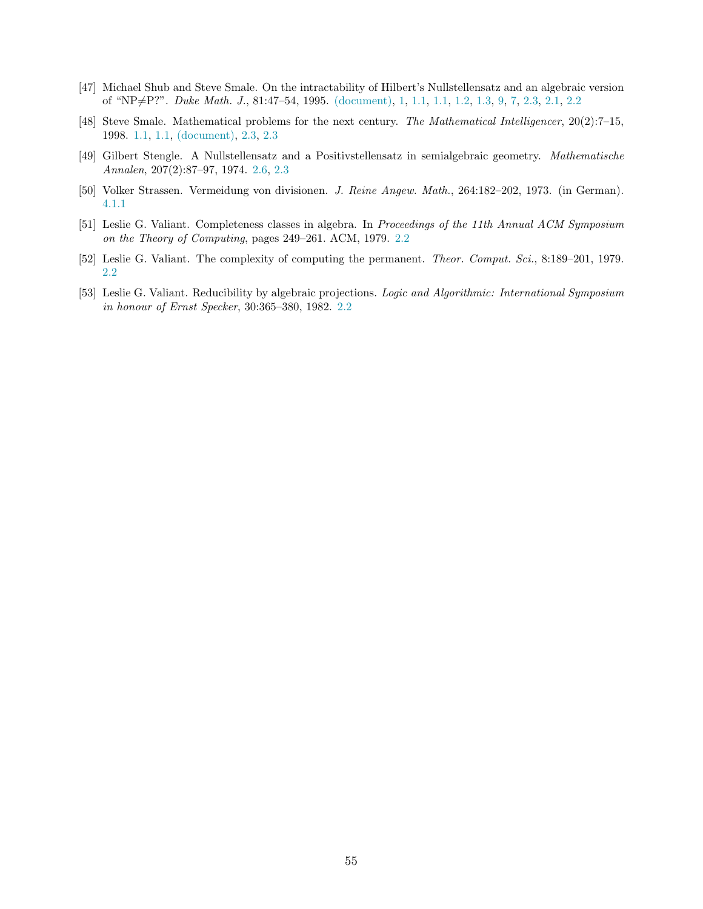- <span id="page-56-1"></span><span id="page-56-0"></span>[47] Michael Shub and Steve Smale. On the intractability of Hilbert's Nullstellensatz and an algebraic version of "NP $\neq$ P?". *Duke Math. J.*, 81:47–54, 1995. [\(document\),](#page--1-4) [1,](#page-4-1) [1.1,](#page-4-1) 1.1, [1.2,](#page-4-2) [1.3,](#page-11-0) [9,](#page-14-1) [7,](#page-14-1) [2.3,](#page-14-1) 2.1, [2.2](#page-15-2)
- <span id="page-56-5"></span>[48] Steve Smale. Mathematical problems for the next century. The Mathematical Intelligencer, 20(2):7–15, 1998. [1.1,](#page-3-1) [1.1,](#page-4-1) [\(document\),](#page--1-4) [2.3,](#page-14-0) [2.3](#page-14-1)
- [49] Gilbert Stengle. A Nullstellensatz and a Positivstellensatz in semialgebraic geometry. Mathematische Annalen, 207(2):87–97, 1974. [2.6,](#page-18-0) [2.3](#page-18-6)
- <span id="page-56-6"></span><span id="page-56-2"></span>[50] Volker Strassen. Vermeidung von divisionen. J. Reine Angew. Math., 264:182–202, 1973. (in German). [4.1.1](#page-31-2)
- <span id="page-56-3"></span>[51] Leslie G. Valiant. Completeness classes in algebra. In Proceedings of the 11th Annual ACM Symposium on the Theory of Computing, pages 249–261. ACM, 1979. [2.2](#page-13-3)
- <span id="page-56-4"></span>[52] Leslie G. Valiant. The complexity of computing the permanent. Theor. Comput. Sci., 8:189–201, 1979. [2.2](#page-13-3)
- [53] Leslie G. Valiant. Reducibility by algebraic projections. Logic and Algorithmic: International Symposium in honour of Ernst Specker, 30:365–380, 1982. [2.2](#page-13-3)